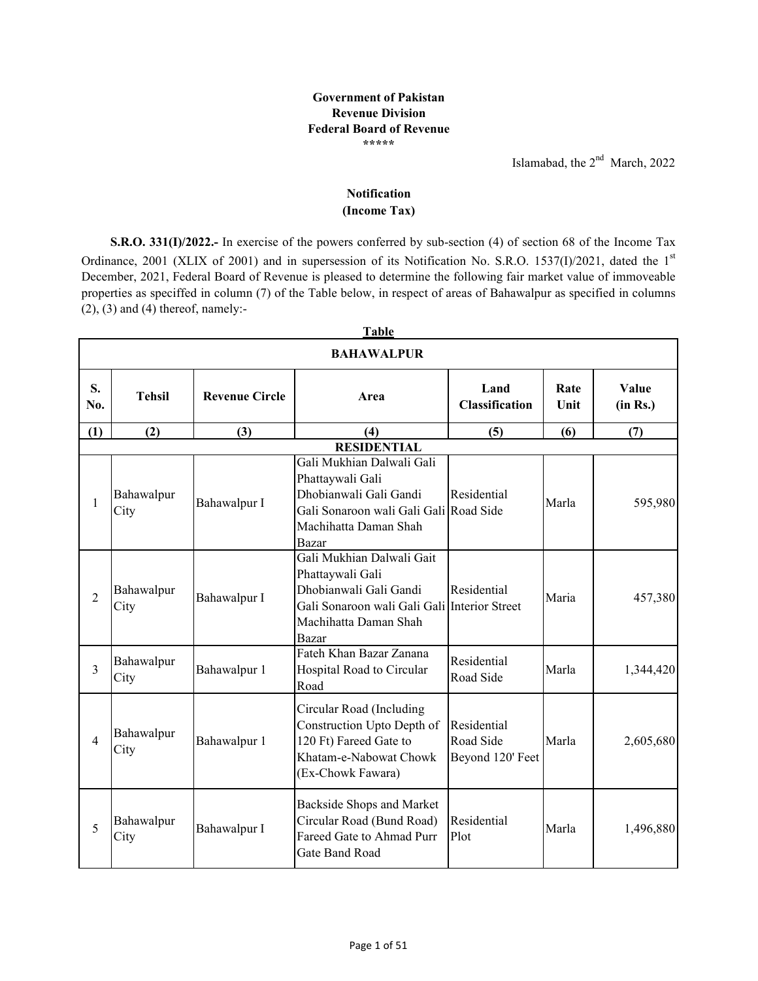## **Government of Pakistan Revenue Division Federal Board of Revenue \*\*\*\*\***

Islamabad, the 2<sup>nd</sup> March, 2022

## **(Income Tax) Notification**

**S.R.O. 331(I)/2022.-** In exercise of the powers conferred by sub-section (4) of section 68 of the Income Tax Ordinance, 2001 (XLIX of 2001) and in supersession of its Notification No. S.R.O. 1537(I)/2021, dated the 1st December, 2021, Federal Board of Revenue is pleased to determine the following fair market value of immoveable properties as speciffed in column (7) of the Table below, in respect of areas of Bahawalpur as specified in columns  $(2)$ ,  $(3)$  and  $(4)$  thereof, namely:-

|                | <b>BAHAWALPUR</b>  |                       |                                                                                                                                                           |                                              |              |                   |  |  |
|----------------|--------------------|-----------------------|-----------------------------------------------------------------------------------------------------------------------------------------------------------|----------------------------------------------|--------------|-------------------|--|--|
| S.<br>No.      | <b>Tehsil</b>      | <b>Revenue Circle</b> | Area                                                                                                                                                      | Land<br><b>Classification</b>                | Rate<br>Unit | Value<br>(in Rs.) |  |  |
| (1)            | (2)                | (3)                   | (4)                                                                                                                                                       | (5)                                          | (6)          | (7)               |  |  |
|                |                    |                       | <b>RESIDENTIAL</b>                                                                                                                                        |                                              |              |                   |  |  |
| 1              | Bahawalpur<br>City | Bahawalpur I          | Gali Mukhian Dalwali Gali<br>Phattaywali Gali<br>Dhobianwali Gali Gandi<br>Gali Sonaroon wali Gali Gali Road Side<br>Machihatta Daman Shah<br>Bazar       | Residential                                  | Marla        | 595,980           |  |  |
| $\overline{2}$ | Bahawalpur<br>City | Bahawalpur I          | Gali Mukhian Dalwali Gait<br>Phattaywali Gali<br>Dhobianwali Gali Gandi<br>Gali Sonaroon wali Gali Gali Interior Street<br>Machihatta Daman Shah<br>Bazar | Residential                                  | Maria        | 457,380           |  |  |
| $\overline{3}$ | Bahawalpur<br>City | Bahawalpur 1          | Fateh Khan Bazar Zanana<br>Hospital Road to Circular<br>Road                                                                                              | Residential<br>Road Side                     | Marla        | 1,344,420         |  |  |
| $\overline{4}$ | Bahawalpur<br>City | Bahawalpur 1          | Circular Road (Including<br>Construction Upto Depth of<br>120 Ft) Fareed Gate to<br>Khatam-e-Nabowat Chowk<br>(Ex-Chowk Fawara)                           | Residential<br>Road Side<br>Beyond 120' Feet | Marla        | 2,605,680         |  |  |
| 5              | Bahawalpur<br>City | Bahawalpur I          | Backside Shops and Market<br>Circular Road (Bund Road)<br>Fareed Gate to Ahmad Purr<br>Gate Band Road                                                     | Residential<br>Plot                          | Marla        | 1,496,880         |  |  |

**Table**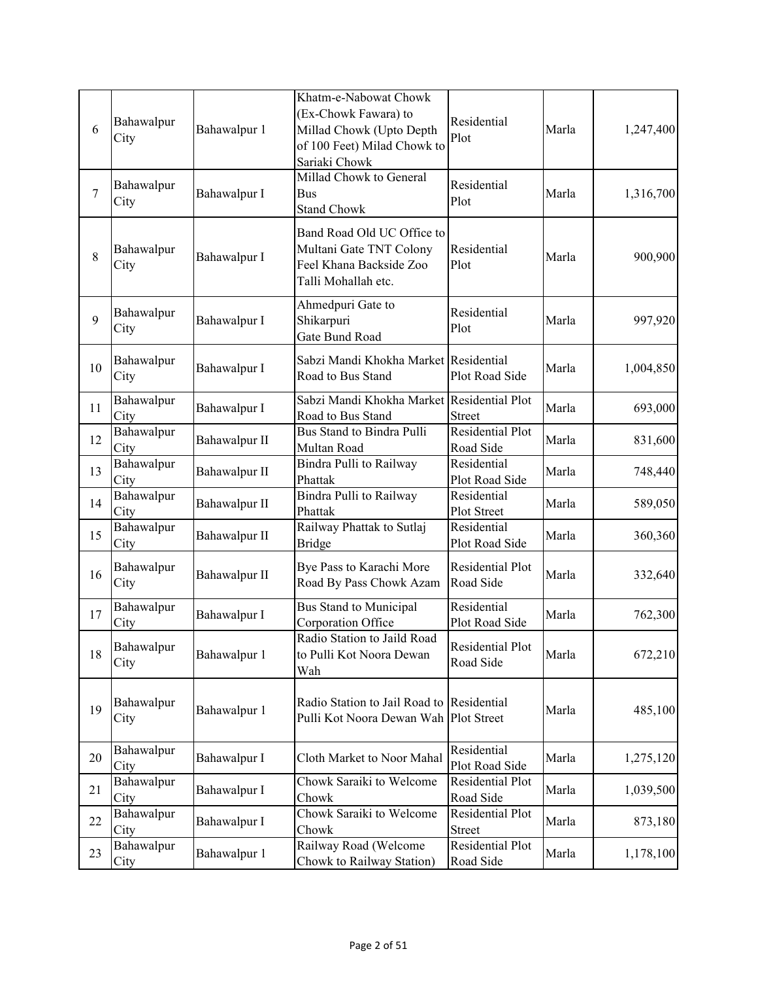| 6      | Bahawalpur<br>City | Bahawalpur 1  | Khatm-e-Nabowat Chowk<br>(Ex-Chowk Fawara) to<br>Millad Chowk (Upto Depth<br>of 100 Feet) Milad Chowk to<br>Sariaki Chowk | Residential<br>Plot                               | Marla | 1,247,400 |
|--------|--------------------|---------------|---------------------------------------------------------------------------------------------------------------------------|---------------------------------------------------|-------|-----------|
| $\tau$ | Bahawalpur<br>City | Bahawalpur I  | Millad Chowk to General<br><b>Bus</b><br><b>Stand Chowk</b>                                                               | Residential<br>Plot                               | Marla | 1,316,700 |
| 8      | Bahawalpur<br>City | Bahawalpur I  | Band Road Old UC Office to<br>Multani Gate TNT Colony<br>Feel Khana Backside Zoo<br>Talli Mohallah etc.                   | Residential<br>Plot                               | Marla | 900,900   |
| 9      | Bahawalpur<br>City | Bahawalpur I  | Ahmedpuri Gate to<br>Shikarpuri<br>Gate Bund Road                                                                         | Residential<br>Plot                               | Marla | 997,920   |
| 10     | Bahawalpur<br>City | Bahawalpur I  | Sabzi Mandi Khokha Market Residential<br>Road to Bus Stand                                                                | Plot Road Side                                    | Marla | 1,004,850 |
| 11     | Bahawalpur<br>City | Bahawalpur I  | Sabzi Mandi Khokha Market Residential Plot<br>Road to Bus Stand                                                           | <b>Street</b>                                     | Marla | 693,000   |
| 12     | Bahawalpur<br>City | Bahawalpur II | Bus Stand to Bindra Pulli<br>Multan Road                                                                                  | Residential Plot<br>Road Side                     | Marla | 831,600   |
| 13     | Bahawalpur<br>City | Bahawalpur II | Bindra Pulli to Railway<br>Phattak                                                                                        | $\overline{\text{Residential}}$<br>Plot Road Side | Marla | 748,440   |
| 14     | Bahawalpur<br>City | Bahawalpur II | Bindra Pulli to Railway<br>Phattak                                                                                        | Residential<br>Plot Street                        | Marla | 589,050   |
| 15     | Bahawalpur<br>City | Bahawalpur II | Railway Phattak to Sutlaj<br><b>Bridge</b>                                                                                | Residential<br>Plot Road Side                     | Marla | 360,360   |
| 16     | Bahawalpur<br>City | Bahawalpur II | Bye Pass to Karachi More<br>Road By Pass Chowk Azam                                                                       | Residential Plot<br>Road Side                     | Marla | 332,640   |
| 17     | Bahawalpur<br>City | Bahawalpur I  | <b>Bus Stand to Municipal</b><br>Corporation Office                                                                       | Residential<br>Plot Road Side                     | Marla | 762,300   |
| 18     | Bahawalpur<br>City | Bahawalpur 1  | Radio Station to Jaild Road<br>to Pulli Kot Noora Dewan<br>Wah                                                            | Residential Plot<br>Road Side                     | Marla | 672,210   |
| 19     | Bahawalpur<br>City | Bahawalpur 1  | Radio Station to Jail Road to Residential<br>Pulli Kot Noora Dewan Wah Plot Street                                        |                                                   | Marla | 485,100   |
| 20     | Bahawalpur<br>City | Bahawalpur I  | Cloth Market to Noor Mahal                                                                                                | Residential<br>Plot Road Side                     | Marla | 1,275,120 |
| 21     | Bahawalpur<br>City | Bahawalpur I  | Chowk Saraiki to Welcome<br>Chowk                                                                                         | Residential Plot<br>Road Side                     | Marla | 1,039,500 |
| 22     | Bahawalpur<br>City | Bahawalpur I  | Chowk Saraiki to Welcome<br>Chowk                                                                                         | Residential Plot<br><b>Street</b>                 | Marla | 873,180   |
| 23     | Bahawalpur<br>City | Bahawalpur 1  | Railway Road (Welcome<br>Chowk to Railway Station)                                                                        | Residential Plot<br>Road Side                     | Marla | 1,178,100 |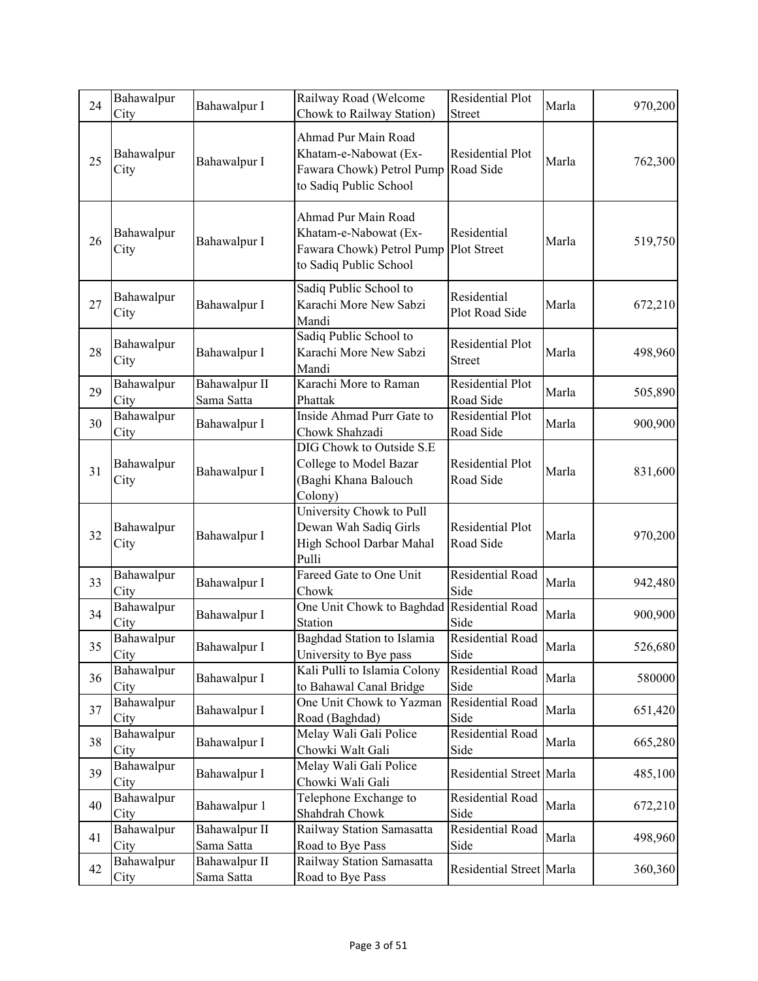| 24 | Bahawalpur<br>City | Bahawalpur I                | Railway Road (Welcome<br>Chowk to Railway Station)                                                  | Residential Plot<br><b>Street</b>        | Marla | 970,200 |
|----|--------------------|-----------------------------|-----------------------------------------------------------------------------------------------------|------------------------------------------|-------|---------|
| 25 | Bahawalpur<br>City | Bahawalpur I                | Ahmad Pur Main Road<br>Khatam-e-Nabowat (Ex-<br>Fawara Chowk) Petrol Pump<br>to Sadiq Public School | <b>Residential Plot</b><br>Road Side     | Marla | 762,300 |
| 26 | Bahawalpur<br>City | Bahawalpur I                | Ahmad Pur Main Road<br>Khatam-e-Nabowat (Ex-<br>Fawara Chowk) Petrol Pump<br>to Sadiq Public School | Residential<br>Plot Street               | Marla | 519,750 |
| 27 | Bahawalpur<br>City | Bahawalpur I                | Sadiq Public School to<br>Karachi More New Sabzi<br>Mandi                                           | Residential<br>Plot Road Side            | Marla | 672,210 |
| 28 | Bahawalpur<br>City | Bahawalpur I                | Sadiq Public School to<br>Karachi More New Sabzi<br>Mandi                                           | <b>Residential Plot</b><br><b>Street</b> | Marla | 498,960 |
| 29 | Bahawalpur<br>City | Bahawalpur II<br>Sama Satta | Karachi More to Raman<br>Phattak                                                                    | <b>Residential Plot</b><br>Road Side     | Marla | 505,890 |
| 30 | Bahawalpur<br>City | Bahawalpur I                | Inside Ahmad Purr Gate to<br>Chowk Shahzadi                                                         | Residential Plot<br>Road Side            | Marla | 900,900 |
| 31 | Bahawalpur<br>City | Bahawalpur I                | DIG Chowk to Outside S.E<br>College to Model Bazar<br>(Baghi Khana Balouch<br>Colony)               | Residential Plot<br>Road Side            | Marla | 831,600 |
| 32 | Bahawalpur<br>City | Bahawalpur I                | University Chowk to Pull<br>Dewan Wah Sadiq Girls<br>High School Darbar Mahal<br>Pulli              | <b>Residential Plot</b><br>Road Side     | Marla | 970,200 |
| 33 | Bahawalpur<br>City | Bahawalpur I                | Fareed Gate to One Unit<br>Chowk                                                                    | Residential Road<br>Side                 | Marla | 942,480 |
| 34 | Bahawalpur<br>City | Bahawalpur I                | One Unit Chowk to Baghdad Residential Road<br>Station                                               | Side                                     | Marla | 900,900 |
| 35 | Bahawalpur<br>City | Bahawalpur I                | Baghdad Station to Islamia<br>University to Bye pass                                                | Residential Road<br>Side                 | Marla | 526,680 |
| 36 | Bahawalpur<br>City | Bahawalpur I                | Kali Pulli to Islamia Colony<br>to Bahawal Canal Bridge                                             | Residential Road<br>Side                 | Marla | 580000  |
| 37 | Bahawalpur<br>City | Bahawalpur I                | One Unit Chowk to Yazman<br>Road (Baghdad)                                                          | Residential Road<br>Side                 | Marla | 651,420 |
| 38 | Bahawalpur<br>City | Bahawalpur I                | Melay Wali Gali Police<br>Chowki Walt Gali                                                          | Residential Road<br>Side                 | Marla | 665,280 |
| 39 | Bahawalpur<br>City | Bahawalpur I                | Melay Wali Gali Police<br>Chowki Wali Gali                                                          | Residential Street Marla                 |       | 485,100 |
| 40 | Bahawalpur<br>City | Bahawalpur 1                | Telephone Exchange to<br>Shahdrah Chowk                                                             | Residential Road<br>Side                 | Marla | 672,210 |
| 41 | Bahawalpur<br>City | Bahawalpur II<br>Sama Satta | Railway Station Samasatta<br>Road to Bye Pass                                                       | Residential Road<br>Side                 | Marla | 498,960 |
| 42 | Bahawalpur<br>City | Bahawalpur II<br>Sama Satta | Railway Station Samasatta<br>Road to Bye Pass                                                       | Residential Street Marla                 |       | 360,360 |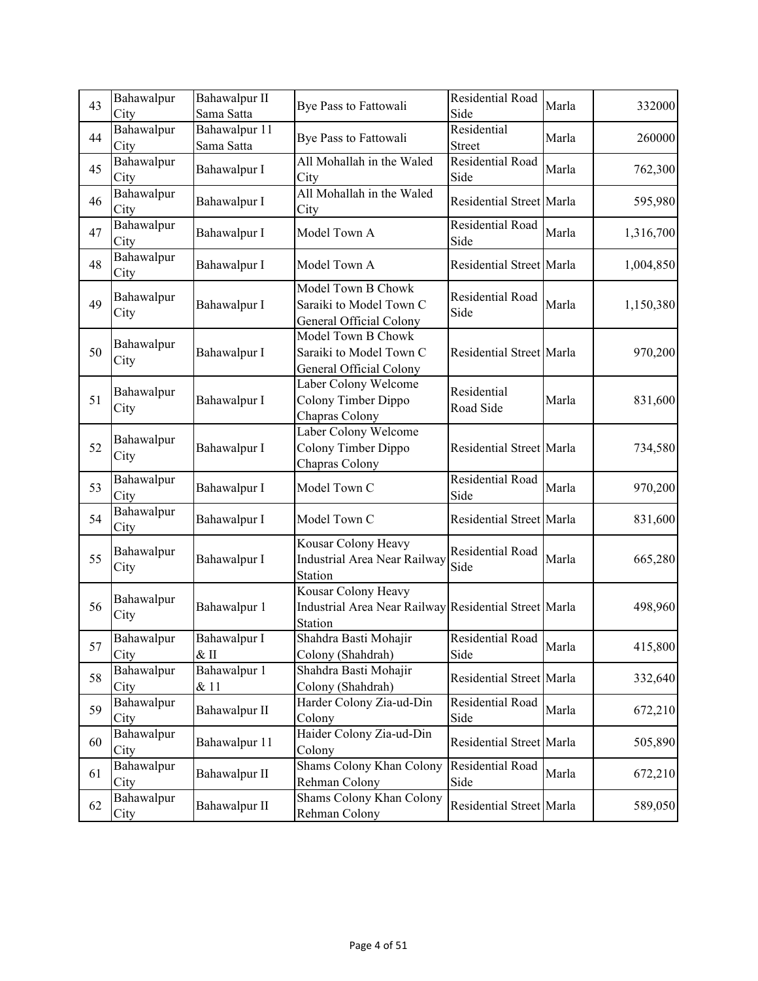| 43 | Bahawalpur<br>City | Bahawalpur II<br>Sama Satta | Bye Pass to Fattowali                                                                   | Residential Road<br>Side     | Marla | 332000    |
|----|--------------------|-----------------------------|-----------------------------------------------------------------------------------------|------------------------------|-------|-----------|
| 44 | Bahawalpur<br>City | Bahawalpur 11<br>Sama Satta | Bye Pass to Fattowali                                                                   | Residential<br><b>Street</b> | Marla | 260000    |
| 45 | Bahawalpur<br>City | Bahawalpur I                | All Mohallah in the Waled<br>City                                                       | Residential Road<br>Side     | Marla | 762,300   |
| 46 | Bahawalpur<br>City | Bahawalpur I                | All Mohallah in the Waled<br>City                                                       | Residential Street Marla     |       | 595,980   |
| 47 | Bahawalpur<br>City | Bahawalpur I                | Model Town A                                                                            | Residential Road<br>Side     | Marla | 1,316,700 |
| 48 | Bahawalpur<br>City | Bahawalpur I                | Model Town A                                                                            | Residential Street Marla     |       | 1,004,850 |
| 49 | Bahawalpur<br>City | Bahawalpur I                | Model Town B Chowk<br>Saraiki to Model Town C<br>General Official Colony                | Residential Road<br>Side     | Marla | 1,150,380 |
| 50 | Bahawalpur<br>City | Bahawalpur I                | Model Town B Chowk<br>Saraiki to Model Town C<br>General Official Colony                | Residential Street Marla     |       | 970,200   |
| 51 | Bahawalpur<br>City | Bahawalpur I                | Laber Colony Welcome<br>Colony Timber Dippo<br>Chapras Colony                           | Residential<br>Road Side     | Marla | 831,600   |
| 52 | Bahawalpur<br>City | Bahawalpur I                | Laber Colony Welcome<br>Colony Timber Dippo<br>Chapras Colony                           | Residential Street Marla     |       | 734,580   |
| 53 | Bahawalpur<br>City | Bahawalpur I                | Model Town C                                                                            | Residential Road<br>Side     | Marla | 970,200   |
| 54 | Bahawalpur<br>City | Bahawalpur I                | Model Town C                                                                            | Residential Street Marla     |       | 831,600   |
| 55 | Bahawalpur<br>City | Bahawalpur I                | Kousar Colony Heavy<br>Industrial Area Near Railway<br>Station                          | Residential Road<br>Side     | Marla | 665,280   |
| 56 | Bahawalpur<br>City | Bahawalpur 1                | Kousar Colony Heavy<br>Industrial Area Near Railway Residential Street Marla<br>Station |                              |       | 498,960   |
| 57 | Bahawalpur<br>City | Bahawalpur I<br>$\&$ II     | Shahdra Basti Mohajir<br>Colony (Shahdrah)                                              | Residential Road<br>Side     | Marla | 415,800   |
| 58 | Bahawalpur<br>City | Bahawalpur 1<br>& 11        | Shahdra Basti Mohajir<br>Colony (Shahdrah)                                              | Residential Street Marla     |       | 332,640   |
| 59 | Bahawalpur<br>City | Bahawalpur II               | Harder Colony Zia-ud-Din<br>Colony                                                      | Residential Road<br>Side     | Marla | 672,210   |
| 60 | Bahawalpur<br>City | Bahawalpur 11               | Haider Colony Zia-ud-Din<br>Colony                                                      | Residential Street Marla     |       | 505,890   |
| 61 | Bahawalpur<br>City | Bahawalpur II               | Shams Colony Khan Colony<br>Rehman Colony                                               | Residential Road<br>Side     | Marla | 672,210   |
| 62 | Bahawalpur<br>City | Bahawalpur II               | Shams Colony Khan Colony<br>Rehman Colony                                               | Residential Street Marla     |       | 589,050   |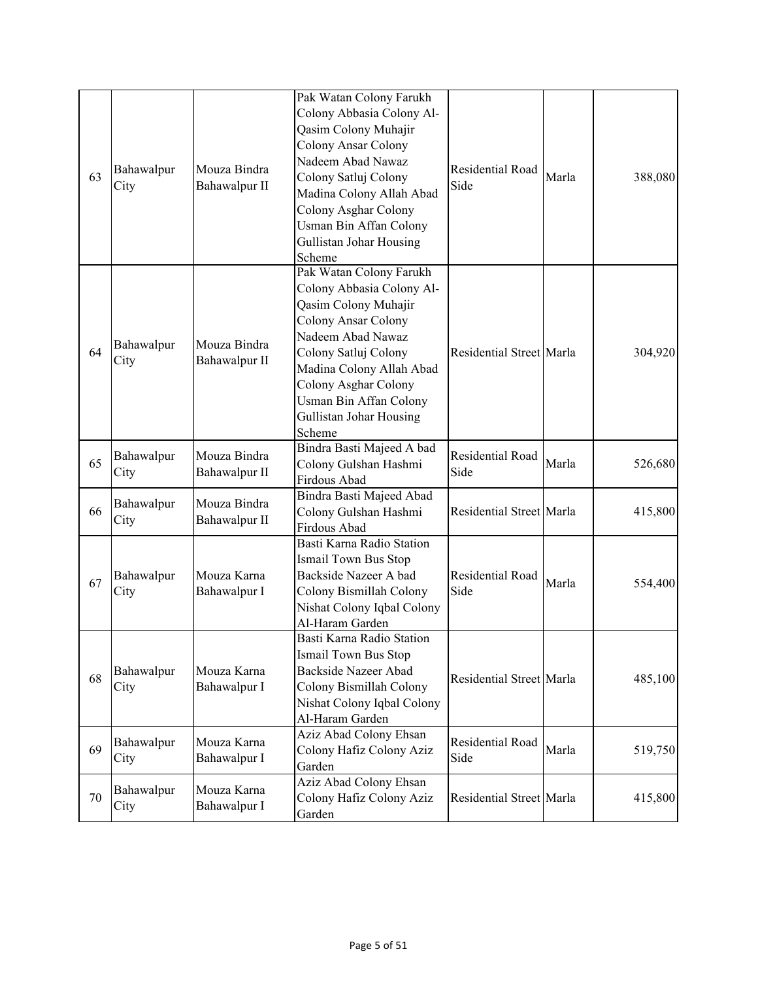| 63 | Bahawalpur<br>City | Mouza Bindra<br>Bahawalpur II | Pak Watan Colony Farukh<br>Colony Abbasia Colony Al-<br>Qasim Colony Muhajir<br>Colony Ansar Colony<br>Nadeem Abad Nawaz<br>Colony Satluj Colony<br>Madina Colony Allah Abad<br>Colony Asghar Colony<br>Usman Bin Affan Colony<br>Gullistan Johar Housing<br>Scheme        | Residential Road<br>Side | Marla | 388,080 |
|----|--------------------|-------------------------------|----------------------------------------------------------------------------------------------------------------------------------------------------------------------------------------------------------------------------------------------------------------------------|--------------------------|-------|---------|
| 64 | Bahawalpur<br>City | Mouza Bindra<br>Bahawalpur II | Pak Watan Colony Farukh<br>Colony Abbasia Colony Al-<br>Qasim Colony Muhajir<br><b>Colony Ansar Colony</b><br>Nadeem Abad Nawaz<br>Colony Satluj Colony<br>Madina Colony Allah Abad<br>Colony Asghar Colony<br>Usman Bin Affan Colony<br>Gullistan Johar Housing<br>Scheme | Residential Street Marla |       | 304,920 |
| 65 | Bahawalpur<br>City | Mouza Bindra<br>Bahawalpur II | Bindra Basti Majeed A bad<br>Colony Gulshan Hashmi<br>Firdous Abad                                                                                                                                                                                                         | Residential Road<br>Side | Marla | 526,680 |
| 66 | Bahawalpur<br>City | Mouza Bindra<br>Bahawalpur II | Bindra Basti Majeed Abad<br>Colony Gulshan Hashmi<br>Firdous Abad                                                                                                                                                                                                          | Residential Street Marla |       | 415,800 |
| 67 | Bahawalpur<br>City | Mouza Karna<br>Bahawalpur I   | Basti Karna Radio Station<br>Ismail Town Bus Stop<br>Backside Nazeer A bad<br>Colony Bismillah Colony<br>Nishat Colony Iqbal Colony<br>Al-Haram Garden                                                                                                                     | Residential Road<br>Side | Marla | 554,400 |
| 68 | Bahawalpur<br>City | Mouza Karna<br>Bahawalpur I   | Basti Karna Radio Station<br>Ismail Town Bus Stop<br><b>Backside Nazeer Abad</b><br>Colony Bismillah Colony<br>Nishat Colony Iqbal Colony<br>Al-Haram Garden                                                                                                               | Residential Street Marla |       | 485,100 |
| 69 | Bahawalpur<br>City | Mouza Karna<br>Bahawalpur I   | Aziz Abad Colony Ehsan<br>Colony Hafiz Colony Aziz<br>Garden                                                                                                                                                                                                               | Residential Road<br>Side | Marla | 519,750 |
| 70 | Bahawalpur<br>City | Mouza Karna<br>Bahawalpur I   | Aziz Abad Colony Ehsan<br>Colony Hafiz Colony Aziz<br>Garden                                                                                                                                                                                                               | Residential Street Marla |       | 415,800 |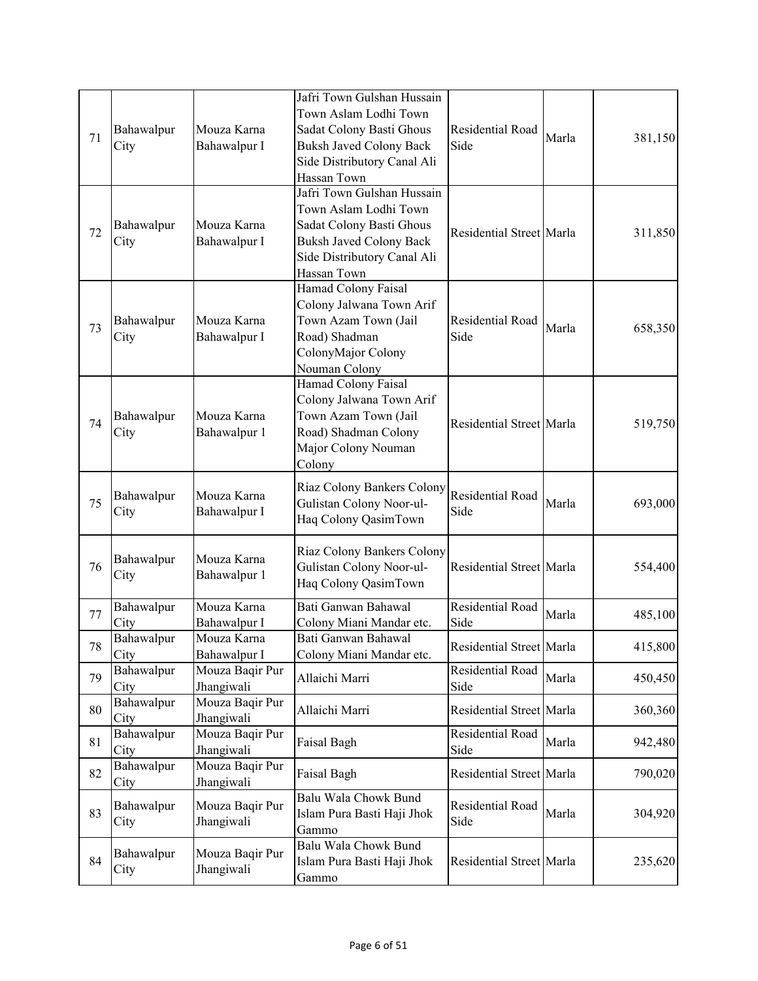| 71 | Bahawalpur<br>City | Mouza Karna<br>Bahawalpur I   | Jafri Town Gulshan Hussain<br>Town Aslam Lodhi Town<br>Sadat Colony Basti Ghous<br><b>Buksh Javed Colony Back</b><br>Side Distributory Canal Ali<br>Hassan Town | Residential Road<br>Side        | Marla | 381,150 |
|----|--------------------|-------------------------------|-----------------------------------------------------------------------------------------------------------------------------------------------------------------|---------------------------------|-------|---------|
| 72 | Bahawalpur<br>City | Mouza Karna<br>Bahawalpur I   | Jafri Town Gulshan Hussain<br>Town Aslam Lodhi Town<br>Sadat Colony Basti Ghous<br><b>Buksh Javed Colony Back</b><br>Side Distributory Canal Ali<br>Hassan Town | Residential Street Marla        |       | 311,850 |
| 73 | Bahawalpur<br>City | Mouza Karna<br>Bahawalpur I   | Hamad Colony Faisal<br>Colony Jalwana Town Arif<br>Town Azam Town (Jail<br>Road) Shadman<br>ColonyMajor Colony<br>Nouman Colony                                 | Residential Road<br>Side        | Marla | 658,350 |
| 74 | Bahawalpur<br>City | Mouza Karna<br>Bahawalpur 1   | Hamad Colony Faisal<br>Colony Jalwana Town Arif<br>Town Azam Town (Jail<br>Road) Shadman Colony<br>Major Colony Nouman<br>Colony                                | Residential Street Marla        |       | 519,750 |
| 75 | Bahawalpur<br>City | Mouza Karna<br>Bahawalpur I   | Riaz Colony Bankers Colony<br>Gulistan Colony Noor-ul-<br>Haq Colony QasimTown                                                                                  | Residential Road<br>Side        | Marla | 693,000 |
| 76 | Bahawalpur<br>City | Mouza Karna<br>Bahawalpur 1   | Riaz Colony Bankers Colony<br>Gulistan Colony Noor-ul-<br>Haq Colony QasimTown                                                                                  | Residential Street Marla        |       | 554,400 |
| 77 | Bahawalpur<br>City | Mouza Karna<br>Bahawalpur I   | Bati Ganwan Bahawal<br>Colony Miani Mandar etc.                                                                                                                 | Residential Road<br>Side        | Marla | 485,100 |
| 78 | Bahawalpur<br>City | Mouza Karna<br>Bahawalpur I   | Bati Ganwan Bahawal<br>Colony Miani Mandar etc.                                                                                                                 | Residential Street Marla        |       | 415,800 |
| 79 | Bahawalpur<br>City | Mouza Baqir Pur<br>Jhangiwali | Allaichi Marri                                                                                                                                                  | Residential Road<br>Side        | Marla | 450,450 |
| 80 | Bahawalpur<br>City | Mouza Baqir Pur<br>Jhangiwali | Allaichi Marri                                                                                                                                                  | Residential Street Marla        |       | 360,360 |
| 81 | Bahawalpur<br>City | Mouza Baqir Pur<br>Jhangiwali | Faisal Bagh                                                                                                                                                     | <b>Residential Road</b><br>Side | Marla | 942,480 |
| 82 | Bahawalpur<br>City | Mouza Baqir Pur<br>Jhangiwali | Faisal Bagh                                                                                                                                                     | Residential Street Marla        |       | 790,020 |
| 83 | Bahawalpur<br>City | Mouza Baqir Pur<br>Jhangiwali | Balu Wala Chowk Bund<br>Islam Pura Basti Haji Jhok<br>Gammo                                                                                                     | Residential Road<br>Side        | Marla | 304,920 |
| 84 | Bahawalpur<br>City | Mouza Baqir Pur<br>Jhangiwali | Balu Wala Chowk Bund<br>Islam Pura Basti Haji Jhok<br>Gammo                                                                                                     | Residential Street Marla        |       | 235,620 |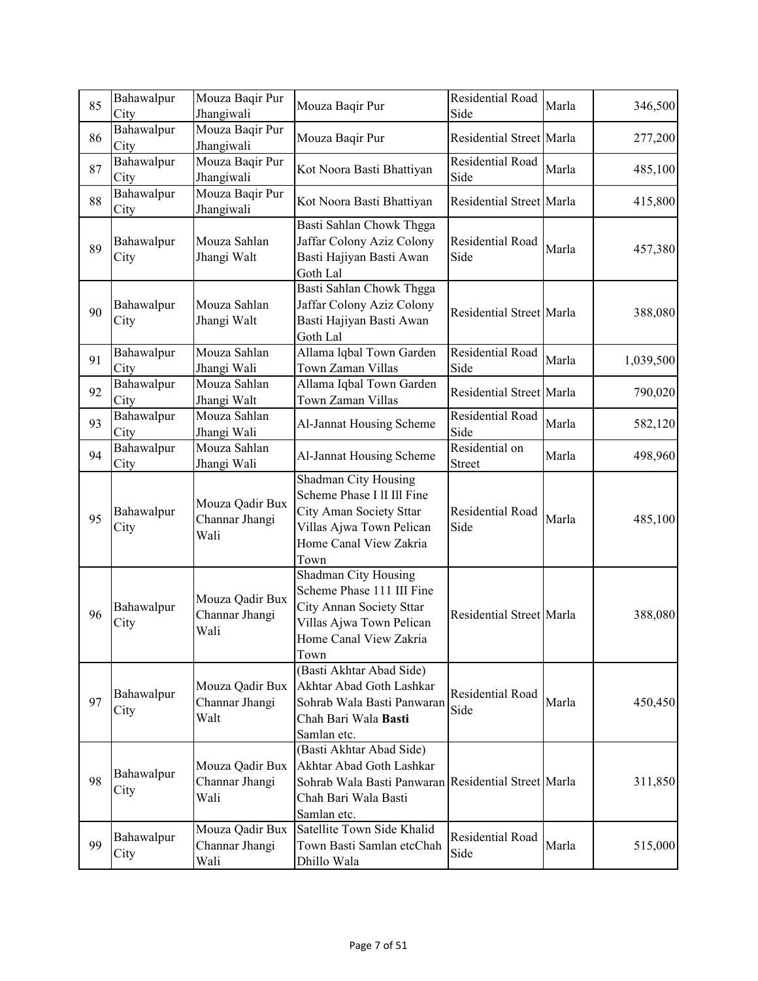| 85 | Bahawalpur<br>City | Mouza Baqir Pur<br>Jhangiwali             | Mouza Baqir Pur                                                                                                                                    | Residential Road<br>Side        | Marla | 346,500   |
|----|--------------------|-------------------------------------------|----------------------------------------------------------------------------------------------------------------------------------------------------|---------------------------------|-------|-----------|
| 86 | Bahawalpur<br>City | Mouza Baqir Pur<br>Jhangiwali             | Mouza Baqir Pur                                                                                                                                    | Residential Street Marla        |       | 277,200   |
| 87 | Bahawalpur<br>City | Mouza Baqir Pur<br>Jhangiwali             | Kot Noora Basti Bhattiyan                                                                                                                          | Residential Road<br>Side        | Marla | 485,100   |
| 88 | Bahawalpur<br>City | Mouza Baqir Pur<br>Jhangiwali             | Kot Noora Basti Bhattiyan                                                                                                                          | Residential Street Marla        |       | 415,800   |
| 89 | Bahawalpur<br>City | Mouza Sahlan<br>Jhangi Walt               | Basti Sahlan Chowk Thgga<br>Jaffar Colony Aziz Colony<br>Basti Hajiyan Basti Awan<br>Goth Lal                                                      | Residential Road<br>Side        | Marla | 457,380   |
| 90 | Bahawalpur<br>City | Mouza Sahlan<br>Jhangi Walt               | Basti Sahlan Chowk Thgga<br>Jaffar Colony Aziz Colony<br>Basti Hajiyan Basti Awan<br>Goth Lal                                                      | Residential Street Marla        |       | 388,080   |
| 91 | Bahawalpur<br>City | Mouza Sahlan<br>Jhangi Wali               | Allama lqbal Town Garden<br>Town Zaman Villas                                                                                                      | Residential Road<br>Side        | Marla | 1,039,500 |
| 92 | Bahawalpur<br>City | Mouza Sahlan<br>Jhangi Walt               | Allama Iqbal Town Garden<br>Town Zaman Villas                                                                                                      | Residential Street Marla        |       | 790,020   |
| 93 | Bahawalpur<br>City | Mouza Sahlan<br>Jhangi Wali               | Al-Jannat Housing Scheme                                                                                                                           | Residential Road<br>Side        | Marla | 582,120   |
| 94 | Bahawalpur<br>City | Mouza Sahlan<br>Jhangi Wali               | Al-Jannat Housing Scheme                                                                                                                           | Residential on<br><b>Street</b> | Marla | 498,960   |
| 95 | Bahawalpur<br>City | Mouza Qadir Bux<br>Channar Jhangi<br>Wali | Shadman City Housing<br>Scheme Phase I II III Fine<br>City Aman Society Sttar<br>Villas Ajwa Town Pelican<br>Home Canal View Zakria<br>Town        | Residential Road<br>Side        | Marla | 485,100   |
| 96 | Bahawalpur<br>City | Mouza Qadir Bux<br>Channar Jhangi<br>Wali | Shadman City Housing<br>Scheme Phase 111 III Fine<br>City Annan Society Sttar<br>Villas Ajwa Town Pelican<br>Home Canal View Zakria<br>Town        | Residential Street Marla        |       | 388,080   |
| 97 | Bahawalpur<br>City | Mouza Qadir Bux<br>Channar Jhangi<br>Walt | (Basti Akhtar Abad Side)<br>Akhtar Abad Goth Lashkar<br>Sohrab Wala Basti Panwaran<br>Chah Bari Wala Basti<br>Samlan etc.                          | Residential Road<br>Side        | Marla | 450,450   |
| 98 | Bahawalpur<br>City | Mouza Qadir Bux<br>Channar Jhangi<br>Wali | (Basti Akhtar Abad Side)<br>Akhtar Abad Goth Lashkar<br>Sohrab Wala Basti Panwaran Residential Street Marla<br>Chah Bari Wala Basti<br>Samlan etc. |                                 |       | 311,850   |
| 99 | Bahawalpur<br>City | Mouza Qadir Bux<br>Channar Jhangi<br>Wali | Satellite Town Side Khalid<br>Town Basti Samlan etcChah<br>Dhillo Wala                                                                             | Residential Road<br>Side        | Marla | 515,000   |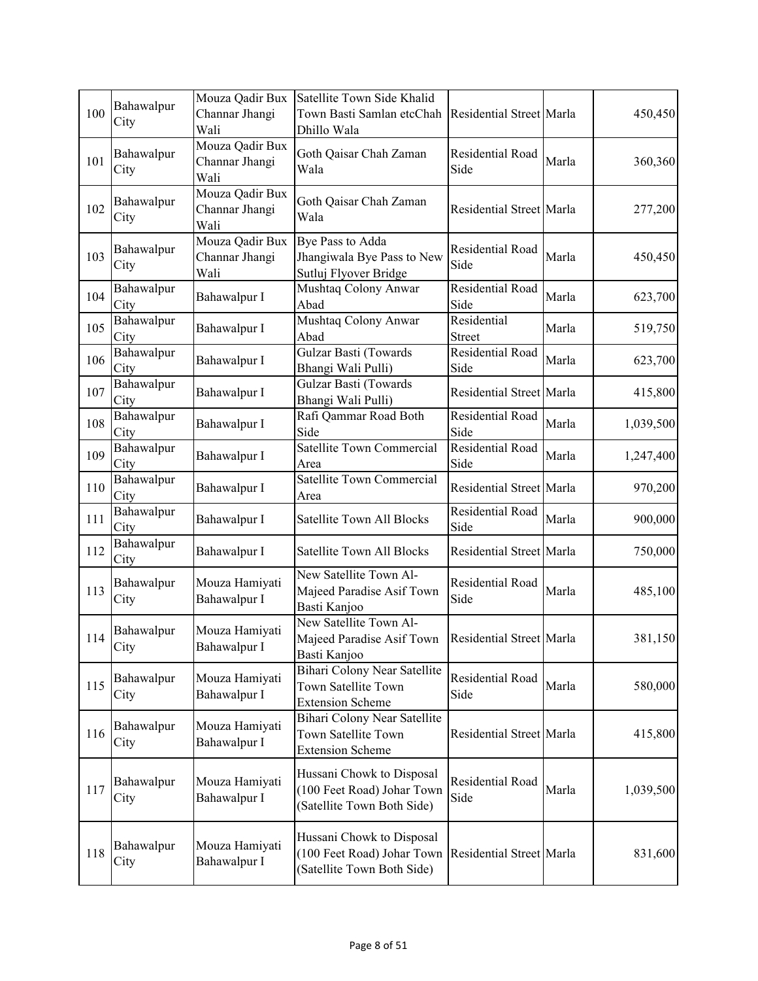| 100 | Bahawalpur<br>City | Mouza Qadir Bux<br>Channar Jhangi<br>Wali | Satellite Town Side Khalid<br>Town Basti Samlan etcChah<br>Dhillo Wala                | Residential Street Marla |       | 450,450   |
|-----|--------------------|-------------------------------------------|---------------------------------------------------------------------------------------|--------------------------|-------|-----------|
| 101 | Bahawalpur<br>City | Mouza Qadir Bux<br>Channar Jhangi<br>Wali | Goth Qaisar Chah Zaman<br>Wala                                                        | Residential Road<br>Side | Marla | 360,360   |
| 102 | Bahawalpur<br>City | Mouza Qadir Bux<br>Channar Jhangi<br>Wali | Goth Qaisar Chah Zaman<br>Wala                                                        | Residential Street Marla |       | 277,200   |
| 103 | Bahawalpur<br>City | Mouza Qadir Bux<br>Channar Jhangi<br>Wali | Bye Pass to Adda<br>Jhangiwala Bye Pass to New<br>Sutluj Flyover Bridge               | Residential Road<br>Side | Marla | 450,450   |
| 104 | Bahawalpur<br>City | Bahawalpur I                              | Mushtaq Colony Anwar<br>Abad                                                          | Residential Road<br>Side | Marla | 623,700   |
| 105 | Bahawalpur<br>City | Bahawalpur I                              | Mushtaq Colony Anwar<br>Abad                                                          | Residential<br>Street    | Marla | 519,750   |
| 106 | Bahawalpur<br>City | Bahawalpur I                              | Gulzar Basti (Towards<br>Bhangi Wali Pulli)                                           | Residential Road<br>Side | Marla | 623,700   |
| 107 | Bahawalpur<br>City | Bahawalpur I                              | Gulzar Basti (Towards<br>Bhangi Wali Pulli)                                           | Residential Street Marla |       | 415,800   |
| 108 | Bahawalpur<br>City | Bahawalpur I                              | Rafi Qammar Road Both<br>Side                                                         | Residential Road<br>Side | Marla | 1,039,500 |
| 109 | Bahawalpur<br>City | Bahawalpur I                              | Satellite Town Commercial<br>Area                                                     | Residential Road<br>Side | Marla | 1,247,400 |
| 110 | Bahawalpur<br>City | Bahawalpur I                              | Satellite Town Commercial<br>Area                                                     | Residential Street Marla |       | 970,200   |
| 111 | Bahawalpur<br>City | Bahawalpur I                              | <b>Satellite Town All Blocks</b>                                                      | Residential Road<br>Side | Marla | 900,000   |
| 112 | Bahawalpur<br>City | Bahawalpur I                              | Satellite Town All Blocks                                                             | Residential Street Marla |       | 750,000   |
| 113 | Bahawalpur<br>City | Mouza Hamiyati<br>Bahawalpur I            | New Satellite Town Al-<br>Majeed Paradise Asif Town<br>Basti Kanjoo                   | Residential Road<br>Side | Marla | 485,100   |
| 114 | Bahawalpur<br>City | Mouza Hamiyati<br>Bahawalpur I            | New Satellite Town Al-<br>Majeed Paradise Asif Town<br>Basti Kanjoo                   | Residential Street Marla |       | 381,150   |
| 115 | Bahawalpur<br>City | Mouza Hamiyati<br>Bahawalpur I            | Bihari Colony Near Satellite<br>Town Satellite Town<br><b>Extension Scheme</b>        | Residential Road<br>Side | Marla | 580,000   |
| 116 | Bahawalpur<br>City | Mouza Hamiyati<br>Bahawalpur I            | Bihari Colony Near Satellite<br>Town Satellite Town<br><b>Extension Scheme</b>        | Residential Street Marla |       | 415,800   |
| 117 | Bahawalpur<br>City | Mouza Hamiyati<br>Bahawalpur I            | Hussani Chowk to Disposal<br>(100 Feet Road) Johar Town<br>(Satellite Town Both Side) | Residential Road<br>Side | Marla | 1,039,500 |
| 118 | Bahawalpur<br>City | Mouza Hamiyati<br>Bahawalpur I            | Hussani Chowk to Disposal<br>(100 Feet Road) Johar Town<br>(Satellite Town Both Side) | Residential Street Marla |       | 831,600   |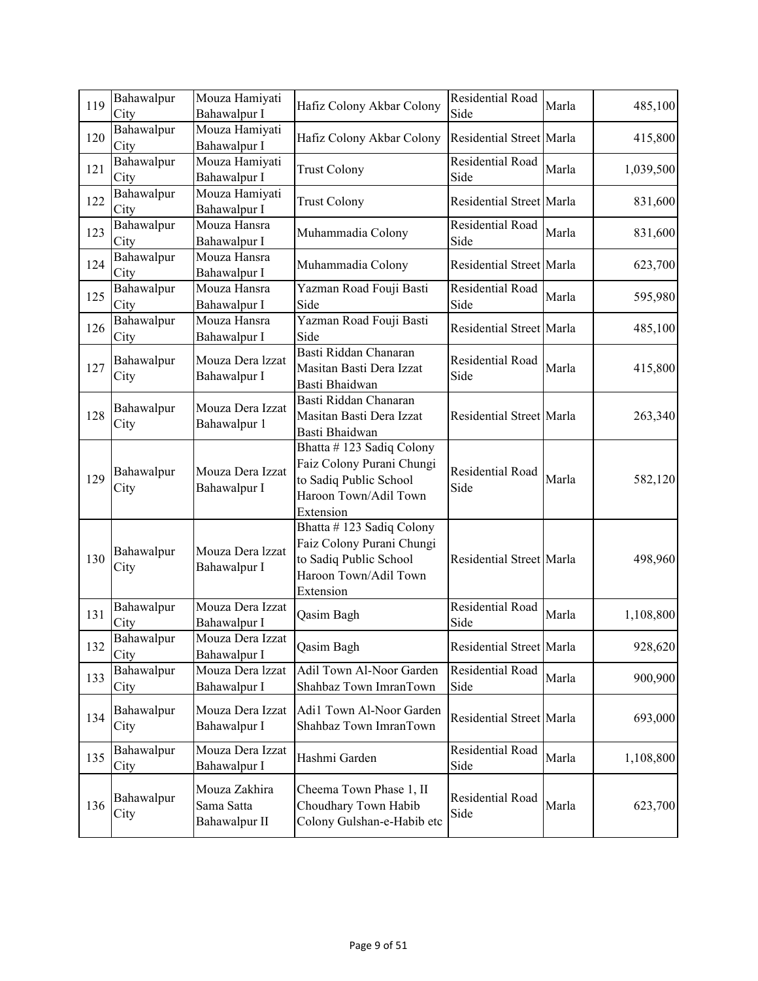| 119 | Bahawalpur<br>City | Mouza Hamiyati<br>Bahawalpur I               | Hafiz Colony Akbar Colony                                                                                                          | Residential Road<br>Side | Marla | 485,100   |
|-----|--------------------|----------------------------------------------|------------------------------------------------------------------------------------------------------------------------------------|--------------------------|-------|-----------|
| 120 | Bahawalpur<br>City | Mouza Hamiyati<br>Bahawalpur I               | Hafiz Colony Akbar Colony                                                                                                          | Residential Street Marla |       | 415,800   |
| 121 | Bahawalpur<br>City | Mouza Hamiyati<br>Bahawalpur I               | <b>Trust Colony</b>                                                                                                                | Residential Road<br>Side | Marla | 1,039,500 |
| 122 | Bahawalpur<br>City | Mouza Hamiyati<br>Bahawalpur I               | <b>Trust Colony</b>                                                                                                                | Residential Street Marla |       | 831,600   |
| 123 | Bahawalpur<br>City | Mouza Hansra<br>Bahawalpur I                 | Muhammadia Colony                                                                                                                  | Residential Road<br>Side | Marla | 831,600   |
| 124 | Bahawalpur<br>City | Mouza Hansra<br>Bahawalpur I                 | Muhammadia Colony                                                                                                                  | Residential Street Marla |       | 623,700   |
| 125 | Bahawalpur<br>City | Mouza Hansra<br>Bahawalpur I                 | Yazman Road Fouji Basti<br>Side                                                                                                    | Residential Road<br>Side | Marla | 595,980   |
| 126 | Bahawalpur<br>City | Mouza Hansra<br>Bahawalpur I                 | Yazman Road Fouji Basti<br>Side                                                                                                    | Residential Street Marla |       | 485,100   |
| 127 | Bahawalpur<br>City | Mouza Dera Izzat<br>Bahawalpur I             | Basti Riddan Chanaran<br>Masitan Basti Dera Izzat<br>Basti Bhaidwan                                                                | Residential Road<br>Side | Marla | 415,800   |
| 128 | Bahawalpur<br>City | Mouza Dera Izzat<br>Bahawalpur 1             | Basti Riddan Chanaran<br>Masitan Basti Dera Izzat<br>Basti Bhaidwan                                                                | Residential Street Marla |       | 263,340   |
| 129 | Bahawalpur<br>City | Mouza Dera Izzat<br>Bahawalpur I             | Bhatta #123 Sadiq Colony<br>Faiz Colony Purani Chungi<br>to Sadiq Public School<br>Haroon Town/Adil Town                           | Residential Road<br>Side | Marla | 582,120   |
| 130 | Bahawalpur<br>City | Mouza Dera Izzat<br>Bahawalpur I             | Extension<br>Bhatta #123 Sadiq Colony<br>Faiz Colony Purani Chungi<br>to Sadiq Public School<br>Haroon Town/Adil Town<br>Extension | Residential Street Marla |       | 498,960   |
| 131 | Bahawalpur<br>City | Mouza Dera Izzat<br>Bahawalpur I             | Qasim Bagh                                                                                                                         | Residential Road<br>Side | Marla | 1,108,800 |
| 132 | Bahawalpur<br>City | Mouza Dera Izzat<br>Bahawalpur I             | Qasim Bagh                                                                                                                         | Residential Street Marla |       | 928,620   |
| 133 | Bahawalpur<br>City | Mouza Dera Izzat<br>Bahawalpur I             | Adil Town Al-Noor Garden<br>Shahbaz Town ImranTown                                                                                 | Residential Road<br>Side | Marla | 900,900   |
| 134 | Bahawalpur<br>City | Mouza Dera Izzat<br>Bahawalpur I             | Adi1 Town Al-Noor Garden<br>Shahbaz Town ImranTown                                                                                 | Residential Street Marla |       | 693,000   |
| 135 | Bahawalpur<br>City | Mouza Dera Izzat<br>Bahawalpur I             | Hashmi Garden                                                                                                                      | Residential Road<br>Side | Marla | 1,108,800 |
| 136 | Bahawalpur<br>City | Mouza Zakhira<br>Sama Satta<br>Bahawalpur II | Cheema Town Phase 1, II<br>Choudhary Town Habib<br>Colony Gulshan-e-Habib etc                                                      | Residential Road<br>Side | Marla | 623,700   |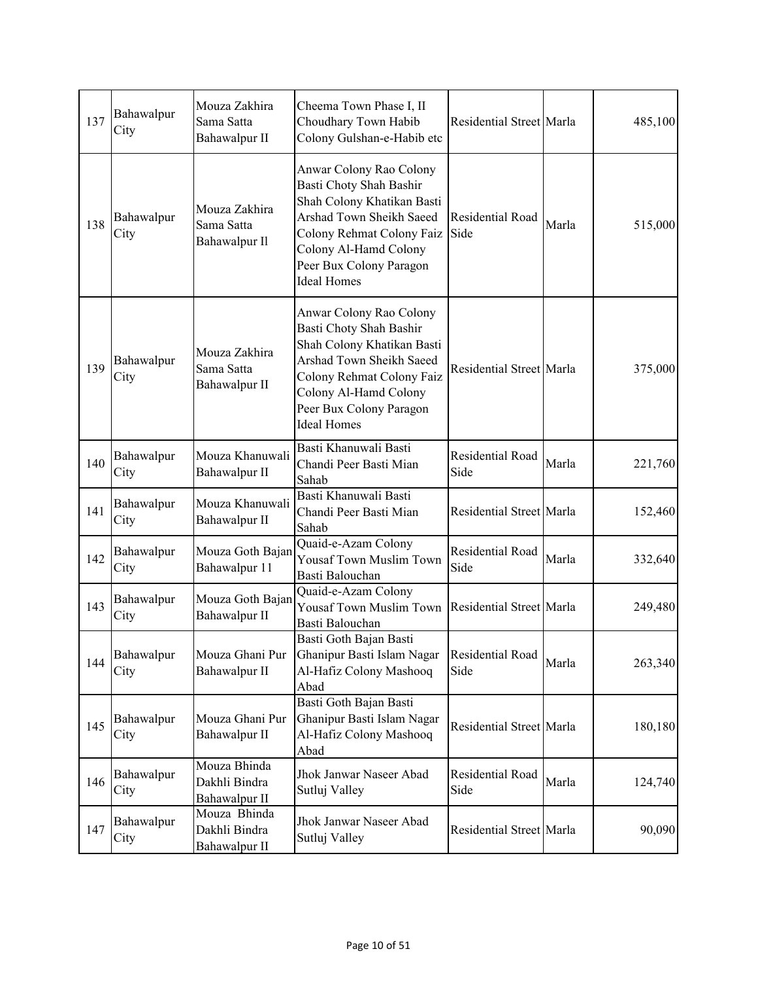| 137 | Bahawalpur<br>City | Mouza Zakhira<br>Sama Satta<br>Bahawalpur II   | Cheema Town Phase I, II<br>Choudhary Town Habib<br>Colony Gulshan-e-Habib etc                                                                                                                                       | Residential Street Marla |       | 485,100 |
|-----|--------------------|------------------------------------------------|---------------------------------------------------------------------------------------------------------------------------------------------------------------------------------------------------------------------|--------------------------|-------|---------|
| 138 | Bahawalpur<br>City | Mouza Zakhira<br>Sama Satta<br>Bahawalpur Il   | Anwar Colony Rao Colony<br>Basti Choty Shah Bashir<br>Shah Colony Khatikan Basti<br>Arshad Town Sheikh Saeed<br>Colony Rehmat Colony Faiz<br>Colony Al-Hamd Colony<br>Peer Bux Colony Paragon<br><b>Ideal Homes</b> | Residential Road<br>Side | Marla | 515,000 |
| 139 | Bahawalpur<br>City | Mouza Zakhira<br>Sama Satta<br>Bahawalpur II   | Anwar Colony Rao Colony<br>Basti Choty Shah Bashir<br>Shah Colony Khatikan Basti<br>Arshad Town Sheikh Saeed<br>Colony Rehmat Colony Faiz<br>Colony Al-Hamd Colony<br>Peer Bux Colony Paragon<br><b>Ideal Homes</b> | Residential Street Marla |       | 375,000 |
| 140 | Bahawalpur<br>City | Mouza Khanuwali<br>Bahawalpur II               | Basti Khanuwali Basti<br>Chandi Peer Basti Mian<br>Sahab                                                                                                                                                            | Residential Road<br>Side | Marla | 221,760 |
| 141 | Bahawalpur<br>City | Mouza Khanuwali<br>Bahawalpur II               | Basti Khanuwali Basti<br>Chandi Peer Basti Mian<br>Sahab                                                                                                                                                            | Residential Street Marla |       | 152,460 |
| 142 | Bahawalpur<br>City | Mouza Goth Bajan<br>Bahawalpur 11              | Quaid-e-Azam Colony<br>Yousaf Town Muslim Town<br>Basti Balouchan                                                                                                                                                   | Residential Road<br>Side | Marla | 332,640 |
| 143 | Bahawalpur<br>City | Mouza Goth Bajan<br>Bahawalpur II              | Quaid-e-Azam Colony<br>Yousaf Town Muslim Town<br>Basti Balouchan                                                                                                                                                   | Residential Street Marla |       | 249,480 |
| 144 | Bahawalpur<br>City | Mouza Ghani Pur<br>Bahawalpur II               | Basti Goth Bajan Basti<br>Ghanipur Basti Islam Nagar<br>Al-Hafiz Colony Mashooq<br>Abad                                                                                                                             | Residential Road<br>Side | Marla | 263,340 |
| 145 | Bahawalpur<br>City | Mouza Ghani Pur<br>Bahawalpur II               | Basti Goth Bajan Basti<br>Ghanipur Basti Islam Nagar<br>Al-Hafiz Colony Mashooq<br>Abad                                                                                                                             | Residential Street Marla |       | 180,180 |
| 146 | Bahawalpur<br>City | Mouza Bhinda<br>Dakhli Bindra<br>Bahawalpur II | Jhok Janwar Naseer Abad<br>Sutluj Valley                                                                                                                                                                            | Residential Road<br>Side | Marla | 124,740 |
| 147 | Bahawalpur<br>City | Mouza Bhinda<br>Dakhli Bindra<br>Bahawalpur II | Jhok Janwar Naseer Abad<br>Sutluj Valley                                                                                                                                                                            | Residential Street Marla |       | 90,090  |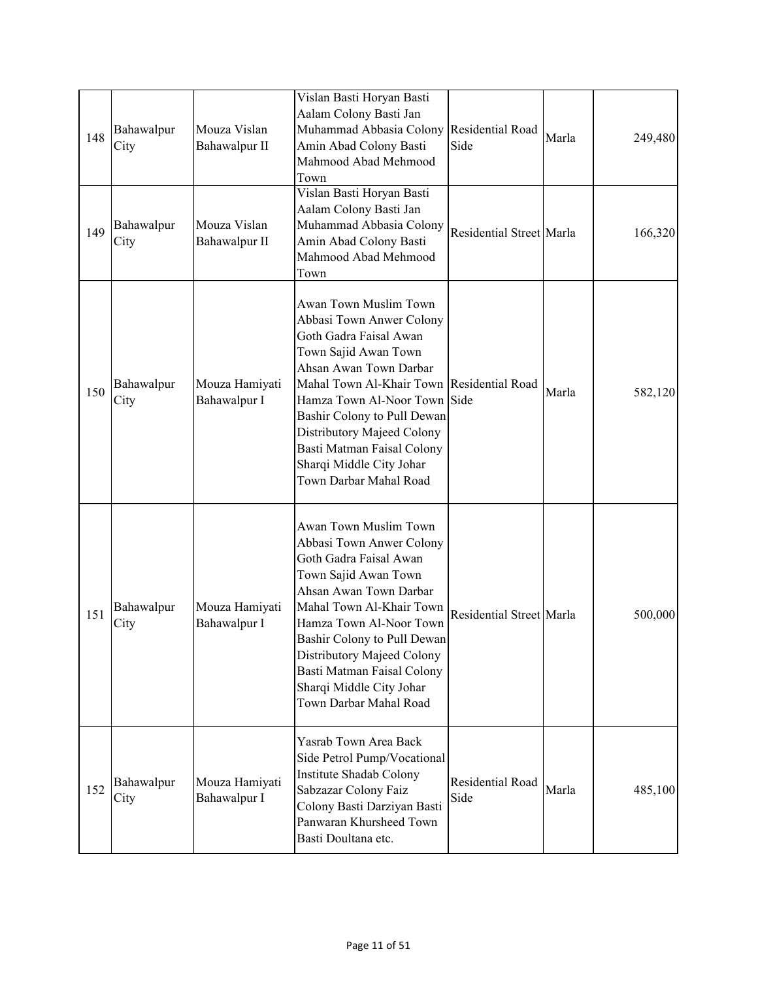| 148 | Bahawalpur<br>City | Mouza Vislan<br>Bahawalpur II  | Vislan Basti Horyan Basti<br>Aalam Colony Basti Jan<br>Muhammad Abbasia Colony Residential Road<br>Amin Abad Colony Basti<br>Mahmood Abad Mehmood<br>Town                                                                                                                                                                                                   | Side                     | Marla | 249,480 |
|-----|--------------------|--------------------------------|-------------------------------------------------------------------------------------------------------------------------------------------------------------------------------------------------------------------------------------------------------------------------------------------------------------------------------------------------------------|--------------------------|-------|---------|
| 149 | Bahawalpur<br>City | Mouza Vislan<br>Bahawalpur II  | Vislan Basti Horyan Basti<br>Aalam Colony Basti Jan<br>Muhammad Abbasia Colony<br>Amin Abad Colony Basti<br>Mahmood Abad Mehmood<br>Town                                                                                                                                                                                                                    | Residential Street Marla |       | 166,320 |
| 150 | Bahawalpur<br>City | Mouza Hamiyati<br>Bahawalpur I | Awan Town Muslim Town<br>Abbasi Town Anwer Colony<br>Goth Gadra Faisal Awan<br>Town Sajid Awan Town<br>Ahsan Awan Town Darbar<br>Mahal Town Al-Khair Town Residential Road<br>Hamza Town Al-Noor Town Side<br>Bashir Colony to Pull Dewan<br>Distributory Majeed Colony<br>Basti Matman Faisal Colony<br>Sharqi Middle City Johar<br>Town Darbar Mahal Road |                          | Marla | 582,120 |
| 151 | Bahawalpur<br>City | Mouza Hamiyati<br>Bahawalpur I | Awan Town Muslim Town<br>Abbasi Town Anwer Colony<br>Goth Gadra Faisal Awan<br>Town Sajid Awan Town<br>Ahsan Awan Town Darbar<br>Mahal Town Al-Khair Town<br>Hamza Town Al-Noor Town<br>Bashir Colony to Pull Dewan<br>Distributory Majeed Colony<br>Basti Matman Faisal Colony<br>Sharqi Middle City Johar<br>Town Darbar Mahal Road                       | Residential Street Marla |       | 500,000 |
| 152 | Bahawalpur<br>City | Mouza Hamiyati<br>Bahawalpur I | Yasrab Town Area Back<br>Side Petrol Pump/Vocational<br>Institute Shadab Colony<br>Sabzazar Colony Faiz<br>Colony Basti Darziyan Basti<br>Panwaran Khursheed Town<br>Basti Doultana etc.                                                                                                                                                                    | Residential Road<br>Side | Marla | 485,100 |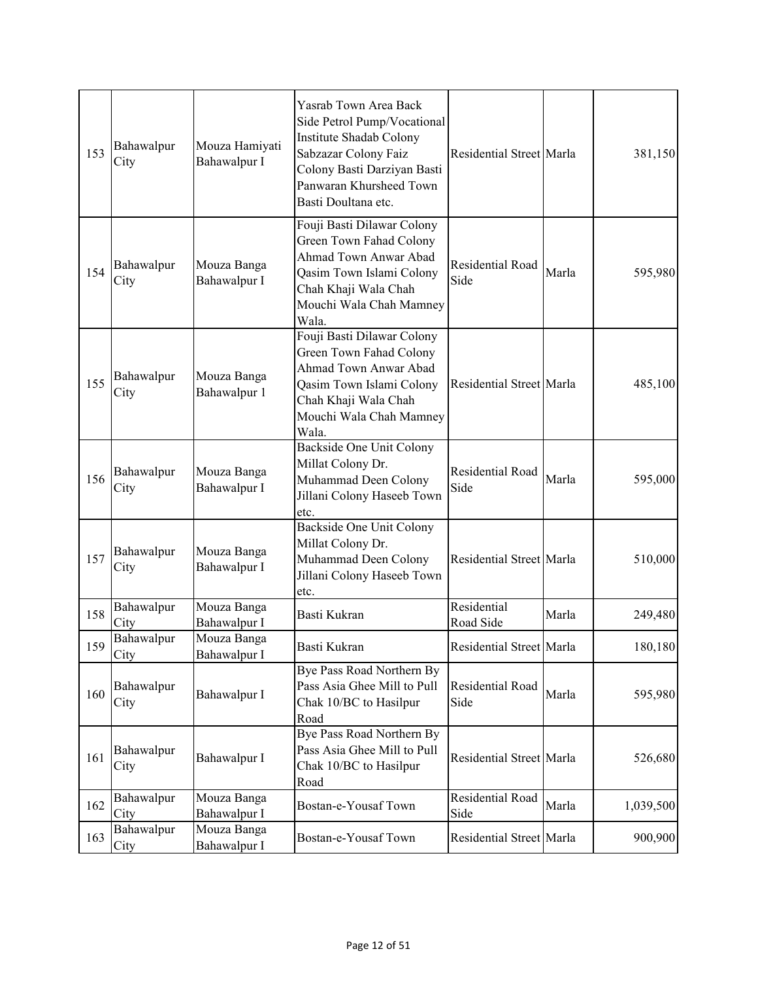| 153 | Bahawalpur<br>City | Mouza Hamiyati<br>Bahawalpur I | Yasrab Town Area Back<br>Side Petrol Pump/Vocational<br>Institute Shadab Colony<br>Sabzazar Colony Faiz<br>Colony Basti Darziyan Basti<br>Panwaran Khursheed Town<br>Basti Doultana etc. | Residential Street Marla |       | 381,150   |
|-----|--------------------|--------------------------------|------------------------------------------------------------------------------------------------------------------------------------------------------------------------------------------|--------------------------|-------|-----------|
| 154 | Bahawalpur<br>City | Mouza Banga<br>Bahawalpur I    | Fouji Basti Dilawar Colony<br>Green Town Fahad Colony<br>Ahmad Town Anwar Abad<br>Qasim Town Islami Colony<br>Chah Khaji Wala Chah<br>Mouchi Wala Chah Mamney<br>Wala.                   | Residential Road<br>Side | Marla | 595,980   |
| 155 | Bahawalpur<br>City | Mouza Banga<br>Bahawalpur 1    | Fouji Basti Dilawar Colony<br>Green Town Fahad Colony<br>Ahmad Town Anwar Abad<br>Qasim Town Islami Colony<br>Chah Khaji Wala Chah<br>Mouchi Wala Chah Mamney<br>Wala.                   | Residential Street Marla |       | 485,100   |
| 156 | Bahawalpur<br>City | Mouza Banga<br>Bahawalpur I    | <b>Backside One Unit Colony</b><br>Millat Colony Dr.<br>Muhammad Deen Colony<br>Jillani Colony Haseeb Town<br>etc.                                                                       | Residential Road<br>Side | Marla | 595,000   |
| 157 | Bahawalpur<br>City | Mouza Banga<br>Bahawalpur I    | Backside One Unit Colony<br>Millat Colony Dr.<br>Muhammad Deen Colony<br>Jillani Colony Haseeb Town<br>etc.                                                                              | Residential Street Marla |       | 510,000   |
| 158 | Bahawalpur<br>City | Mouza Banga<br>Bahawalpur I    | Basti Kukran                                                                                                                                                                             | Residential<br>Road Side | Marla | 249,480   |
| 159 | Bahawalpur<br>City | Mouza Banga<br>Bahawalpur I    | Basti Kukran                                                                                                                                                                             | Residential Street Marla |       | 180,180   |
| 160 | Bahawalpur<br>City | Bahawalpur I                   | Bye Pass Road Northern By<br>Pass Asia Ghee Mill to Pull<br>Chak 10/BC to Hasilpur<br>Road                                                                                               | Residential Road<br>Side | Marla | 595,980   |
| 161 | Bahawalpur<br>City | Bahawalpur I                   | Bye Pass Road Northern By<br>Pass Asia Ghee Mill to Pull<br>Chak 10/BC to Hasilpur<br>Road                                                                                               | Residential Street Marla |       | 526,680   |
| 162 | Bahawalpur<br>City | Mouza Banga<br>Bahawalpur I    | Bostan-e-Yousaf Town                                                                                                                                                                     | Residential Road<br>Side | Marla | 1,039,500 |
| 163 | Bahawalpur<br>City | Mouza Banga<br>Bahawalpur I    | Bostan-e-Yousaf Town                                                                                                                                                                     | Residential Street Marla |       | 900,900   |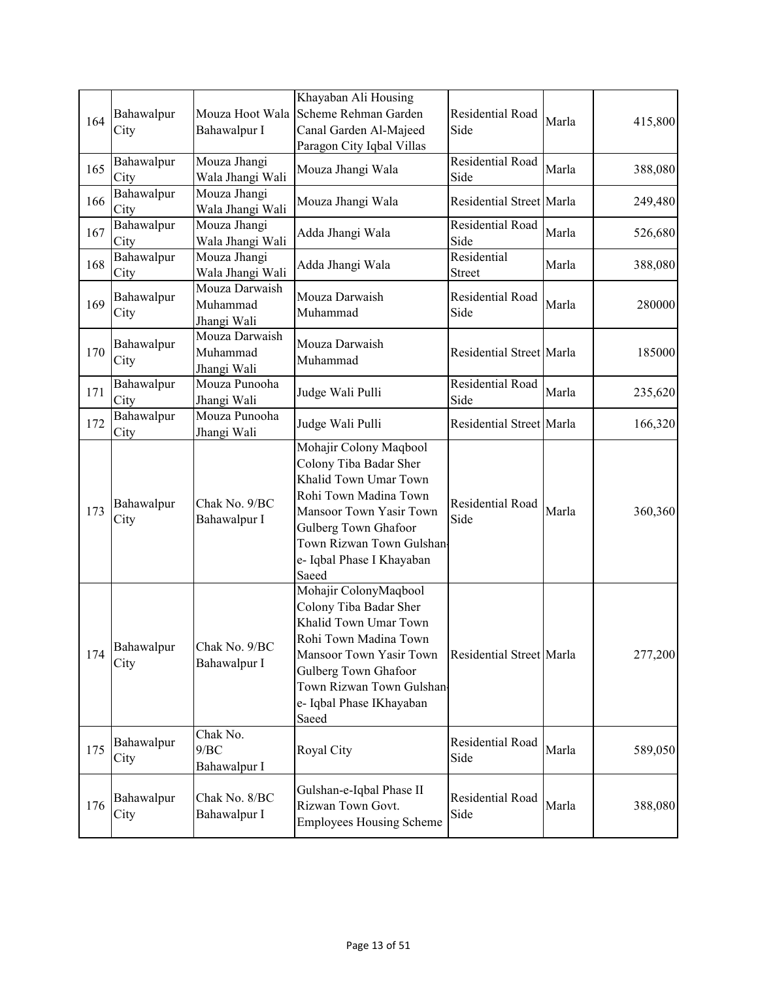| 164 | Bahawalpur<br>City | Mouza Hoot Wala<br>Bahawalpur I           | Khayaban Ali Housing<br>Scheme Rehman Garden<br>Canal Garden Al-Majeed                                                                                                                                                  | Residential Road<br>Side     | Marla | 415,800 |
|-----|--------------------|-------------------------------------------|-------------------------------------------------------------------------------------------------------------------------------------------------------------------------------------------------------------------------|------------------------------|-------|---------|
|     |                    |                                           | Paragon City Iqbal Villas                                                                                                                                                                                               |                              |       |         |
| 165 | Bahawalpur<br>City | Mouza Jhangi<br>Wala Jhangi Wali          | Mouza Jhangi Wala                                                                                                                                                                                                       | Residential Road<br>Side     | Marla | 388,080 |
| 166 | Bahawalpur<br>City | Mouza Jhangi<br>Wala Jhangi Wali          | Mouza Jhangi Wala                                                                                                                                                                                                       | Residential Street Marla     |       | 249,480 |
| 167 | Bahawalpur<br>City | Mouza Jhangi<br>Wala Jhangi Wali          | Adda Jhangi Wala                                                                                                                                                                                                        | Residential Road<br>Side     | Marla | 526,680 |
| 168 | Bahawalpur<br>City | Mouza Jhangi<br>Wala Jhangi Wali          | Adda Jhangi Wala                                                                                                                                                                                                        | Residential<br><b>Street</b> | Marla | 388,080 |
| 169 | Bahawalpur<br>City | Mouza Darwaish<br>Muhammad<br>Jhangi Wali | Mouza Darwaish<br>Muhammad                                                                                                                                                                                              | Residential Road<br>Side     | Marla | 280000  |
| 170 | Bahawalpur<br>City | Mouza Darwaish<br>Muhammad<br>Jhangi Wali | Mouza Darwaish<br>Muhammad                                                                                                                                                                                              | Residential Street Marla     |       | 185000  |
| 171 | Bahawalpur<br>City | Mouza Punooha<br>Jhangi Wali              | Judge Wali Pulli                                                                                                                                                                                                        | Residential Road<br>Side     | Marla | 235,620 |
| 172 | Bahawalpur<br>City | Mouza Punooha<br>Jhangi Wali              | Judge Wali Pulli                                                                                                                                                                                                        | Residential Street Marla     |       | 166,320 |
| 173 | Bahawalpur<br>City | Chak No. 9/BC<br>Bahawalpur I             | Mohajir Colony Maqbool<br>Colony Tiba Badar Sher<br>Khalid Town Umar Town<br>Rohi Town Madina Town<br>Mansoor Town Yasir Town<br>Gulberg Town Ghafoor<br>Town Rizwan Town Gulshan<br>e- Iqbal Phase I Khayaban<br>Saeed | Residential Road<br>Side     | Marla | 360,360 |
| 174 | Bahawalpur<br>City | Chak No. 9/BC<br>Bahawalpur I             | Mohajir ColonyMaqbool<br>Colony Tiba Badar Sher<br>Khalid Town Umar Town<br>Rohi Town Madina Town<br>Mansoor Town Yasir Town<br>Gulberg Town Ghafoor<br>Town Rizwan Town Gulshan<br>e- Iqbal Phase IKhayaban<br>Saeed   | Residential Street Marla     |       | 277,200 |
| 175 | Bahawalpur<br>City | Chak No.<br>9/BC<br>Bahawalpur I          | Royal City                                                                                                                                                                                                              | Residential Road<br>Side     | Marla | 589,050 |
| 176 | Bahawalpur<br>City | Chak No. 8/BC<br>Bahawalpur I             | Gulshan-e-Iqbal Phase II<br>Rizwan Town Govt.<br><b>Employees Housing Scheme</b>                                                                                                                                        | Residential Road<br>Side     | Marla | 388,080 |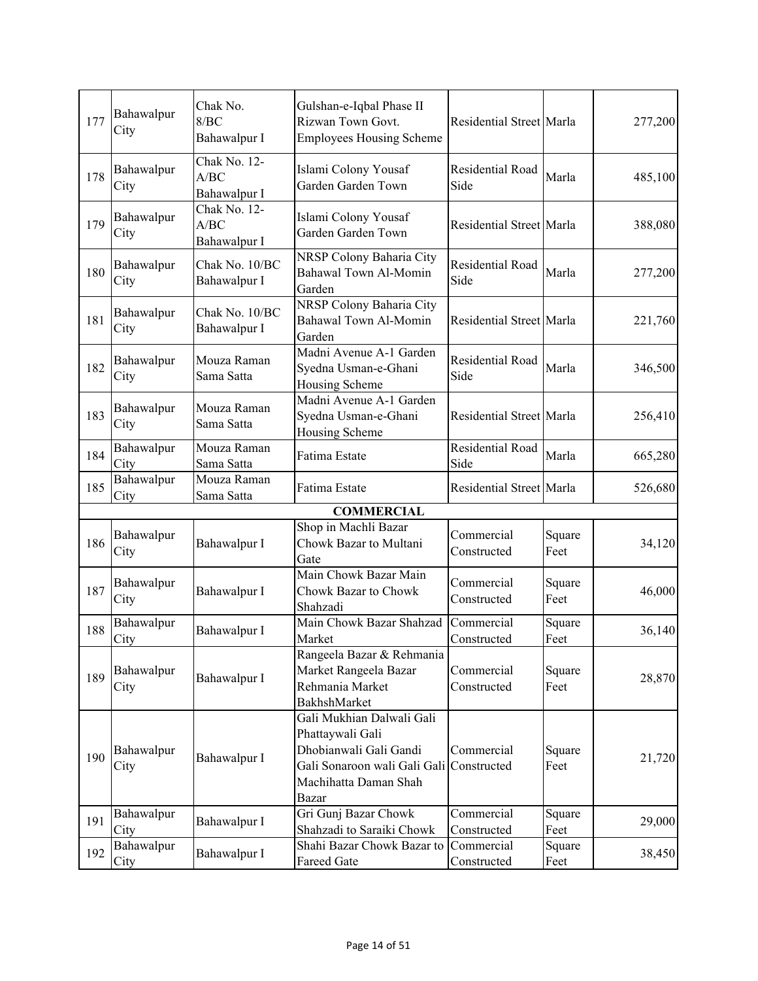|     | Bahawalpur         | Chak No.                             | Gulshan-e-Iqbal Phase II                                                                                                                              |                           |                |         |
|-----|--------------------|--------------------------------------|-------------------------------------------------------------------------------------------------------------------------------------------------------|---------------------------|----------------|---------|
| 177 | City               | 8/BC<br>Bahawalpur I                 | Rizwan Town Govt.<br><b>Employees Housing Scheme</b>                                                                                                  | Residential Street Marla  |                | 277,200 |
| 178 | Bahawalpur<br>City | Chak No. 12-<br>A/BC<br>Bahawalpur I | Islami Colony Yousaf<br>Garden Garden Town                                                                                                            | Residential Road<br>Side  | Marla          | 485,100 |
| 179 | Bahawalpur<br>City | Chak No. 12-<br>A/BC<br>Bahawalpur I | Islami Colony Yousaf<br>Garden Garden Town                                                                                                            | Residential Street Marla  |                | 388,080 |
| 180 | Bahawalpur<br>City | Chak No. 10/BC<br>Bahawalpur I       | NRSP Colony Baharia City<br><b>Bahawal Town Al-Momin</b><br>Garden                                                                                    | Residential Road<br>Side  | Marla          | 277,200 |
| 181 | Bahawalpur<br>City | Chak No. 10/BC<br>Bahawalpur I       | NRSP Colony Baharia City<br>Bahawal Town Al-Momin<br>Garden                                                                                           | Residential Street Marla  |                | 221,760 |
| 182 | Bahawalpur<br>City | Mouza Raman<br>Sama Satta            | Madni Avenue A-1 Garden<br>Syedna Usman-e-Ghani<br>Housing Scheme                                                                                     | Residential Road<br>Side  | Marla          | 346,500 |
| 183 | Bahawalpur<br>City | Mouza Raman<br>Sama Satta            | Madni Avenue A-1 Garden<br>Syedna Usman-e-Ghani<br>Housing Scheme                                                                                     | Residential Street Marla  |                | 256,410 |
| 184 | Bahawalpur<br>City | Mouza Raman<br>Sama Satta            | Fatima Estate                                                                                                                                         | Residential Road<br>Side  | Marla          | 665,280 |
| 185 | Bahawalpur<br>City | Mouza Raman<br>Sama Satta            | Fatima Estate                                                                                                                                         | Residential Street Marla  |                | 526,680 |
|     |                    |                                      | <b>COMMERCIAL</b>                                                                                                                                     |                           |                |         |
| 186 | Bahawalpur<br>City | Bahawalpur I                         | Shop in Machli Bazar<br>Chowk Bazar to Multani<br>Gate                                                                                                | Commercial<br>Constructed | Square<br>Feet | 34,120  |
| 187 | Bahawalpur<br>City | Bahawalpur I                         | Main Chowk Bazar Main<br>Chowk Bazar to Chowk<br>Shahzadi                                                                                             | Commercial<br>Constructed | Square<br>Feet | 46,000  |
| 188 | Bahawalpur<br>City | Bahawalpur I                         | Main Chowk Bazar Shahzad<br>Market                                                                                                                    | Commercial<br>Constructed | Square<br>Feet | 36,140  |
| 189 | Bahawalpur<br>City | Bahawalpur I                         | Rangeela Bazar & Rehmania<br>Market Rangeela Bazar<br>Rehmania Market<br>BakhshMarket                                                                 | Commercial<br>Constructed | Square<br>Feet | 28,870  |
| 190 | Bahawalpur<br>City | Bahawalpur I                         | Gali Mukhian Dalwali Gali<br>Phattaywali Gali<br>Dhobianwali Gali Gandi<br>Gali Sonaroon wali Gali Gali Constructed<br>Machihatta Daman Shah<br>Bazar | Commercial                | Square<br>Feet | 21,720  |
| 191 | Bahawalpur<br>City | Bahawalpur I                         | Gri Gunj Bazar Chowk<br>Shahzadi to Saraiki Chowk                                                                                                     | Commercial<br>Constructed | Square<br>Feet | 29,000  |
| 192 | Bahawalpur<br>City | Bahawalpur I                         | Shahi Bazar Chowk Bazar to<br>Fareed Gate                                                                                                             | Commercial<br>Constructed | Square<br>Feet | 38,450  |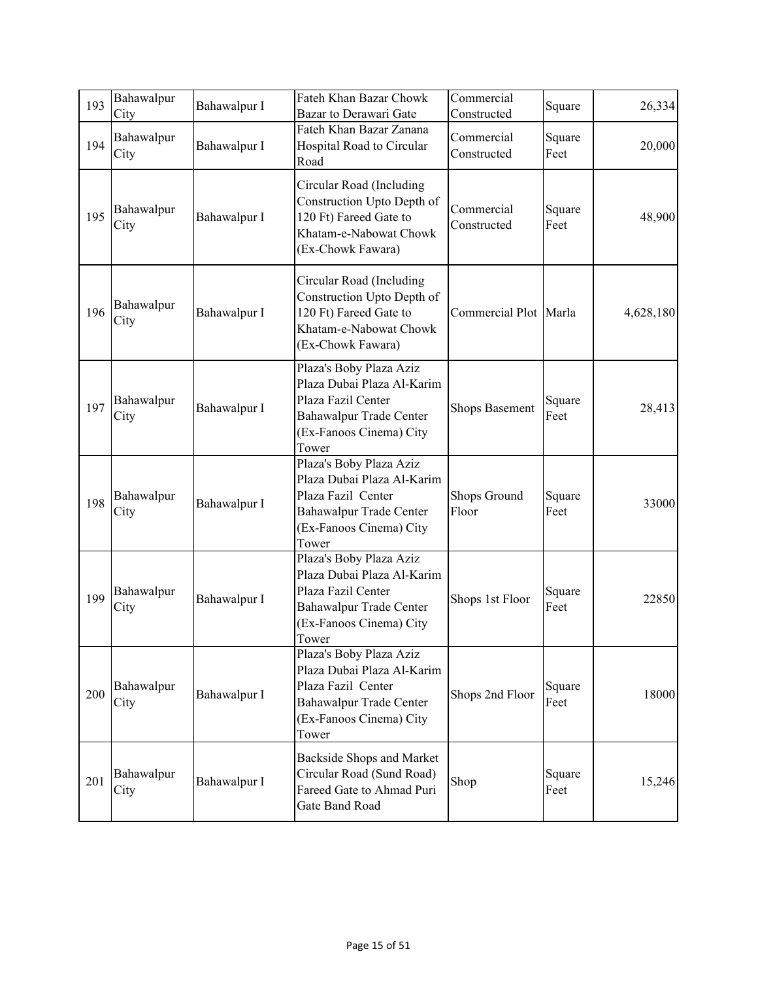| 193 | Bahawalpur<br>City | Bahawalpur I | Fateh Khan Bazar Chowk<br>Bazar to Derawari Gate                                                                                           | Commercial<br>Constructed | Square         | 26,334    |
|-----|--------------------|--------------|--------------------------------------------------------------------------------------------------------------------------------------------|---------------------------|----------------|-----------|
| 194 | Bahawalpur<br>City | Bahawalpur I | Fateh Khan Bazar Zanana<br>Hospital Road to Circular<br>Road                                                                               | Commercial<br>Constructed | Square<br>Feet | 20,000    |
| 195 | Bahawalpur<br>City | Bahawalpur I | Circular Road (Including<br>Construction Upto Depth of<br>120 Ft) Fareed Gate to<br>Khatam-e-Nabowat Chowk<br>(Ex-Chowk Fawara)            | Commercial<br>Constructed | Square<br>Feet | 48,900    |
| 196 | Bahawalpur<br>City | Bahawalpur I | Circular Road (Including<br>Construction Upto Depth of<br>120 Ft) Fareed Gate to<br>Khatam-e-Nabowat Chowk<br>(Ex-Chowk Fawara)            | Commercial Plot Marla     |                | 4,628,180 |
| 197 | Bahawalpur<br>City | Bahawalpur I | Plaza's Boby Plaza Aziz<br>Plaza Dubai Plaza Al-Karim<br>Plaza Fazil Center<br>Bahawalpur Trade Center<br>(Ex-Fanoos Cinema) City<br>Tower | <b>Shops Basement</b>     | Square<br>Feet | 28,413    |
| 198 | Bahawalpur<br>City | Bahawalpur I | Plaza's Boby Plaza Aziz<br>Plaza Dubai Plaza Al-Karim<br>Plaza Fazil Center<br>Bahawalpur Trade Center<br>(Ex-Fanoos Cinema) City<br>Tower | Shops Ground<br>Floor     | Square<br>Feet | 33000     |
| 199 | Bahawalpur<br>City | Bahawalpur I | Plaza's Boby Plaza Aziz<br>Plaza Dubai Plaza Al-Karim<br>Plaza Fazil Center<br>Bahawalpur Trade Center<br>(Ex-Fanoos Cinema) City<br>Tower | Shops 1st Floor           | Square<br>Feet | 22850     |
| 200 | Bahawalpur<br>City | Bahawalpur I | Plaza's Boby Plaza Aziz<br>Plaza Dubai Plaza Al-Karim<br>Plaza Fazil Center<br>Bahawalpur Trade Center<br>(Ex-Fanoos Cinema) City<br>Tower | Shops 2nd Floor           | Square<br>Feet | 18000     |
| 201 | Bahawalpur<br>City | Bahawalpur I | Backside Shops and Market<br>Circular Road (Sund Road)<br>Fareed Gate to Ahmad Puri<br>Gate Band Road                                      | Shop                      | Square<br>Feet | 15,246    |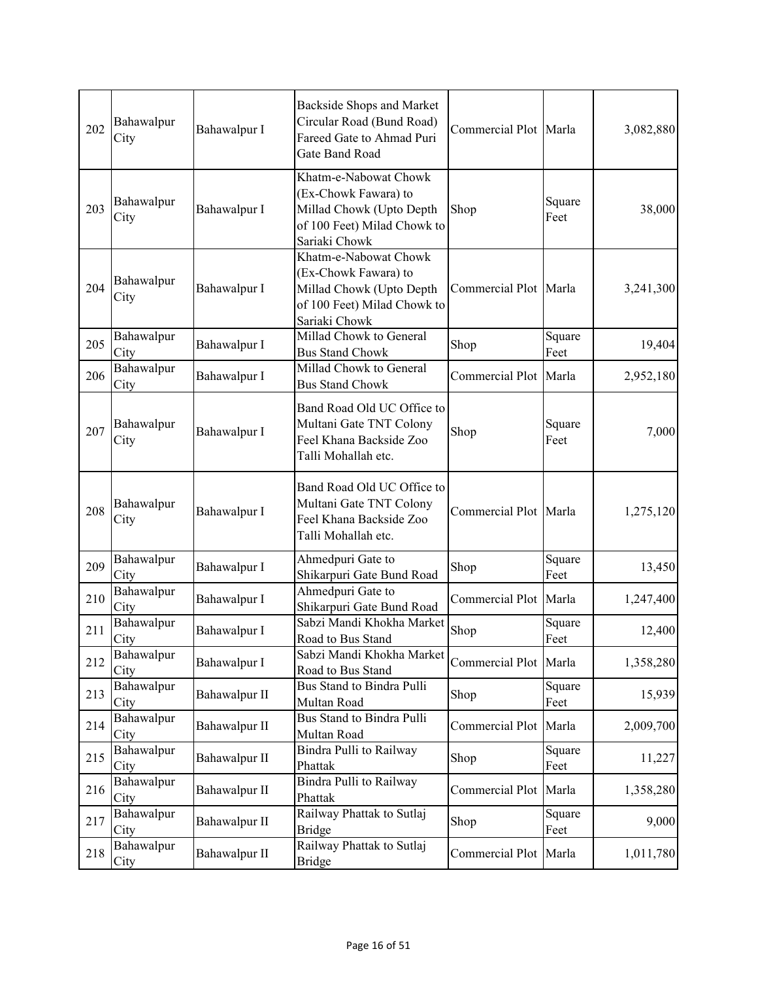| 202 | Bahawalpur<br>City | Bahawalpur I  | Backside Shops and Market<br>Circular Road (Bund Road)<br>Fareed Gate to Ahmad Puri<br>Gate Band Road                     | Commercial Plot Marla |                | 3,082,880 |
|-----|--------------------|---------------|---------------------------------------------------------------------------------------------------------------------------|-----------------------|----------------|-----------|
| 203 | Bahawalpur<br>City | Bahawalpur I  | Khatm-e-Nabowat Chowk<br>(Ex-Chowk Fawara) to<br>Millad Chowk (Upto Depth<br>of 100 Feet) Milad Chowk to<br>Sariaki Chowk | Shop                  | Square<br>Feet | 38,000    |
| 204 | Bahawalpur<br>City | Bahawalpur I  | Khatm-e-Nabowat Chowk<br>(Ex-Chowk Fawara) to<br>Millad Chowk (Upto Depth<br>of 100 Feet) Milad Chowk to<br>Sariaki Chowk | Commercial Plot Marla |                | 3,241,300 |
| 205 | Bahawalpur<br>City | Bahawalpur I  | Millad Chowk to General<br><b>Bus Stand Chowk</b>                                                                         | Shop                  | Square<br>Feet | 19,404    |
| 206 | Bahawalpur<br>City | Bahawalpur I  | Millad Chowk to General<br><b>Bus Stand Chowk</b>                                                                         | Commercial Plot Marla |                | 2,952,180 |
| 207 | Bahawalpur<br>City | Bahawalpur I  | Band Road Old UC Office to<br>Multani Gate TNT Colony<br>Feel Khana Backside Zoo<br>Talli Mohallah etc.                   | Shop                  | Square<br>Feet | 7,000     |
| 208 | Bahawalpur<br>City | Bahawalpur I  | Band Road Old UC Office to<br>Multani Gate TNT Colony<br>Feel Khana Backside Zoo<br>Talli Mohallah etc.                   | Commercial Plot Marla |                | 1,275,120 |
| 209 | Bahawalpur<br>City | Bahawalpur I  | Ahmedpuri Gate to<br>Shikarpuri Gate Bund Road                                                                            | Shop                  | Square<br>Feet | 13,450    |
| 210 | Bahawalpur<br>City | Bahawalpur I  | Ahmedpuri Gate to<br>Shikarpuri Gate Bund Road                                                                            | Commercial Plot Marla |                | 1,247,400 |
| 211 | Bahawalpur<br>City | Bahawalpur I  | Sabzi Mandi Khokha Market<br>Road to Bus Stand                                                                            | Shop                  | Square<br>Feet | 12,400    |
| 212 | Bahawalpur<br>City | Bahawalpur I  | Sabzi Mandi Khokha Market<br>Road to Bus Stand                                                                            | Commercial Plot Marla |                | 1,358,280 |
| 213 | Bahawalpur<br>City | Bahawalpur II | Bus Stand to Bindra Pulli<br>Multan Road                                                                                  | Shop                  | Square<br>Feet | 15,939    |
| 214 | Bahawalpur<br>City | Bahawalpur II | Bus Stand to Bindra Pulli<br>Multan Road                                                                                  | Commercial Plot Marla |                | 2,009,700 |
| 215 | Bahawalpur<br>City | Bahawalpur II | Bindra Pulli to Railway<br>Phattak                                                                                        | Shop                  | Square<br>Feet | 11,227    |
| 216 | Bahawalpur<br>City | Bahawalpur II | Bindra Pulli to Railway<br>Phattak                                                                                        | Commercial Plot       | Marla          | 1,358,280 |
| 217 | Bahawalpur<br>City | Bahawalpur II | Railway Phattak to Sutlaj<br><b>Bridge</b>                                                                                | Shop                  | Square<br>Feet | 9,000     |
| 218 | Bahawalpur<br>City | Bahawalpur II | Railway Phattak to Sutlaj<br><b>Bridge</b>                                                                                | Commercial Plot Marla |                | 1,011,780 |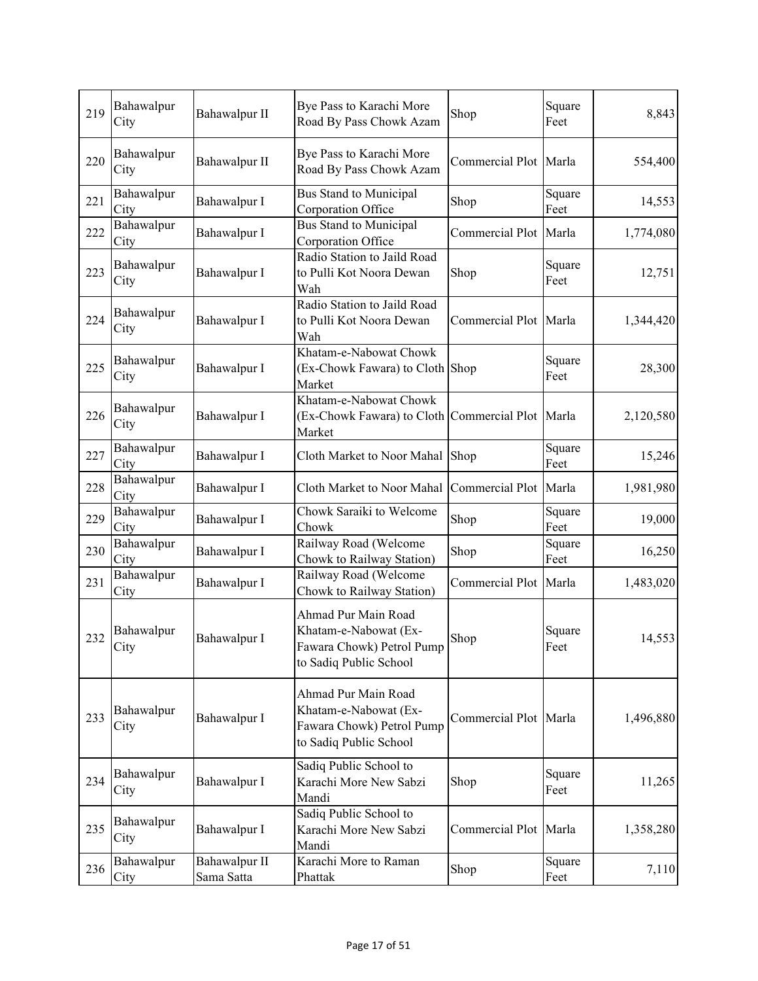| 219 | Bahawalpur<br>City | Bahawalpur II               | Bye Pass to Karachi More<br>Road By Pass Chowk Azam                                                 | Shop                  | Square<br>Feet | 8,843     |
|-----|--------------------|-----------------------------|-----------------------------------------------------------------------------------------------------|-----------------------|----------------|-----------|
| 220 | Bahawalpur<br>City | Bahawalpur II               | Bye Pass to Karachi More<br>Road By Pass Chowk Azam                                                 | Commercial Plot Marla |                | 554,400   |
| 221 | Bahawalpur<br>City | Bahawalpur I                | Bus Stand to Municipal<br>Corporation Office                                                        | Shop                  | Square<br>Feet | 14,553    |
| 222 | Bahawalpur<br>City | Bahawalpur I                | <b>Bus Stand to Municipal</b><br>Corporation Office                                                 | Commercial Plot Marla |                | 1,774,080 |
| 223 | Bahawalpur<br>City | Bahawalpur I                | Radio Station to Jaild Road<br>to Pulli Kot Noora Dewan<br>Wah                                      | Shop                  | Square<br>Feet | 12,751    |
| 224 | Bahawalpur<br>City | Bahawalpur I                | Radio Station to Jaild Road<br>to Pulli Kot Noora Dewan<br>Wah                                      | Commercial Plot Marla |                | 1,344,420 |
| 225 | Bahawalpur<br>City | Bahawalpur I                | Khatam-e-Nabowat Chowk<br>(Ex-Chowk Fawara) to Cloth Shop<br>Market                                 |                       | Square<br>Feet | 28,300    |
| 226 | Bahawalpur<br>City | Bahawalpur I                | Khatam-e-Nabowat Chowk<br>(Ex-Chowk Fawara) to Cloth Commercial Plot Marla<br>Market                |                       |                | 2,120,580 |
| 227 | Bahawalpur<br>City | Bahawalpur I                | Cloth Market to Noor Mahal Shop                                                                     |                       | Square<br>Feet | 15,246    |
| 228 | Bahawalpur<br>City | Bahawalpur I                | Cloth Market to Noor Mahal                                                                          | Commercial Plot Marla |                | 1,981,980 |
| 229 | Bahawalpur<br>City | Bahawalpur I                | Chowk Saraiki to Welcome<br>Chowk                                                                   | Shop                  | Square<br>Feet | 19,000    |
| 230 | Bahawalpur<br>City | Bahawalpur I                | Railway Road (Welcome<br>Chowk to Railway Station)                                                  | Shop                  | Square<br>Feet | 16,250    |
| 231 | Bahawalpur<br>City | Bahawalpur I                | Railway Road (Welcome<br>Chowk to Railway Station)                                                  | Commercial Plot Marla |                | 1,483,020 |
| 232 | Bahawalpur<br>City | Bahawalpur I                | Ahmad Pur Main Road<br>Khatam-e-Nabowat (Ex-<br>Fawara Chowk) Petrol Pump<br>to Sadiq Public School | Shop                  | Square<br>Feet | 14,553    |
| 233 | Bahawalpur<br>City | Bahawalpur I                | Ahmad Pur Main Road<br>Khatam-e-Nabowat (Ex-<br>Fawara Chowk) Petrol Pump<br>to Sadiq Public School | Commercial Plot Marla |                | 1,496,880 |
| 234 | Bahawalpur<br>City | Bahawalpur I                | Sadiq Public School to<br>Karachi More New Sabzi<br>Mandi                                           | Shop                  | Square<br>Feet | 11,265    |
| 235 | Bahawalpur<br>City | Bahawalpur I                | Sadiq Public School to<br>Karachi More New Sabzi<br>Mandi                                           | Commercial Plot Marla |                | 1,358,280 |
| 236 | Bahawalpur<br>City | Bahawalpur II<br>Sama Satta | Karachi More to Raman<br>Phattak                                                                    | Shop                  | Square<br>Feet | 7,110     |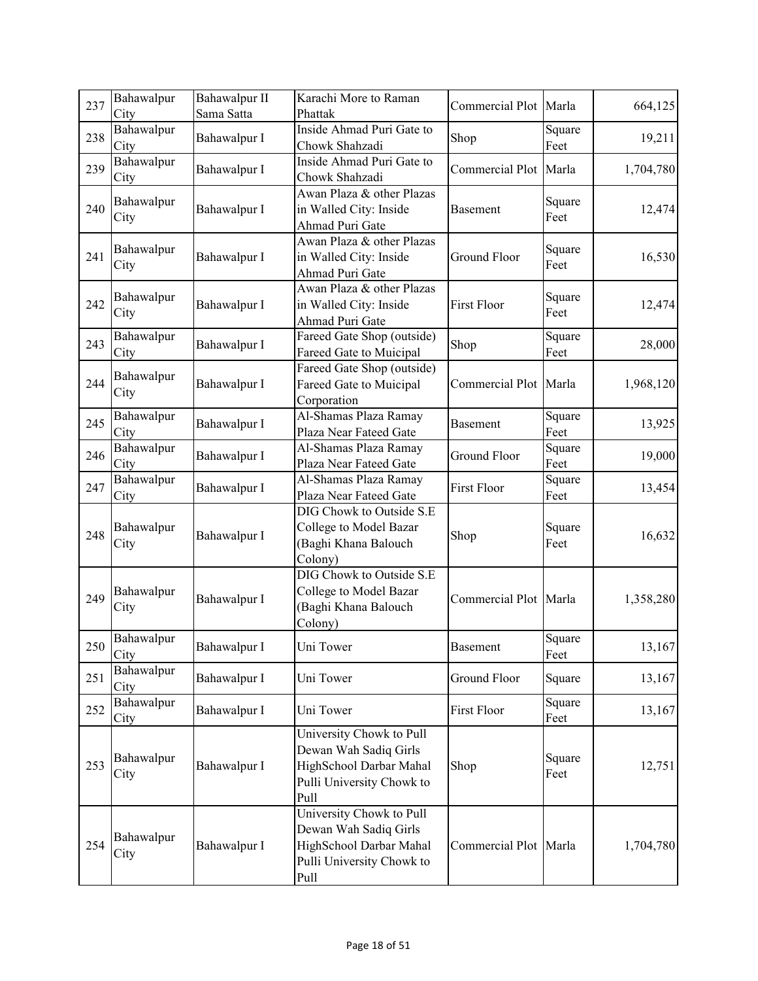| 237 | Bahawalpur<br>City | Bahawalpur II<br>Sama Satta | Karachi More to Raman<br>Phattak                                                                                  | Commercial Plot Marla |                | 664,125   |
|-----|--------------------|-----------------------------|-------------------------------------------------------------------------------------------------------------------|-----------------------|----------------|-----------|
| 238 | Bahawalpur<br>City | Bahawalpur I                | Inside Ahmad Puri Gate to<br>Chowk Shahzadi                                                                       | Shop                  | Square<br>Feet | 19,211    |
| 239 | Bahawalpur<br>City | Bahawalpur I                | Inside Ahmad Puri Gate to<br>Chowk Shahzadi                                                                       | Commercial Plot Marla |                | 1,704,780 |
| 240 | Bahawalpur<br>City | Bahawalpur I                | Awan Plaza & other Plazas<br>in Walled City: Inside<br>Ahmad Puri Gate                                            | Basement              | Square<br>Feet | 12,474    |
| 241 | Bahawalpur<br>City | Bahawalpur I                | Awan Plaza & other Plazas<br>in Walled City: Inside<br>Ahmad Puri Gate                                            | <b>Ground Floor</b>   | Square<br>Feet | 16,530    |
| 242 | Bahawalpur<br>City | Bahawalpur I                | Awan Plaza & other Plazas<br>in Walled City: Inside<br>Ahmad Puri Gate                                            | <b>First Floor</b>    | Square<br>Feet | 12,474    |
| 243 | Bahawalpur<br>City | Bahawalpur I                | Fareed Gate Shop (outside)<br>Fareed Gate to Muicipal                                                             | Shop                  | Square<br>Feet | 28,000    |
| 244 | Bahawalpur<br>City | Bahawalpur I                | Fareed Gate Shop (outside)<br>Fareed Gate to Muicipal<br>Corporation                                              | Commercial Plot Marla |                | 1,968,120 |
| 245 | Bahawalpur<br>City | Bahawalpur I                | Al-Shamas Plaza Ramay<br>Plaza Near Fateed Gate                                                                   | <b>Basement</b>       | Square<br>Feet | 13,925    |
| 246 | Bahawalpur<br>City | Bahawalpur I                | Al-Shamas Plaza Ramay<br>Plaza Near Fateed Gate                                                                   | Ground Floor          | Square<br>Feet | 19,000    |
| 247 | Bahawalpur<br>City | Bahawalpur I                | Al-Shamas Plaza Ramay<br>Plaza Near Fateed Gate                                                                   | <b>First Floor</b>    | Square<br>Feet | 13,454    |
| 248 | Bahawalpur<br>City | Bahawalpur I                | DIG Chowk to Outside S.E<br>College to Model Bazar<br>(Baghi Khana Balouch<br>Colony)                             | Shop                  | Square<br>Feet | 16,632    |
| 249 | Bahawalpur<br>City | Bahawalpur I                | DIG Chowk to Outside S.E<br>College to Model Bazar<br>(Baghi Khana Balouch<br>Colony)                             | Commercial Plot Marla |                | 1,358,280 |
| 250 | Bahawalpur<br>City | Bahawalpur I                | Uni Tower                                                                                                         | Basement              | Square<br>Feet | 13,167    |
| 251 | Bahawalpur<br>City | Bahawalpur I                | Uni Tower                                                                                                         | Ground Floor          | Square         | 13,167    |
| 252 | Bahawalpur<br>City | Bahawalpur I                | Uni Tower                                                                                                         | First Floor           | Square<br>Feet | 13,167    |
| 253 | Bahawalpur<br>City | Bahawalpur I                | University Chowk to Pull<br>Dewan Wah Sadiq Girls<br>HighSchool Darbar Mahal<br>Pulli University Chowk to<br>Pull | Shop                  | Square<br>Feet | 12,751    |
| 254 | Bahawalpur<br>City | Bahawalpur I                | University Chowk to Pull<br>Dewan Wah Sadiq Girls<br>HighSchool Darbar Mahal<br>Pulli University Chowk to<br>Pull | Commercial Plot Marla |                | 1,704,780 |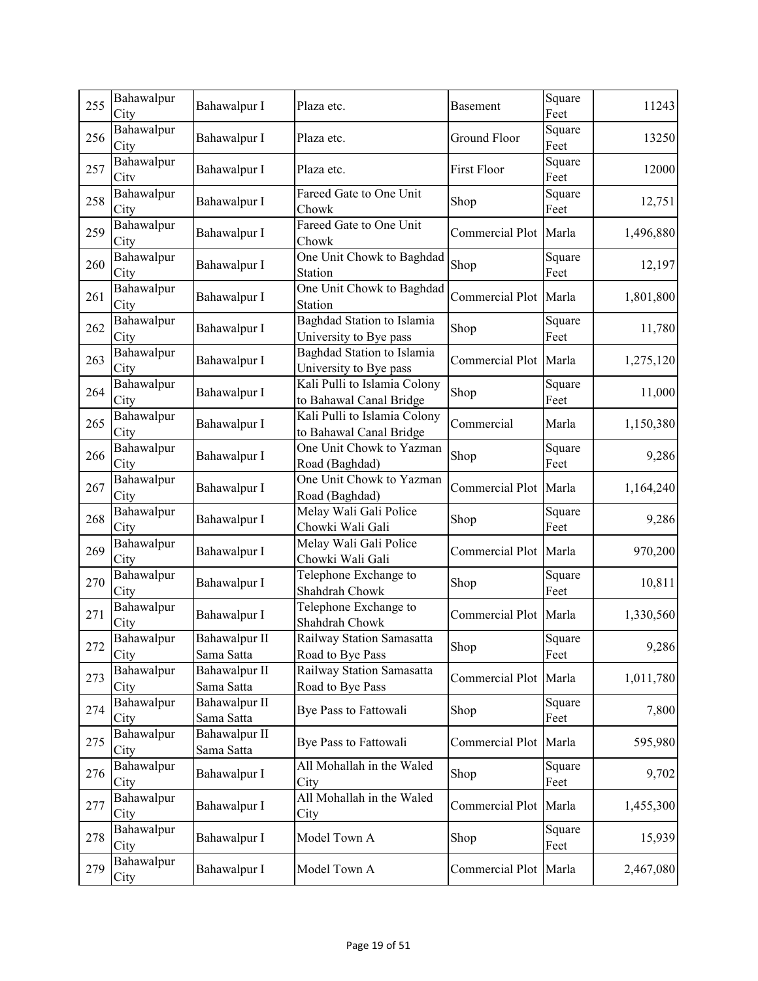| 255 | Bahawalpur<br>City | Bahawalpur I                | Plaza etc.                                              | Basement              | Square<br>Feet | 11243     |
|-----|--------------------|-----------------------------|---------------------------------------------------------|-----------------------|----------------|-----------|
| 256 | Bahawalpur<br>City | Bahawalpur I                | Plaza etc.                                              | Ground Floor          | Square<br>Feet | 13250     |
| 257 | Bahawalpur<br>City | Bahawalpur I                | Plaza etc.                                              | <b>First Floor</b>    | Square<br>Feet | 12000     |
| 258 | Bahawalpur<br>City | Bahawalpur I                | Fareed Gate to One Unit<br>Chowk                        | Shop                  | Square<br>Feet | 12,751    |
| 259 | Bahawalpur<br>City | Bahawalpur I                | Fareed Gate to One Unit<br>Chowk                        | Commercial Plot       | Marla          | 1,496,880 |
| 260 | Bahawalpur<br>City | Bahawalpur I                | One Unit Chowk to Baghdad<br>Station                    | Shop                  | Square<br>Feet | 12,197    |
| 261 | Bahawalpur<br>City | Bahawalpur I                | One Unit Chowk to Baghdad<br>Station                    | Commercial Plot       | Marla          | 1,801,800 |
| 262 | Bahawalpur<br>City | Bahawalpur I                | Baghdad Station to Islamia<br>University to Bye pass    | Shop                  | Square<br>Feet | 11,780    |
| 263 | Bahawalpur<br>City | Bahawalpur I                | Baghdad Station to Islamia<br>University to Bye pass    | Commercial Plot Marla |                | 1,275,120 |
| 264 | Bahawalpur<br>City | Bahawalpur I                | Kali Pulli to Islamia Colony<br>to Bahawal Canal Bridge | Shop                  | Square<br>Feet | 11,000    |
| 265 | Bahawalpur<br>City | Bahawalpur I                | Kali Pulli to Islamia Colony<br>to Bahawal Canal Bridge | Commercial            | Marla          | 1,150,380 |
| 266 | Bahawalpur<br>City | Bahawalpur I                | One Unit Chowk to Yazman<br>Road (Baghdad)              | Shop                  | Square<br>Feet | 9,286     |
| 267 | Bahawalpur<br>City | Bahawalpur I                | One Unit Chowk to Yazman<br>Road (Baghdad)              | Commercial Plot       | Marla          | 1,164,240 |
| 268 | Bahawalpur<br>City | Bahawalpur I                | Melay Wali Gali Police<br>Chowki Wali Gali              | Shop                  | Square<br>Feet | 9,286     |
| 269 | Bahawalpur<br>City | Bahawalpur I                | Melay Wali Gali Police<br>Chowki Wali Gali              | Commercial Plot Marla |                | 970,200   |
| 270 | Bahawalpur<br>City | Bahawalpur I                | Telephone Exchange to<br>Shahdrah Chowk                 | Shop                  | Square<br>Feet | 10,811    |
| 271 | Bahawalpur<br>City | Bahawalpur I                | Telephone Exchange to<br>Shahdrah Chowk                 | Commercial Plot       | Marla          | 1,330,560 |
| 272 | Bahawalpur<br>City | Bahawalpur II<br>Sama Satta | Railway Station Samasatta<br>Road to Bye Pass           | Shop                  | Square<br>Feet | 9,286     |
| 273 | Bahawalpur<br>City | Bahawalpur II<br>Sama Satta | Railway Station Samasatta<br>Road to Bye Pass           | Commercial Plot       | Marla          | 1,011,780 |
| 274 | Bahawalpur<br>City | Bahawalpur II<br>Sama Satta | Bye Pass to Fattowali                                   | Shop                  | Square<br>Feet | 7,800     |
| 275 | Bahawalpur<br>City | Bahawalpur II<br>Sama Satta | Bye Pass to Fattowali                                   | Commercial Plot       | Marla          | 595,980   |
| 276 | Bahawalpur<br>City | Bahawalpur I                | All Mohallah in the Waled<br>City                       | Shop                  | Square<br>Feet | 9,702     |
| 277 | Bahawalpur<br>City | Bahawalpur I                | All Mohallah in the Waled<br>City                       | Commercial Plot Marla |                | 1,455,300 |
| 278 | Bahawalpur<br>City | Bahawalpur I                | Model Town A                                            | Shop                  | Square<br>Feet | 15,939    |
| 279 | Bahawalpur<br>City | Bahawalpur I                | Model Town A                                            | Commercial Plot       | Marla          | 2,467,080 |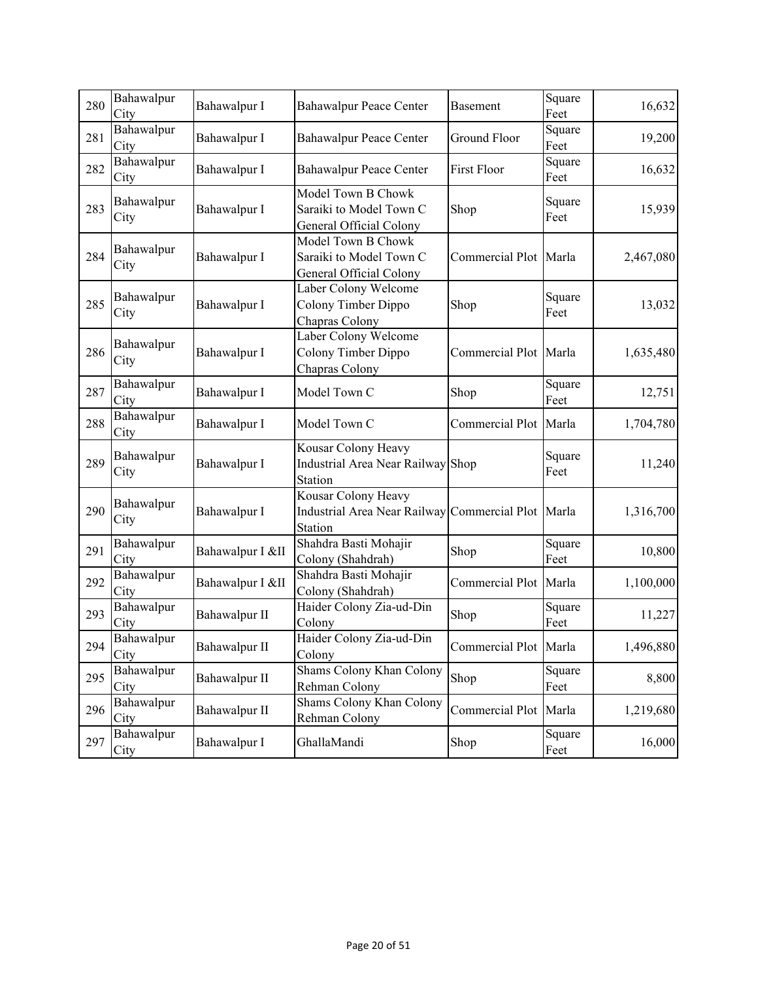| 280 | Bahawalpur<br>City | Bahawalpur I     | <b>Bahawalpur Peace Center</b>                                                 | <b>Basement</b>       | Square<br>Feet | 16,632    |
|-----|--------------------|------------------|--------------------------------------------------------------------------------|-----------------------|----------------|-----------|
| 281 | Bahawalpur<br>City | Bahawalpur I     | <b>Bahawalpur Peace Center</b>                                                 | Ground Floor          | Square<br>Feet | 19,200    |
| 282 | Bahawalpur<br>City | Bahawalpur I     | <b>Bahawalpur Peace Center</b>                                                 | <b>First Floor</b>    | Square<br>Feet | 16,632    |
| 283 | Bahawalpur<br>City | Bahawalpur I     | Model Town B Chowk<br>Saraiki to Model Town C<br>General Official Colony       | Shop                  | Square<br>Feet | 15,939    |
| 284 | Bahawalpur<br>City | Bahawalpur I     | Model Town B Chowk<br>Saraiki to Model Town C<br>General Official Colony       | Commercial Plot       | Marla          | 2,467,080 |
| 285 | Bahawalpur<br>City | Bahawalpur I     | Laber Colony Welcome<br>Colony Timber Dippo<br>Chapras Colony                  | Shop                  | Square<br>Feet | 13,032    |
| 286 | Bahawalpur<br>City | Bahawalpur I     | Laber Colony Welcome<br>Colony Timber Dippo<br>Chapras Colony                  | Commercial Plot Marla |                | 1,635,480 |
| 287 | Bahawalpur<br>City | Bahawalpur I     | Model Town C                                                                   | Shop                  | Square<br>Feet | 12,751    |
| 288 | Bahawalpur<br>City | Bahawalpur I     | Model Town C                                                                   | Commercial Plot       | Marla          | 1,704,780 |
| 289 | Bahawalpur<br>City | Bahawalpur I     | Kousar Colony Heavy<br>Industrial Area Near Railway Shop<br>Station            |                       | Square<br>Feet | 11,240    |
| 290 | Bahawalpur<br>City | Bahawalpur I     | Kousar Colony Heavy<br>Industrial Area Near Railway Commercial Plot<br>Station |                       | Marla          | 1,316,700 |
| 291 | Bahawalpur<br>City | Bahawalpur I &II | Shahdra Basti Mohajir<br>Colony (Shahdrah)                                     | Shop                  | Square<br>Feet | 10,800    |
| 292 | Bahawalpur<br>City | Bahawalpur I &II | Shahdra Basti Mohajir<br>Colony (Shahdrah)                                     | Commercial Plot Marla |                | 1,100,000 |
| 293 | Bahawalpur<br>City | Bahawalpur II    | Haider Colony Zia-ud-Din<br>Colony                                             | Shop                  | Square<br>Feet | 11,227    |
| 294 | Bahawalpur<br>City | Bahawalpur II    | Haider Colony Zia-ud-Din<br>Colony                                             | Commercial Plot Marla |                | 1,496,880 |
| 295 | Bahawalpur<br>City | Bahawalpur II    | Shams Colony Khan Colony<br>Rehman Colony                                      | Shop                  | Square<br>Feet | 8,800     |
| 296 | Bahawalpur<br>City | Bahawalpur II    | Shams Colony Khan Colony<br>Rehman Colony                                      | Commercial Plot Marla |                | 1,219,680 |
| 297 | Bahawalpur<br>City | Bahawalpur I     | GhallaMandi                                                                    | Shop                  | Square<br>Feet | 16,000    |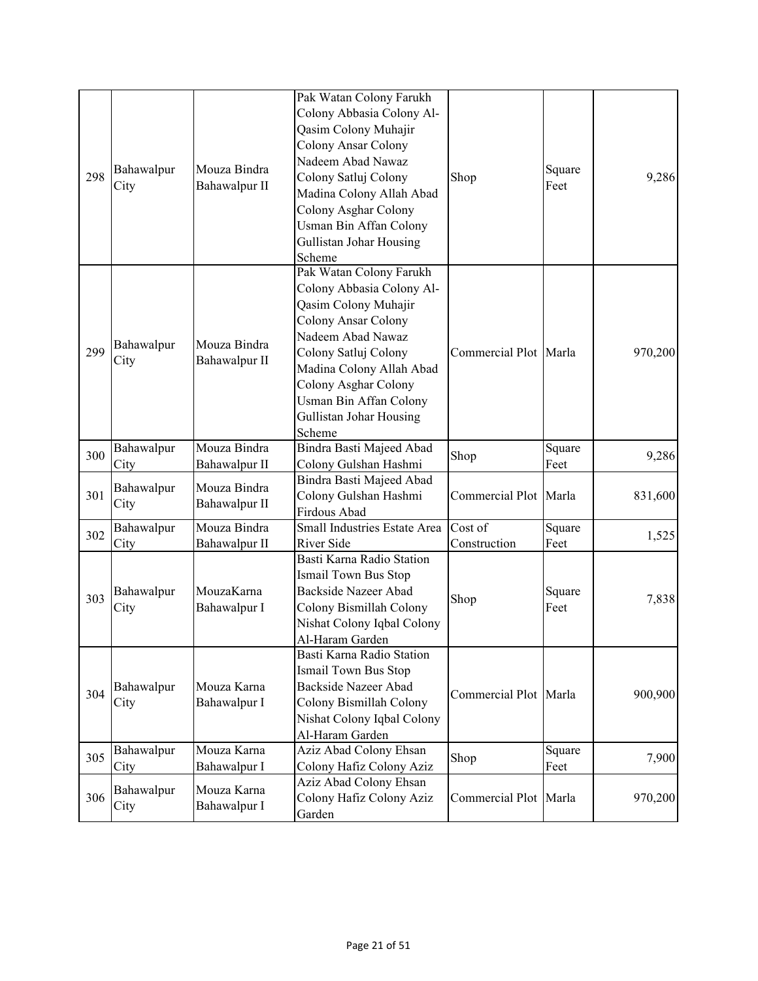|     |                    |                               | Pak Watan Colony Farukh                      |                          |                       |         |         |
|-----|--------------------|-------------------------------|----------------------------------------------|--------------------------|-----------------------|---------|---------|
|     |                    |                               | Colony Abbasia Colony Al-                    |                          |                       |         |         |
|     |                    |                               | Qasim Colony Muhajir                         |                          |                       |         |         |
|     |                    |                               | Colony Ansar Colony                          |                          |                       |         |         |
|     |                    |                               | Nadeem Abad Nawaz                            |                          |                       |         |         |
| 298 | Bahawalpur         | Mouza Bindra                  | Colony Satluj Colony                         | Shop                     | Square                | 9,286   |         |
|     | City               | Bahawalpur II                 | Madina Colony Allah Abad                     |                          | Feet                  |         |         |
|     |                    |                               | Colony Asghar Colony                         |                          |                       |         |         |
|     |                    |                               | Usman Bin Affan Colony                       |                          |                       |         |         |
|     |                    |                               | Gullistan Johar Housing                      |                          |                       |         |         |
|     |                    |                               | Scheme                                       |                          |                       |         |         |
|     |                    |                               | Pak Watan Colony Farukh                      |                          |                       |         |         |
|     |                    |                               | Colony Abbasia Colony Al-                    |                          |                       |         |         |
|     |                    |                               | Qasim Colony Muhajir                         |                          |                       |         |         |
|     |                    |                               | <b>Colony Ansar Colony</b>                   |                          |                       |         |         |
|     |                    |                               | Nadeem Abad Nawaz                            |                          |                       |         |         |
| 299 | Bahawalpur         | Mouza Bindra                  |                                              | Commercial Plot Marla    |                       |         |         |
|     | City               | Bahawalpur II                 | Colony Satluj Colony                         |                          |                       | 970,200 |         |
|     |                    |                               | Madina Colony Allah Abad                     |                          |                       |         |         |
|     |                    |                               | Colony Asghar Colony                         |                          |                       |         |         |
|     |                    |                               | Usman Bin Affan Colony                       |                          |                       |         |         |
|     |                    |                               | Gullistan Johar Housing                      |                          |                       |         |         |
|     |                    |                               | Scheme                                       |                          |                       |         |         |
| 300 | Bahawalpur         | Mouza Bindra                  | Bindra Basti Majeed Abad                     | Shop                     | Square                | 9,286   |         |
|     | City               | Bahawalpur II                 | Colony Gulshan Hashmi                        |                          | Feet                  |         |         |
| 301 | Bahawalpur<br>City | Mouza Bindra<br>Bahawalpur II | Bindra Basti Majeed Abad                     | Commercial Plot Marla    |                       |         |         |
|     |                    |                               | Colony Gulshan Hashmi                        |                          |                       | 831,600 |         |
|     |                    | Mouza Bindra                  | Firdous Abad<br>Small Industries Estate Area | Cost of                  | Square                |         |         |
| 302 | Bahawalpur         | Bahawalpur II                 | River Side                                   | Construction             | Feet                  | 1,525   |         |
|     | City               |                               | Basti Karna Radio Station                    |                          |                       |         |         |
|     |                    |                               | Ismail Town Bus Stop                         |                          |                       |         |         |
|     |                    | MouzaKarna                    | Backside Nazeer Abad                         |                          |                       |         |         |
| 303 | Bahawalpur         |                               |                                              | Shop                     | Square                | 7,838   |         |
|     | City               | Bahawalpur I                  | Colony Bismillah Colony                      |                          | Feet                  |         |         |
|     |                    |                               | Nishat Colony Iqbal Colony                   |                          |                       |         |         |
|     |                    |                               | Al-Haram Garden<br>Basti Karna Radio Station |                          |                       |         |         |
|     |                    |                               |                                              |                          |                       |         |         |
|     |                    |                               | <b>Ismail Town Bus Stop</b>                  |                          |                       |         |         |
| 304 | Bahawalpur         | Mouza Karna                   | <b>Backside Nazeer Abad</b>                  | Commercial Plot Marla    |                       | 900,900 |         |
|     | City               | Bahawalpur I                  | Colony Bismillah Colony                      |                          |                       |         |         |
|     |                    |                               | Nishat Colony Iqbal Colony                   |                          |                       |         |         |
|     |                    |                               | Al-Haram Garden                              |                          |                       |         |         |
| 305 | Bahawalpur         | Mouza Karna                   | Aziz Abad Colony Ehsan                       | Shop                     | Square                | 7,900   |         |
|     | City               | Bahawalpur I                  | Colony Hafiz Colony Aziz                     |                          | Feet                  |         |         |
|     | Bahawalpur         | Mouza Karna                   | Aziz Abad Colony Ehsan                       |                          |                       |         |         |
| 306 | City               |                               | Bahawalpur I                                 | Colony Hafiz Colony Aziz | Commercial Plot Marla |         | 970,200 |
|     |                    |                               | Garden                                       |                          |                       |         |         |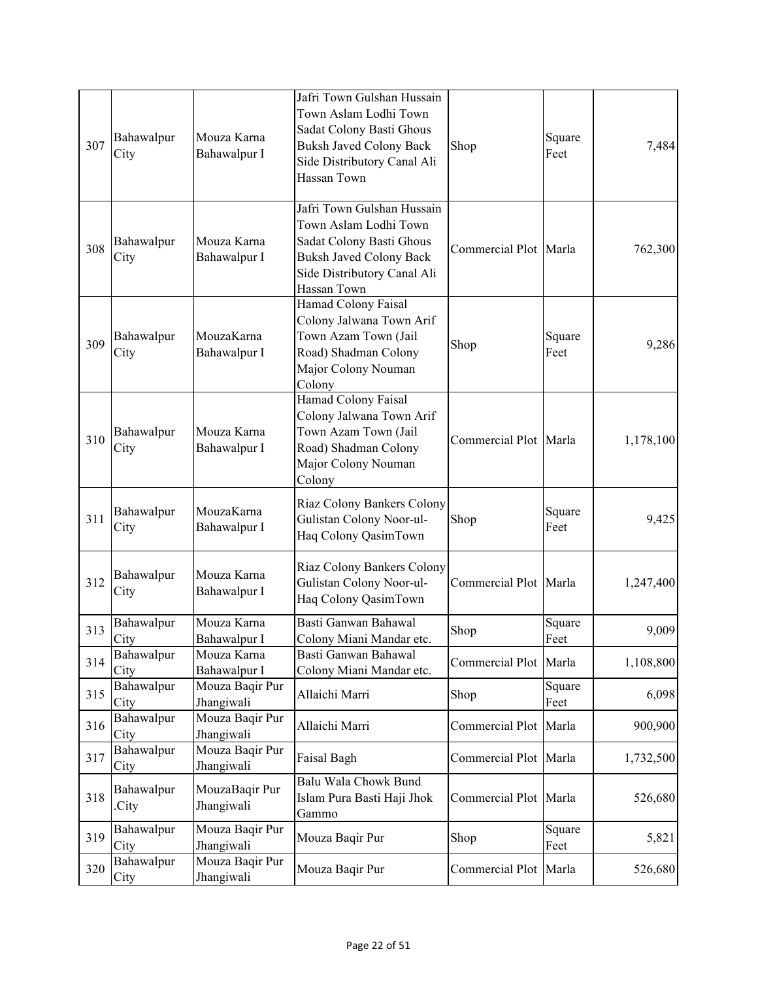| 307 | Bahawalpur<br>City  | Mouza Karna<br>Bahawalpur I   | Jafri Town Gulshan Hussain<br>Town Aslam Lodhi Town<br>Sadat Colony Basti Ghous<br><b>Buksh Javed Colony Back</b><br>Side Distributory Canal Ali<br>Hassan Town | Shop                  | Square<br>Feet | 7,484     |
|-----|---------------------|-------------------------------|-----------------------------------------------------------------------------------------------------------------------------------------------------------------|-----------------------|----------------|-----------|
| 308 | Bahawalpur<br>City  | Mouza Karna<br>Bahawalpur I   | Jafri Town Gulshan Hussain<br>Town Aslam Lodhi Town<br>Sadat Colony Basti Ghous<br><b>Buksh Javed Colony Back</b><br>Side Distributory Canal Ali<br>Hassan Town | Commercial Plot Marla |                | 762,300   |
| 309 | Bahawalpur<br>City  | MouzaKarna<br>Bahawalpur I    | Hamad Colony Faisal<br>Colony Jalwana Town Arif<br>Town Azam Town (Jail<br>Road) Shadman Colony<br>Major Colony Nouman<br>Colony                                | Shop                  | Square<br>Feet | 9,286     |
| 310 | Bahawalpur<br>City  | Mouza Karna<br>Bahawalpur I   | Hamad Colony Faisal<br>Colony Jalwana Town Arif<br>Town Azam Town (Jail<br>Road) Shadman Colony<br>Major Colony Nouman<br>Colony                                | Commercial Plot Marla |                | 1,178,100 |
| 311 | Bahawalpur<br>City  | MouzaKarna<br>Bahawalpur I    | Riaz Colony Bankers Colony<br>Gulistan Colony Noor-ul-<br>Haq Colony QasimTown                                                                                  | Shop                  | Square<br>Feet | 9,425     |
| 312 | Bahawalpur<br>City  | Mouza Karna<br>Bahawalpur I   | Riaz Colony Bankers Colony<br>Gulistan Colony Noor-ul-<br>Haq Colony QasimTown                                                                                  | Commercial Plot Marla |                | 1,247,400 |
| 313 | Bahawalpur<br>City  | Mouza Karna<br>Bahawalpur I   | Basti Ganwan Bahawal<br>Colony Miani Mandar etc.                                                                                                                | Shop                  | Square<br>Feet | 9,009     |
| 314 | Bahawalpur<br>City  | Mouza Karna<br>Bahawalpur I   | Basti Ganwan Bahawal<br>Colony Miani Mandar etc.                                                                                                                | Commercial Plot Marla |                | 1,108,800 |
| 315 | Bahawalpur<br>City  | Mouza Baqir Pur<br>Jhangiwali | Allaichi Marri                                                                                                                                                  | Shop                  | Square<br>Feet | 6,098     |
| 316 | Bahawalpur<br>City  | Mouza Baqir Pur<br>Jhangiwali | Allaichi Marri                                                                                                                                                  | Commercial Plot       | Marla          | 900,900   |
| 317 | Bahawalpur<br>City  | Mouza Baqir Pur<br>Jhangiwali | Faisal Bagh                                                                                                                                                     | Commercial Plot Marla |                | 1,732,500 |
| 318 | Bahawalpur<br>City. | MouzaBaqir Pur<br>Jhangiwali  | Balu Wala Chowk Bund<br>Islam Pura Basti Haji Jhok<br>Gammo                                                                                                     | Commercial Plot       | Marla          | 526,680   |
| 319 | Bahawalpur          | Mouza Baqir Pur               | Mouza Baqir Pur                                                                                                                                                 | Shop                  | Square         | 5,821     |
|     | City                | Jhangiwali<br>Mouza Baqir Pur |                                                                                                                                                                 |                       | Feet           |           |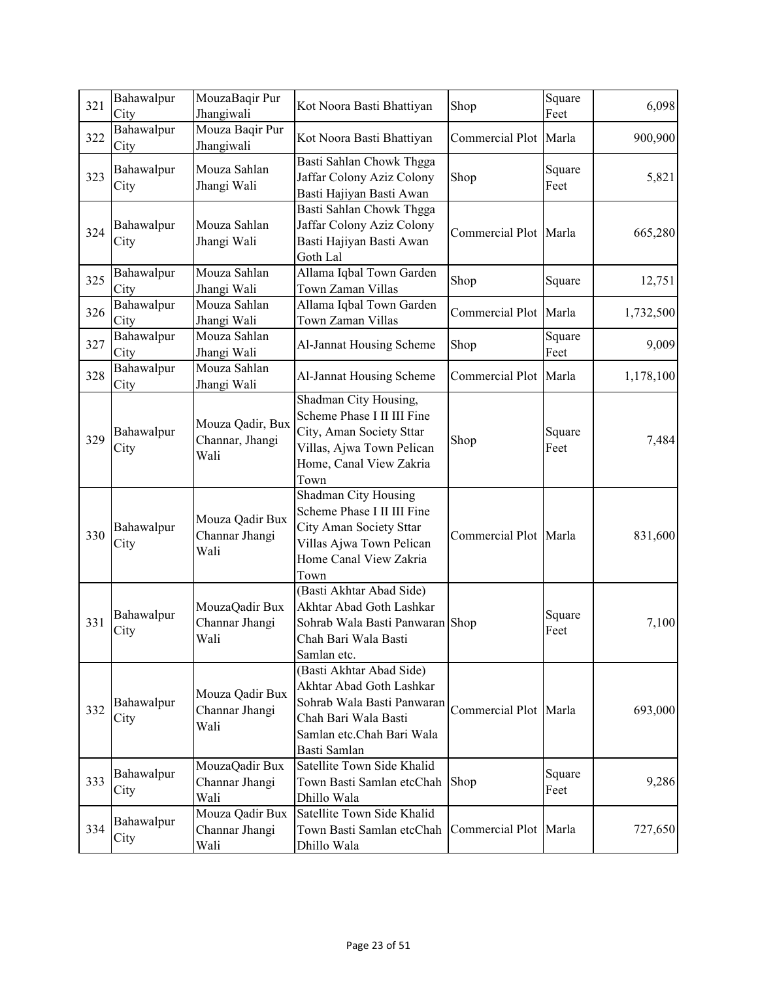| 321 | Bahawalpur<br>City | MouzaBaqir Pur<br>Jhangiwali                | Kot Noora Basti Bhattiyan                                                                                                                               | Shop                  | Square<br>Feet | 6,098     |
|-----|--------------------|---------------------------------------------|---------------------------------------------------------------------------------------------------------------------------------------------------------|-----------------------|----------------|-----------|
| 322 | Bahawalpur<br>City | Mouza Baqir Pur<br>Jhangiwali               | Kot Noora Basti Bhattiyan                                                                                                                               | Commercial Plot Marla |                | 900,900   |
| 323 | Bahawalpur<br>City | Mouza Sahlan<br>Jhangi Wali                 | Basti Sahlan Chowk Thgga<br>Jaffar Colony Aziz Colony<br>Basti Hajiyan Basti Awan                                                                       | Shop                  | Square<br>Feet | 5,821     |
| 324 | Bahawalpur<br>City | Mouza Sahlan<br>Jhangi Wali                 | Basti Sahlan Chowk Thgga<br>Jaffar Colony Aziz Colony<br>Basti Hajiyan Basti Awan<br>Goth Lal                                                           | Commercial Plot Marla |                | 665,280   |
| 325 | Bahawalpur<br>City | Mouza Sahlan<br>Jhangi Wali                 | Allama Iqbal Town Garden<br>Town Zaman Villas                                                                                                           | Shop                  | Square         | 12,751    |
| 326 | Bahawalpur<br>City | Mouza Sahlan<br>Jhangi Wali                 | Allama Iqbal Town Garden<br>Town Zaman Villas                                                                                                           | Commercial Plot Marla |                | 1,732,500 |
| 327 | Bahawalpur<br>City | Mouza Sahlan<br>Jhangi Wali                 | Al-Jannat Housing Scheme                                                                                                                                | Shop                  | Square<br>Feet | 9,009     |
| 328 | Bahawalpur<br>City | Mouza Sahlan<br>Jhangi Wali                 | Al-Jannat Housing Scheme                                                                                                                                | Commercial Plot Marla |                | 1,178,100 |
| 329 | Bahawalpur<br>City | Mouza Qadir, Bux<br>Channar, Jhangi<br>Wali | Shadman City Housing,<br>Scheme Phase I II III Fine<br>City, Aman Society Sttar<br>Villas, Ajwa Town Pelican<br>Home, Canal View Zakria<br>Town         | Shop                  | Square<br>Feet | 7,484     |
| 330 | Bahawalpur<br>City | Mouza Qadir Bux<br>Channar Jhangi<br>Wali   | Shadman City Housing<br>Scheme Phase I II III Fine<br>City Aman Society Sttar<br>Villas Ajwa Town Pelican<br>Home Canal View Zakria<br>Town             | Commercial Plot Marla |                | 831,600   |
| 331 | Bahawalpur<br>City | MouzaQadir Bux<br>Channar Jhangi<br>Wali    | (Basti Akhtar Abad Side)<br>Akhtar Abad Goth Lashkar<br>Sohrab Wala Basti Panwaran Shop<br>Chah Bari Wala Basti<br>Samlan etc.                          |                       | Square<br>Feet | 7,100     |
| 332 | Bahawalpur<br>City | Mouza Qadir Bux<br>Channar Jhangi<br>Wali   | (Basti Akhtar Abad Side)<br>Akhtar Abad Goth Lashkar<br>Sohrab Wala Basti Panwaran<br>Chah Bari Wala Basti<br>Samlan etc.Chah Bari Wala<br>Basti Samlan | Commercial Plot Marla |                | 693,000   |
| 333 | Bahawalpur<br>City | MouzaQadir Bux<br>Channar Jhangi<br>Wali    | Satellite Town Side Khalid<br>Town Basti Samlan etcChah<br>Dhillo Wala                                                                                  | Shop                  | Square<br>Feet | 9,286     |
| 334 | Bahawalpur<br>City | Mouza Qadir Bux<br>Channar Jhangi<br>Wali   | Satellite Town Side Khalid<br>Town Basti Samlan etcChah<br>Dhillo Wala                                                                                  | Commercial Plot Marla |                | 727,650   |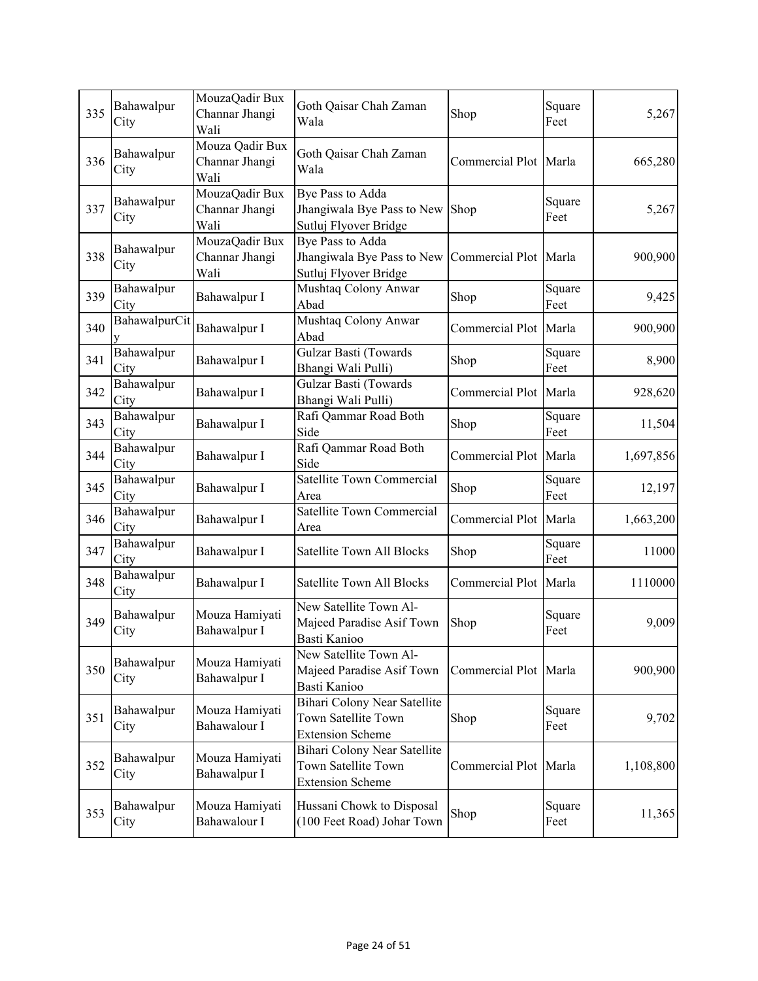| 335 | Bahawalpur<br>City | MouzaQadir Bux<br>Channar Jhangi<br>Wali  | Goth Qaisar Chah Zaman<br>Wala                                                 | Shop                  | Square<br>Feet | 5,267     |
|-----|--------------------|-------------------------------------------|--------------------------------------------------------------------------------|-----------------------|----------------|-----------|
| 336 | Bahawalpur<br>City | Mouza Qadir Bux<br>Channar Jhangi<br>Wali | Goth Qaisar Chah Zaman<br>Wala                                                 | Commercial Plot Marla |                | 665,280   |
| 337 | Bahawalpur<br>City | MouzaQadir Bux<br>Channar Jhangi<br>Wali  | Bye Pass to Adda<br>Jhangiwala Bye Pass to New<br>Sutluj Flyover Bridge        | Shop                  | Square<br>Feet | 5,267     |
| 338 | Bahawalpur<br>City | MouzaQadir Bux<br>Channar Jhangi<br>Wali  | Bye Pass to Adda<br>Jhangiwala Bye Pass to New<br>Sutluj Flyover Bridge        | Commercial Plot Marla |                | 900,900   |
| 339 | Bahawalpur<br>City | Bahawalpur I                              | Mushtaq Colony Anwar<br>Abad                                                   | Shop                  | Square<br>Feet | 9,425     |
| 340 | BahawalpurCit      | Bahawalpur I                              | Mushtaq Colony Anwar<br>Abad                                                   | Commercial Plot Marla |                | 900,900   |
| 341 | Bahawalpur<br>City | Bahawalpur I                              | Gulzar Basti (Towards<br>Bhangi Wali Pulli)                                    | Shop                  | Square<br>Feet | 8,900     |
| 342 | Bahawalpur<br>City | Bahawalpur I                              | Gulzar Basti (Towards<br>Bhangi Wali Pulli)                                    | Commercial Plot Marla |                | 928,620   |
| 343 | Bahawalpur<br>City | Bahawalpur I                              | Rafi Qammar Road Both<br>Side                                                  | Shop                  | Square<br>Feet | 11,504    |
| 344 | Bahawalpur<br>City | Bahawalpur I                              | Rafi Qammar Road Both<br>Side                                                  | Commercial Plot       | Marla          | 1,697,856 |
| 345 | Bahawalpur<br>City | Bahawalpur I                              | Satellite Town Commercial<br>Area                                              | Shop                  | Square<br>Feet | 12,197    |
| 346 | Bahawalpur<br>City | Bahawalpur I                              | <b>Satellite Town Commercial</b><br>Area                                       | Commercial Plot       | Marla          | 1,663,200 |
| 347 | Bahawalpur<br>City | Bahawalpur I                              | <b>Satellite Town All Blocks</b>                                               | Shop                  | Square<br>Feet | 11000     |
| 348 | Bahawalpur<br>City | Bahawalpur I                              | Satellite Town All Blocks                                                      | Commercial Plot Marla |                | 1110000   |
| 349 | Bahawalpur<br>City | Mouza Hamiyati<br>Bahawalpur I            | New Satellite Town Al-<br>Majeed Paradise Asif Town<br>Basti Kanioo            | Shop                  | Square<br>Feet | 9,009     |
| 350 | Bahawalpur<br>City | Mouza Hamiyati<br>Bahawalpur I            | New Satellite Town Al-<br>Majeed Paradise Asif Town<br>Basti Kanioo            | Commercial Plot Marla |                | 900,900   |
| 351 | Bahawalpur<br>City | Mouza Hamiyati<br>Bahawalour I            | Bihari Colony Near Satellite<br>Town Satellite Town<br><b>Extension Scheme</b> | Shop                  | Square<br>Feet | 9,702     |
| 352 | Bahawalpur<br>City | Mouza Hamiyati<br>Bahawalpur I            | Bihari Colony Near Satellite<br>Town Satellite Town<br><b>Extension Scheme</b> | Commercial Plot Marla |                | 1,108,800 |
| 353 | Bahawalpur<br>City | Mouza Hamiyati<br>Bahawalour I            | Hussani Chowk to Disposal<br>(100 Feet Road) Johar Town                        | Shop                  | Square<br>Feet | 11,365    |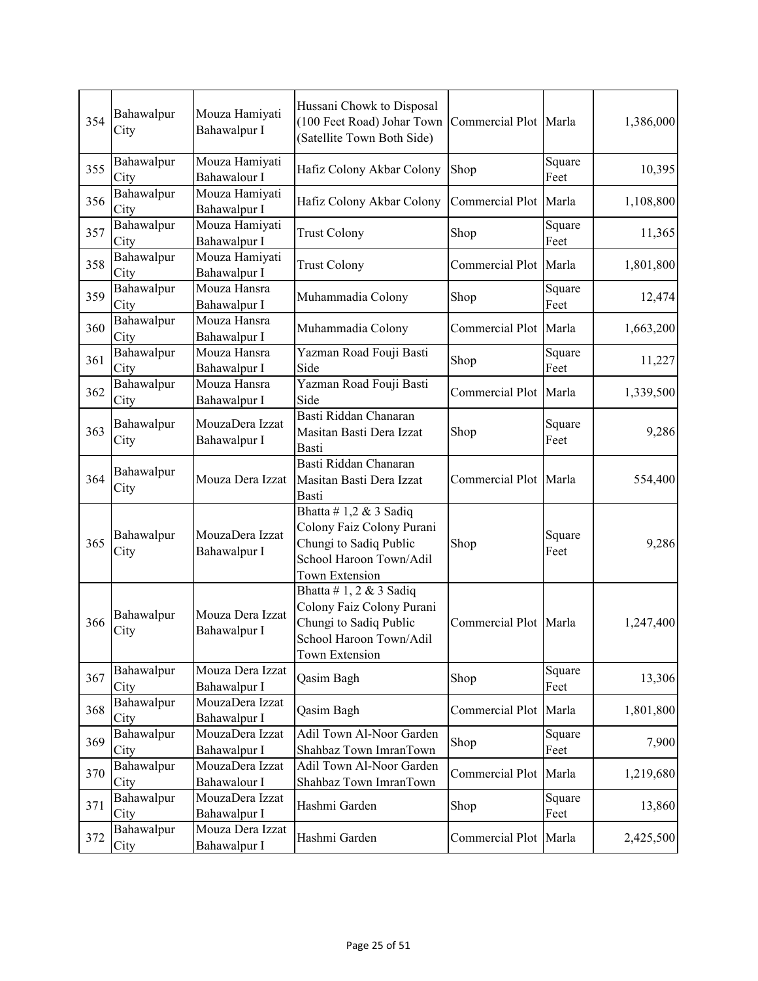| 354 | Bahawalpur<br>City | Mouza Hamiyati<br>Bahawalpur I   | Hussani Chowk to Disposal<br>(100 Feet Road) Johar Town Commercial Plot Marla<br>(Satellite Town Both Side)                       |                       |                | 1,386,000 |
|-----|--------------------|----------------------------------|-----------------------------------------------------------------------------------------------------------------------------------|-----------------------|----------------|-----------|
| 355 | Bahawalpur<br>City | Mouza Hamiyati<br>Bahawalour I   | Hafiz Colony Akbar Colony                                                                                                         | Shop                  | Square<br>Feet | 10,395    |
| 356 | Bahawalpur<br>City | Mouza Hamiyati<br>Bahawalpur I   | Hafiz Colony Akbar Colony                                                                                                         | Commercial Plot       | Marla          | 1,108,800 |
| 357 | Bahawalpur<br>City | Mouza Hamiyati<br>Bahawalpur I   | <b>Trust Colony</b>                                                                                                               | Shop                  | Square<br>Feet | 11,365    |
| 358 | Bahawalpur<br>City | Mouza Hamiyati<br>Bahawalpur I   | <b>Trust Colony</b>                                                                                                               | Commercial Plot Marla |                | 1,801,800 |
| 359 | Bahawalpur<br>City | Mouza Hansra<br>Bahawalpur I     | Muhammadia Colony                                                                                                                 | Shop                  | Square<br>Feet | 12,474    |
| 360 | Bahawalpur<br>City | Mouza Hansra<br>Bahawalpur I     | Muhammadia Colony                                                                                                                 | Commercial Plot Marla |                | 1,663,200 |
| 361 | Bahawalpur<br>City | Mouza Hansra<br>Bahawalpur I     | Yazman Road Fouji Basti<br>Side                                                                                                   | Shop                  | Square<br>Feet | 11,227    |
| 362 | Bahawalpur<br>City | Mouza Hansra<br>Bahawalpur I     | Yazman Road Fouji Basti<br>Side                                                                                                   | Commercial Plot       | Marla          | 1,339,500 |
| 363 | Bahawalpur<br>City | MouzaDera Izzat<br>Bahawalpur I  | Basti Riddan Chanaran<br>Masitan Basti Dera Izzat<br>Basti                                                                        | Shop                  | Square<br>Feet | 9,286     |
| 364 | Bahawalpur<br>City | Mouza Dera Izzat                 | Basti Riddan Chanaran<br>Masitan Basti Dera Izzat<br>Basti                                                                        | Commercial Plot Marla |                | 554,400   |
| 365 | Bahawalpur<br>City | MouzaDera Izzat<br>Bahawalpur I  | Bhatta #1,2 & 3 Sadiq<br>Colony Faiz Colony Purani<br>Chungi to Sadiq Public<br>School Haroon Town/Adil<br>Town Extension         | Shop                  | Square<br>Feet | 9,286     |
| 366 | Bahawalpur<br>City | Mouza Dera Izzat<br>Bahawalpur I | Bhatta #1, 2 & 3 Sadiq<br>Colony Faiz Colony Purani<br>Chungi to Sadiq Public<br>School Haroon Town/Adil<br><b>Town Extension</b> | Commercial Plot Marla |                | 1,247,400 |
| 367 | Bahawalpur<br>City | Mouza Dera Izzat<br>Bahawalpur I | Qasim Bagh                                                                                                                        | Shop                  | Square<br>Feet | 13,306    |
| 368 | Bahawalpur<br>City | MouzaDera Izzat<br>Bahawalpur I  | Qasim Bagh                                                                                                                        | Commercial Plot Marla |                | 1,801,800 |
| 369 | Bahawalpur<br>City | MouzaDera Izzat<br>Bahawalpur I  | Adil Town Al-Noor Garden<br>Shahbaz Town ImranTown                                                                                | Shop                  | Square<br>Feet | 7,900     |
| 370 | Bahawalpur<br>City | MouzaDera Izzat<br>Bahawalour I  | Adil Town Al-Noor Garden<br>Shahbaz Town ImranTown                                                                                | Commercial Plot       | Marla          | 1,219,680 |
| 371 | Bahawalpur<br>City | MouzaDera Izzat<br>Bahawalpur I  | Hashmi Garden                                                                                                                     | Shop                  | Square<br>Feet | 13,860    |
| 372 | Bahawalpur<br>City | Mouza Dera Izzat<br>Bahawalpur I | Hashmi Garden                                                                                                                     | Commercial Plot Marla |                | 2,425,500 |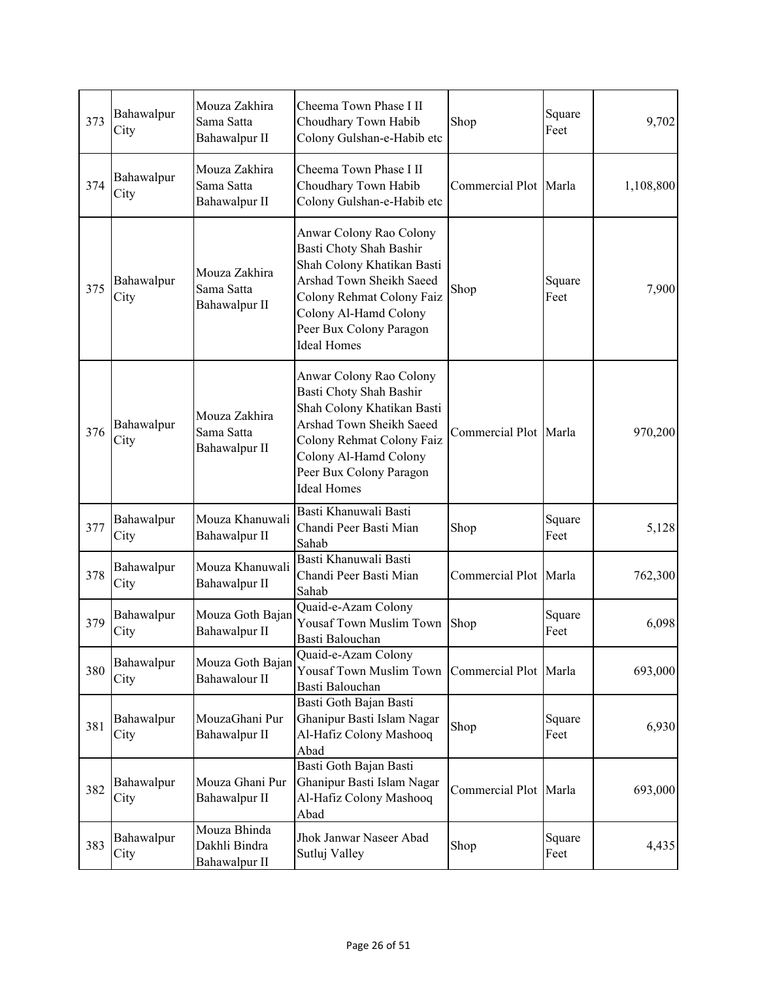| 373 | Bahawalpur<br>City | Mouza Zakhira<br>Sama Satta<br>Bahawalpur II   | Cheema Town Phase I II<br>Choudhary Town Habib<br>Colony Gulshan-e-Habib etc                                                                                                                                        | Shop                  | Square<br>Feet | 9,702     |
|-----|--------------------|------------------------------------------------|---------------------------------------------------------------------------------------------------------------------------------------------------------------------------------------------------------------------|-----------------------|----------------|-----------|
| 374 | Bahawalpur<br>City | Mouza Zakhira<br>Sama Satta<br>Bahawalpur II   | Cheema Town Phase I II<br>Choudhary Town Habib<br>Colony Gulshan-e-Habib etc                                                                                                                                        | Commercial Plot Marla |                | 1,108,800 |
| 375 | Bahawalpur<br>City | Mouza Zakhira<br>Sama Satta<br>Bahawalpur II   | Anwar Colony Rao Colony<br>Basti Choty Shah Bashir<br>Shah Colony Khatikan Basti<br>Arshad Town Sheikh Saeed<br>Colony Rehmat Colony Faiz<br>Colony Al-Hamd Colony<br>Peer Bux Colony Paragon<br><b>Ideal Homes</b> | Shop                  | Square<br>Feet | 7,900     |
| 376 | Bahawalpur<br>City | Mouza Zakhira<br>Sama Satta<br>Bahawalpur II   | Anwar Colony Rao Colony<br>Basti Choty Shah Bashir<br>Shah Colony Khatikan Basti<br>Arshad Town Sheikh Saeed<br>Colony Rehmat Colony Faiz<br>Colony Al-Hamd Colony<br>Peer Bux Colony Paragon<br><b>Ideal Homes</b> | Commercial Plot Marla |                | 970,200   |
| 377 | Bahawalpur<br>City | Mouza Khanuwali<br>Bahawalpur II               | Basti Khanuwali Basti<br>Chandi Peer Basti Mian<br>Sahab                                                                                                                                                            | Shop                  | Square<br>Feet | 5,128     |
| 378 | Bahawalpur<br>City | Mouza Khanuwali<br>Bahawalpur II               | Basti Khanuwali Basti<br>Chandi Peer Basti Mian<br>Sahab                                                                                                                                                            | Commercial Plot Marla |                | 762,300   |
| 379 | Bahawalpur<br>City | Mouza Goth Bajan<br>Bahawalpur II              | Quaid-e-Azam Colony<br>Yousaf Town Muslim Town<br>Basti Balouchan                                                                                                                                                   | Shop                  | Square<br>Feet | 6,098     |
| 380 | Bahawalpur<br>City | Mouza Goth Bajan<br>Bahawalour II              | Quaid-e-Azam Colony<br>Yousaf Town Muslim Town<br>Basti Balouchan                                                                                                                                                   | Commercial Plot Marla |                | 693,000   |
| 381 | Bahawalpur<br>City | MouzaGhani Pur<br>Bahawalpur II                | Basti Goth Bajan Basti<br>Ghanipur Basti Islam Nagar<br>Al-Hafiz Colony Mashooq<br>Abad                                                                                                                             | Shop                  | Square<br>Feet | 6,930     |
| 382 | Bahawalpur<br>City | Mouza Ghani Pur<br>Bahawalpur II               | Basti Goth Bajan Basti<br>Ghanipur Basti Islam Nagar<br>Al-Hafiz Colony Mashooq<br>Abad                                                                                                                             | Commercial Plot Marla |                | 693,000   |
| 383 | Bahawalpur<br>City | Mouza Bhinda<br>Dakhli Bindra<br>Bahawalpur II | Jhok Janwar Naseer Abad<br>Sutluj Valley                                                                                                                                                                            | Shop                  | Square<br>Feet | 4,435     |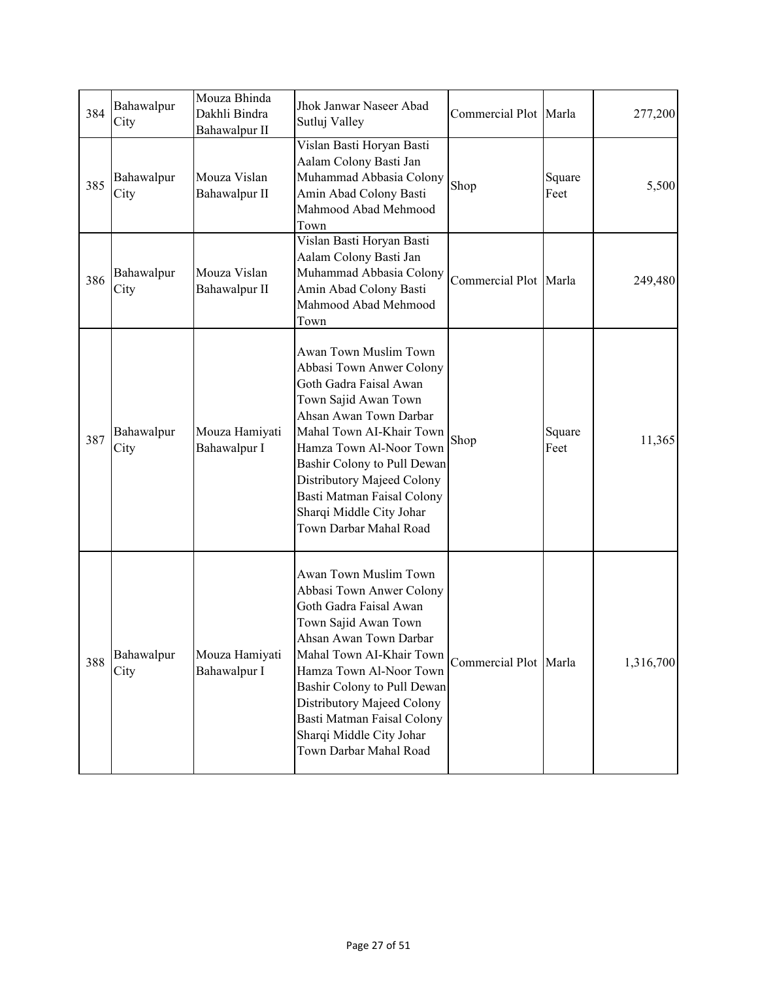| 384 | Bahawalpur<br>City | Mouza Bhinda<br>Dakhli Bindra<br>Bahawalpur II | Jhok Janwar Naseer Abad<br>Sutluj Valley                                                                                                                                                                                                                                                                                              | Commercial Plot Marla |                | 277,200   |
|-----|--------------------|------------------------------------------------|---------------------------------------------------------------------------------------------------------------------------------------------------------------------------------------------------------------------------------------------------------------------------------------------------------------------------------------|-----------------------|----------------|-----------|
| 385 | Bahawalpur<br>City | Mouza Vislan<br>Bahawalpur II                  | Vislan Basti Horyan Basti<br>Aalam Colony Basti Jan<br>Muhammad Abbasia Colony<br>Amin Abad Colony Basti<br>Mahmood Abad Mehmood<br>Town                                                                                                                                                                                              | Shop                  | Square<br>Feet | 5,500     |
| 386 | Bahawalpur<br>City | Mouza Vislan<br>Bahawalpur II                  | Vislan Basti Horyan Basti<br>Aalam Colony Basti Jan<br>Muhammad Abbasia Colony<br>Amin Abad Colony Basti<br>Mahmood Abad Mehmood<br>Town                                                                                                                                                                                              | Commercial Plot Marla |                | 249,480   |
| 387 | Bahawalpur<br>City | Mouza Hamiyati<br>Bahawalpur I                 | Awan Town Muslim Town<br>Abbasi Town Anwer Colony<br>Goth Gadra Faisal Awan<br>Town Sajid Awan Town<br>Ahsan Awan Town Darbar<br>Mahal Town AI-Khair Town<br>Hamza Town Al-Noor Town<br>Bashir Colony to Pull Dewan<br>Distributory Majeed Colony<br>Basti Matman Faisal Colony<br>Sharqi Middle City Johar<br>Town Darbar Mahal Road | Shop                  | Square<br>Feet | 11,365    |
| 388 | Bahawalpur<br>City | Mouza Hamiyati<br>Bahawalpur I                 | Awan Town Muslim Town<br>Abbasi Town Anwer Colony<br>Goth Gadra Faisal Awan<br>Town Sajid Awan Town<br>Ahsan Awan Town Darbar<br>Mahal Town AI-Khair Town<br>Hamza Town Al-Noor Town<br>Bashir Colony to Pull Dewan<br>Distributory Majeed Colony<br>Basti Matman Faisal Colony<br>Sharqi Middle City Johar<br>Town Darbar Mahal Road | Commercial Plot Marla |                | 1,316,700 |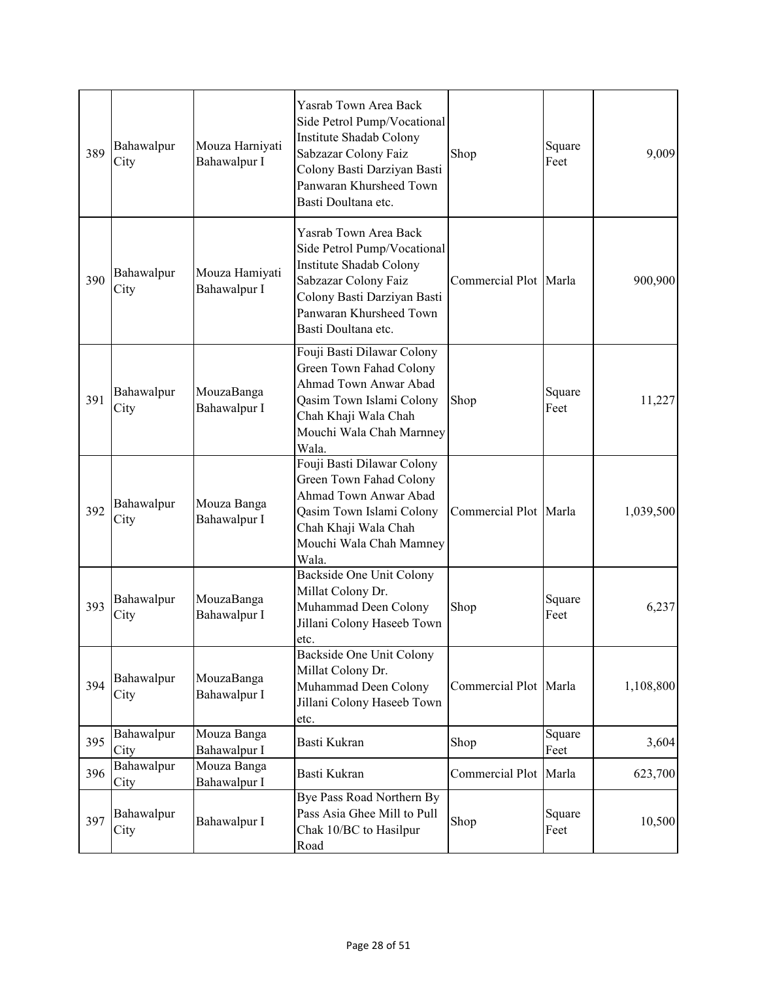| 389 | Bahawalpur<br>City | Mouza Harniyati<br>Bahawalpur I | Yasrab Town Area Back<br>Side Petrol Pump/Vocational<br>Institute Shadab Colony<br>Sabzazar Colony Faiz<br>Colony Basti Darziyan Basti<br>Panwaran Khursheed Town<br>Basti Doultana etc. | Shop                  | Square<br>Feet | 9,009     |
|-----|--------------------|---------------------------------|------------------------------------------------------------------------------------------------------------------------------------------------------------------------------------------|-----------------------|----------------|-----------|
| 390 | Bahawalpur<br>City | Mouza Hamiyati<br>Bahawalpur I  | Yasrab Town Area Back<br>Side Petrol Pump/Vocational<br>Institute Shadab Colony<br>Sabzazar Colony Faiz<br>Colony Basti Darziyan Basti<br>Panwaran Khursheed Town<br>Basti Doultana etc. | Commercial Plot Marla |                | 900,900   |
| 391 | Bahawalpur<br>City | MouzaBanga<br>Bahawalpur I      | Fouji Basti Dilawar Colony<br>Green Town Fahad Colony<br>Ahmad Town Anwar Abad<br>Qasim Town Islami Colony<br>Chah Khaji Wala Chah<br>Mouchi Wala Chah Marnney<br>Wala.                  | Shop                  | Square<br>Feet | 11,227    |
| 392 | Bahawalpur<br>City | Mouza Banga<br>Bahawalpur I     | Fouji Basti Dilawar Colony<br>Green Town Fahad Colony<br>Ahmad Town Anwar Abad<br>Qasim Town Islami Colony<br>Chah Khaji Wala Chah<br>Mouchi Wala Chah Mamney<br>Wala.                   | Commercial Plot Marla |                | 1,039,500 |
| 393 | Bahawalpur<br>City | MouzaBanga<br>Bahawalpur I      | Backside One Unit Colony<br>Millat Colony Dr.<br>Muhammad Deen Colony<br>Jillani Colony Haseeb Town<br>etc.                                                                              | Shop                  | Square<br>Feet | 6,237     |
| 394 | Bahawalpur<br>City | MouzaBanga<br>Bahawalpur I      | Backside One Unit Colony<br>Millat Colony Dr.<br>Muhammad Deen Colony<br>Jillani Colony Haseeb Town<br>etc.                                                                              | Commercial Plot Marla |                | 1,108,800 |
| 395 | Bahawalpur<br>City | Mouza Banga<br>Bahawalpur I     | Basti Kukran                                                                                                                                                                             | Shop                  | Square<br>Feet | 3,604     |
| 396 | Bahawalpur<br>City | Mouza Banga<br>Bahawalpur I     | Basti Kukran                                                                                                                                                                             | Commercial Plot       | Marla          | 623,700   |
| 397 | Bahawalpur<br>City | Bahawalpur I                    | Bye Pass Road Northern By<br>Pass Asia Ghee Mill to Pull<br>Chak 10/BC to Hasilpur<br>Road                                                                                               | Shop                  | Square<br>Feet | 10,500    |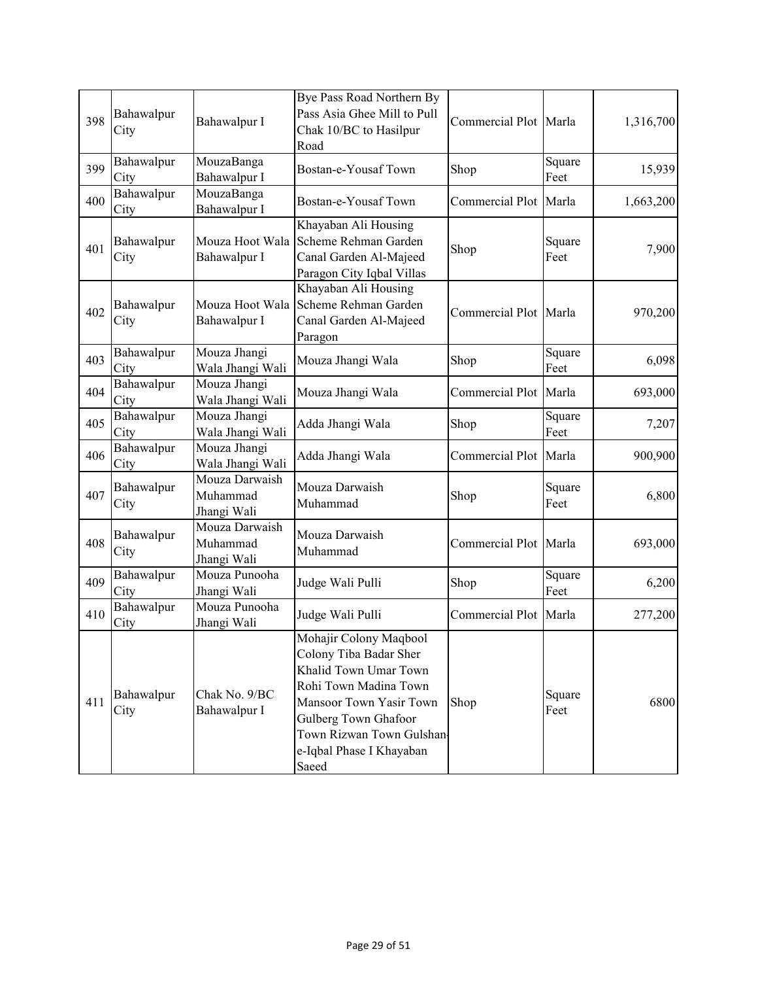| 398 | Bahawalpur<br>City | Bahawalpur I                              | Bye Pass Road Northern By<br>Pass Asia Ghee Mill to Pull<br>Chak 10/BC to Hasilpur<br>Road                                                                                                                             | Commercial Plot Marla |                | 1,316,700 |
|-----|--------------------|-------------------------------------------|------------------------------------------------------------------------------------------------------------------------------------------------------------------------------------------------------------------------|-----------------------|----------------|-----------|
| 399 | Bahawalpur<br>City | MouzaBanga<br>Bahawalpur I                | Bostan-e-Yousaf Town                                                                                                                                                                                                   | Shop                  | Square<br>Feet | 15,939    |
| 400 | Bahawalpur<br>City | MouzaBanga<br>Bahawalpur I                | Bostan-e-Yousaf Town                                                                                                                                                                                                   | Commercial Plot Marla |                | 1,663,200 |
| 401 | Bahawalpur<br>City | Mouza Hoot Wala<br>Bahawalpur I           | Khayaban Ali Housing<br>Scheme Rehman Garden<br>Canal Garden Al-Majeed<br>Paragon City Iqbal Villas                                                                                                                    | Shop                  | Square<br>Feet | 7,900     |
| 402 | Bahawalpur<br>City | Mouza Hoot Wala<br>Bahawalpur I           | Khayaban Ali Housing<br>Scheme Rehman Garden<br>Canal Garden Al-Majeed<br>Paragon                                                                                                                                      | Commercial Plot Marla |                | 970,200   |
| 403 | Bahawalpur<br>City | Mouza Jhangi<br>Wala Jhangi Wali          | Mouza Jhangi Wala                                                                                                                                                                                                      | Shop                  | Square<br>Feet | 6,098     |
| 404 | Bahawalpur<br>City | Mouza Jhangi<br>Wala Jhangi Wali          | Mouza Jhangi Wala                                                                                                                                                                                                      | Commercial Plot       | Marla          | 693,000   |
| 405 | Bahawalpur<br>City | Mouza Jhangi<br>Wala Jhangi Wali          | Adda Jhangi Wala                                                                                                                                                                                                       | Shop                  | Square<br>Feet | 7,207     |
| 406 | Bahawalpur<br>City | Mouza Jhangi<br>Wala Jhangi Wali          | Adda Jhangi Wala                                                                                                                                                                                                       | Commercial Plot Marla |                | 900,900   |
| 407 | Bahawalpur<br>City | Mouza Darwaish<br>Muhammad<br>Jhangi Wali | Mouza Darwaish<br>Muhammad                                                                                                                                                                                             | Shop                  | Square<br>Feet | 6,800     |
| 408 | Bahawalpur<br>City | Mouza Darwaish<br>Muhammad<br>Jhangi Wali | Mouza Darwaish<br>Muhammad                                                                                                                                                                                             | Commercial Plot Marla |                | 693,000   |
| 409 | Bahawalpur<br>City | Mouza Punooha<br>Jhangi Wali              | Judge Wali Pulli                                                                                                                                                                                                       | Shop                  | Square<br>Feet | 6,200     |
| 410 | Bahawalpur<br>City | Mouza Punooha<br>Jhangi Wali              | Judge Wali Pulli                                                                                                                                                                                                       | Commercial Plot       | Marla          | 277,200   |
| 411 | Bahawalpur<br>City | Chak No. 9/BC<br>Bahawalpur I             | Mohajir Colony Maqbool<br>Colony Tiba Badar Sher<br>Khalid Town Umar Town<br>Rohi Town Madina Town<br>Mansoor Town Yasir Town<br>Gulberg Town Ghafoor<br>Town Rizwan Town Gulshan<br>e-Iqbal Phase I Khayaban<br>Saeed | Shop                  | Square<br>Feet | 6800      |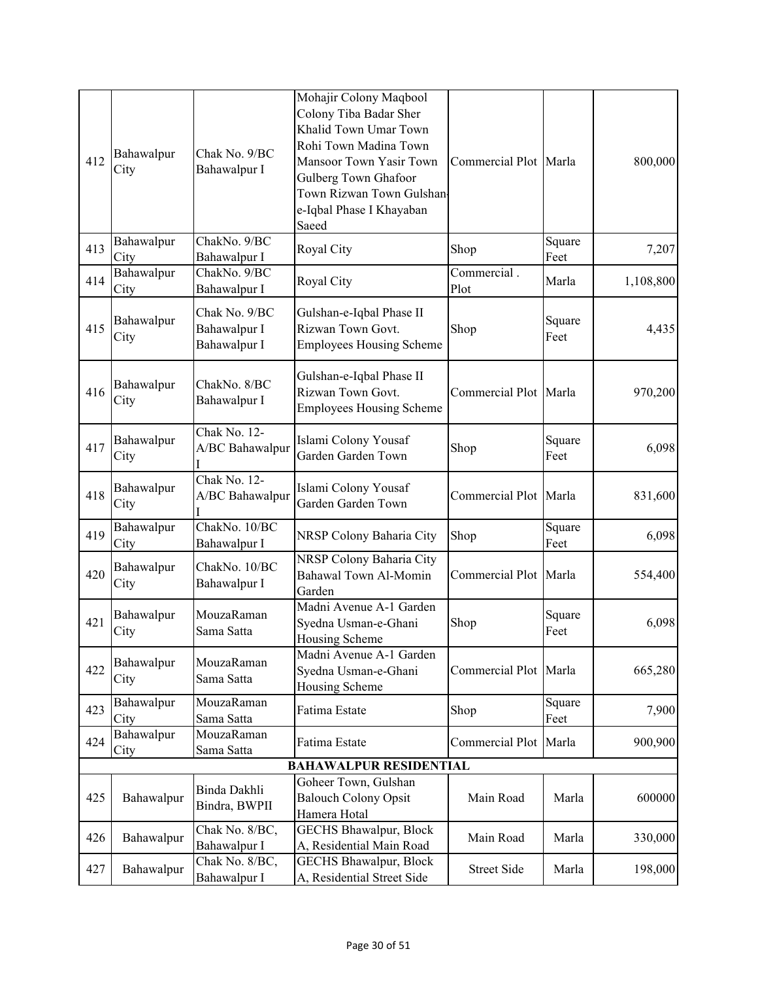| 412 | Bahawalpur<br>City | Chak No. 9/BC<br>Bahawalpur I                 | Mohajir Colony Maqbool<br>Colony Tiba Badar Sher<br>Khalid Town Umar Town<br>Rohi Town Madina Town<br>Mansoor Town Yasir Town<br>Gulberg Town Ghafoor<br>Town Rizwan Town Gulshan<br>e-Iqbal Phase I Khayaban<br>Saeed | Commercial Plot Marla  |                | 800,000   |
|-----|--------------------|-----------------------------------------------|------------------------------------------------------------------------------------------------------------------------------------------------------------------------------------------------------------------------|------------------------|----------------|-----------|
| 413 | Bahawalpur<br>City | ChakNo. 9/BC<br>Bahawalpur I                  | Royal City                                                                                                                                                                                                             | Shop                   | Square<br>Feet | 7,207     |
| 414 | Bahawalpur<br>City | ChakNo. 9/BC<br>Bahawalpur I                  | Royal City                                                                                                                                                                                                             | Commercial.<br>Plot    | Marla          | 1,108,800 |
| 415 | Bahawalpur<br>City | Chak No. 9/BC<br>Bahawalpur I<br>Bahawalpur I | Gulshan-e-Iqbal Phase II<br>Rizwan Town Govt.<br><b>Employees Housing Scheme</b>                                                                                                                                       | Shop                   | Square<br>Feet | 4,435     |
| 416 | Bahawalpur<br>City | ChakNo. 8/BC<br>Bahawalpur I                  | Gulshan-e-Iqbal Phase II<br>Rizwan Town Govt.<br><b>Employees Housing Scheme</b>                                                                                                                                       | Commercial Plot Marla  |                | 970,200   |
| 417 | Bahawalpur<br>City | Chak No. 12-<br>A/BC Bahawalpur               | Islami Colony Yousaf<br>Garden Garden Town                                                                                                                                                                             | Shop                   | Square<br>Feet | 6,098     |
| 418 | Bahawalpur<br>City | Chak No. 12-<br>A/BC Bahawalpur               | Islami Colony Yousaf<br>Garden Garden Town                                                                                                                                                                             | Commercial Plot Marla  |                | 831,600   |
| 419 | Bahawalpur<br>City | ChakNo. 10/BC<br>Bahawalpur I                 | NRSP Colony Baharia City                                                                                                                                                                                               | Shop                   | Square<br>Feet | 6,098     |
| 420 | Bahawalpur<br>City | ChakNo. 10/BC<br>Bahawalpur I                 | NRSP Colony Baharia City<br>Bahawal Town Al-Momin<br>Garden                                                                                                                                                            | Commercial Plot Marla  |                | 554,400   |
| 421 | Bahawalpur<br>City | MouzaRaman<br>Sama Satta                      | Madni Avenue A-1 Garden<br>Syedna Usman-e-Ghani<br>Housing Scheme                                                                                                                                                      | Shop                   | Square<br>Feet | 6,098     |
| 422 | Bahawalpur<br>City | MouzaRaman<br>Sama Satta                      | Madni Avenue A-1 Garden<br>Syedna Usman-e-Ghani<br>Housing Scheme                                                                                                                                                      | Commercial Plot        | Marla          | 665,280   |
| 423 | Bahawalpur<br>City | MouzaRaman<br>Sama Satta                      | Fatima Estate                                                                                                                                                                                                          | Shop                   | Square<br>Feet | 7,900     |
| 424 | Bahawalpur<br>City | MouzaRaman<br>Sama Satta                      | Fatima Estate                                                                                                                                                                                                          | <b>Commercial Plot</b> | Marla          | 900,900   |
|     |                    |                                               | <b>BAHAWALPUR RESIDENTIAL</b>                                                                                                                                                                                          |                        |                |           |
| 425 | Bahawalpur         | Binda Dakhli<br>Bindra, BWPII                 | Goheer Town, Gulshan<br><b>Balouch Colony Opsit</b><br>Hamera Hotal                                                                                                                                                    | Main Road              | Marla          | 600000    |
| 426 | Bahawalpur         | Chak No. 8/BC,<br>Bahawalpur I                | <b>GECHS Bhawalpur, Block</b><br>A, Residential Main Road                                                                                                                                                              | Main Road              | Marla          | 330,000   |
| 427 | Bahawalpur         | Chak No. 8/BC,<br>Bahawalpur I                | GECHS Bhawalpur, Block<br>A, Residential Street Side                                                                                                                                                                   | Street Side            | Marla          | 198,000   |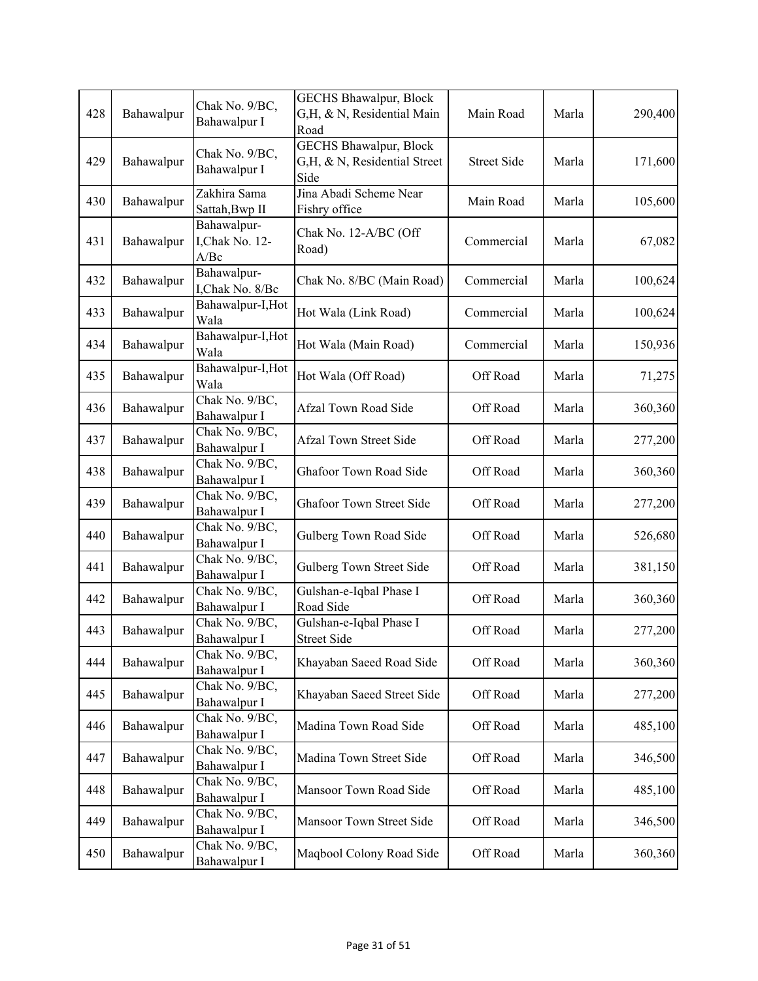| 428 | Bahawalpur | Chak No. 9/BC,<br>Bahawalpur I         | GECHS Bhawalpur, Block<br>G,H, & N, Residential Main<br>Road          | Main Road          | Marla | 290,400 |
|-----|------------|----------------------------------------|-----------------------------------------------------------------------|--------------------|-------|---------|
| 429 | Bahawalpur | Chak No. 9/BC,<br>Bahawalpur I         | <b>GECHS Bhawalpur, Block</b><br>G,H, & N, Residential Street<br>Side | <b>Street Side</b> | Marla | 171,600 |
| 430 | Bahawalpur | Zakhira Sama<br>Sattah, Bwp II         | Jina Abadi Scheme Near<br>Fishry office                               | Main Road          | Marla | 105,600 |
| 431 | Bahawalpur | Bahawalpur-<br>I, Chak No. 12-<br>A/Be | Chak No. 12-A/BC (Off<br>Road)                                        | Commercial         | Marla | 67,082  |
| 432 | Bahawalpur | Bahawalpur-<br>I, Chak No. 8/Bc        | Chak No. 8/BC (Main Road)                                             | Commercial         | Marla | 100,624 |
| 433 | Bahawalpur | Bahawalpur-I, Hot<br>Wala              | Hot Wala (Link Road)                                                  | Commercial         | Marla | 100,624 |
| 434 | Bahawalpur | Bahawalpur-I, Hot<br>Wala              | Hot Wala (Main Road)                                                  | Commercial         | Marla | 150,936 |
| 435 | Bahawalpur | Bahawalpur-I, Hot<br>Wala              | Hot Wala (Off Road)                                                   | Off Road           | Marla | 71,275  |
| 436 | Bahawalpur | Chak No. 9/BC,<br>Bahawalpur I         | Afzal Town Road Side                                                  | Off Road           | Marla | 360,360 |
| 437 | Bahawalpur | Chak No. 9/BC,<br>Bahawalpur I         | <b>Afzal Town Street Side</b>                                         | Off Road           | Marla | 277,200 |
| 438 | Bahawalpur | Chak No. 9/BC,<br>Bahawalpur I         | Ghafoor Town Road Side                                                | Off Road           | Marla | 360,360 |
| 439 | Bahawalpur | Chak No. 9/BC,<br>Bahawalpur I         | <b>Ghafoor Town Street Side</b>                                       | Off Road           | Marla | 277,200 |
| 440 | Bahawalpur | Chak No. 9/BC,<br>Bahawalpur I         | Gulberg Town Road Side                                                | Off Road           | Marla | 526,680 |
| 441 | Bahawalpur | Chak No. 9/BC,<br>Bahawalpur I         | Gulberg Town Street Side                                              | Off Road           | Marla | 381,150 |
| 442 | Bahawalpur | Chak No. 9/BC,<br>Bahawalpur I         | Gulshan-e-Iqbal Phase I<br>Road Side                                  | Off Road           | Marla | 360,360 |
| 443 | Bahawalpur | Chak No. 9/BC,<br>Bahawalpur I         | Gulshan-e-Iqbal Phase I<br><b>Street Side</b>                         | Off Road           | Marla | 277,200 |
| 444 | Bahawalpur | Chak No. 9/BC,<br>Bahawalpur I         | Khayaban Saeed Road Side                                              | Off Road           | Marla | 360,360 |
| 445 | Bahawalpur | Chak No. 9/BC,<br>Bahawalpur I         | Khayaban Saeed Street Side                                            | Off Road           | Marla | 277,200 |
| 446 | Bahawalpur | Chak No. 9/BC,<br>Bahawalpur I         | Madina Town Road Side                                                 | Off Road           | Marla | 485,100 |
| 447 | Bahawalpur | Chak No. 9/BC,<br>Bahawalpur I         | Madina Town Street Side                                               | Off Road           | Marla | 346,500 |
| 448 | Bahawalpur | Chak No. 9/BC,<br>Bahawalpur I         | Mansoor Town Road Side                                                | Off Road           | Marla | 485,100 |
| 449 | Bahawalpur | Chak No. 9/BC,<br>Bahawalpur I         | Mansoor Town Street Side                                              | Off Road           | Marla | 346,500 |
| 450 | Bahawalpur | Chak No. 9/BC,<br>Bahawalpur I         | Maqbool Colony Road Side                                              | Off Road           | Marla | 360,360 |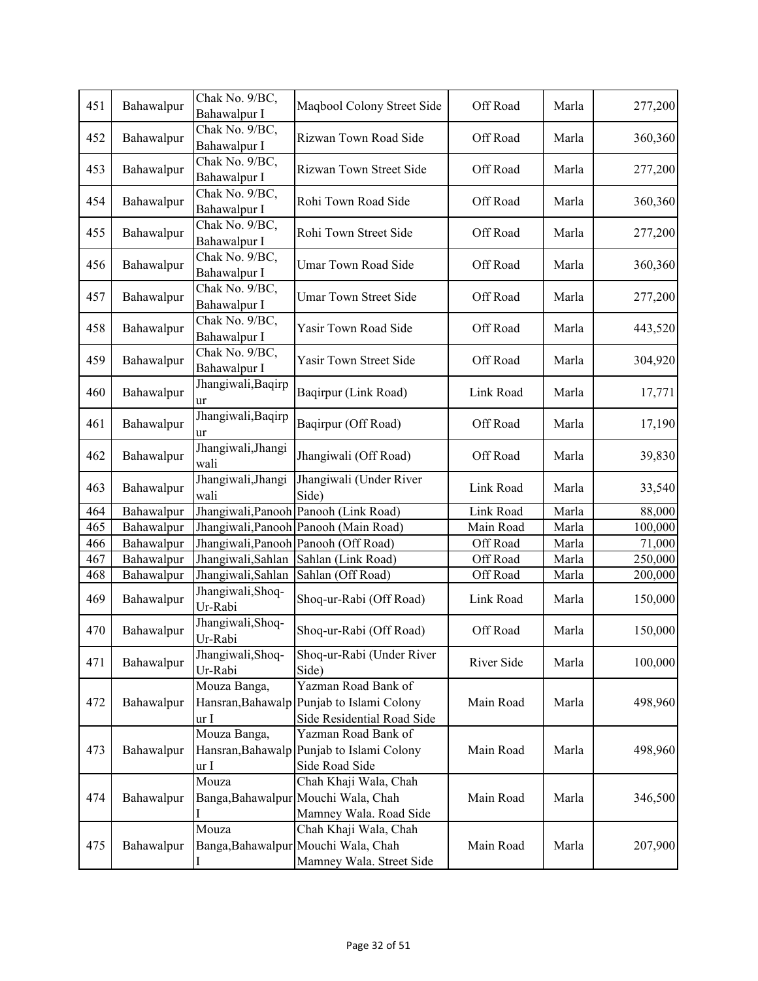| 451 | Bahawalpur | Chak No. 9/BC,<br>Bahawalpur I            | Maqbool Colony Street Side                                                               | Off Road   | Marla | 277,200 |
|-----|------------|-------------------------------------------|------------------------------------------------------------------------------------------|------------|-------|---------|
| 452 | Bahawalpur | Chak No. 9/BC,<br>Bahawalpur I            | Rizwan Town Road Side                                                                    | Off Road   | Marla | 360,360 |
| 453 | Bahawalpur | Chak No. 9/BC,<br>Bahawalpur I            | Rizwan Town Street Side                                                                  | Off Road   | Marla | 277,200 |
| 454 | Bahawalpur | Chak No. 9/BC,                            | Rohi Town Road Side                                                                      | Off Road   | Marla | 360,360 |
| 455 | Bahawalpur | Bahawalpur I<br>Chak No. 9/BC,            | Rohi Town Street Side                                                                    | Off Road   | Marla | 277,200 |
| 456 | Bahawalpur | Bahawalpur I<br>Chak No. 9/BC,            | Umar Town Road Side                                                                      | Off Road   | Marla | 360,360 |
| 457 | Bahawalpur | Bahawalpur I<br>Chak No. 9/BC,            | <b>Umar Town Street Side</b>                                                             | Off Road   | Marla | 277,200 |
|     |            | Bahawalpur I<br>Chak No. 9/BC,            |                                                                                          |            |       |         |
| 458 | Bahawalpur | Bahawalpur I<br>Chak No. 9/BC,            | Yasir Town Road Side                                                                     | Off Road   | Marla | 443,520 |
| 459 | Bahawalpur | Bahawalpur I                              | Yasir Town Street Side                                                                   | Off Road   | Marla | 304,920 |
| 460 | Bahawalpur | Jhangiwali, Baqirp<br>ur                  | Baqirpur (Link Road)                                                                     | Link Road  | Marla | 17,771  |
| 461 | Bahawalpur | Jhangiwali, Baqirp<br>ur                  | Baqirpur (Off Road)                                                                      | Off Road   | Marla | 17,190  |
| 462 | Bahawalpur | Jhangiwali, Jhangi<br>wali                | Jhangiwali (Off Road)                                                                    | Off Road   | Marla | 39,830  |
| 463 | Bahawalpur | Jhangiwali,Jhangi<br>wali                 | Jhangiwali (Under River<br>Side)                                                         | Link Road  | Marla | 33,540  |
| 464 | Bahawalpur | Jhangiwali, Panooh                        | Panooh (Link Road)                                                                       | Link Road  | Marla | 88,000  |
| 465 | Bahawalpur | Jhangiwali, Panooh                        | Panooh (Main Road)                                                                       | Main Road  | Marla | 100,000 |
| 466 | Bahawalpur | Jhangiwali, Panooh                        | Panooh (Off Road)                                                                        | Off Road   | Marla | 71,000  |
| 467 | Bahawalpur | Jhangiwali, Sahlan                        | Sahlan (Link Road)                                                                       | Off Road   | Marla | 250,000 |
| 468 | Bahawalpur | Jhangiwali, Sahlan                        | Sahlan (Off Road)                                                                        | Off Road   | Marla | 200,000 |
| 469 | Bahawalpur | Jhangiwali, Shoq-<br>Ur-Rabi              | Shoq-ur-Rabi (Off Road)                                                                  | Link Road  | Marla | 150,000 |
| 470 | Bahawalpur | Jhangiwali, Shoq-<br>Ur-Rabi              | Shoq-ur-Rabi (Off Road)                                                                  | Off Road   | Marla | 150,000 |
| 471 | Bahawalpur | Jhangiwali, Shoq-<br>Ur-Rabi              | Shoq-ur-Rabi (Under River<br>Side)                                                       | River Side | Marla | 100,000 |
| 472 | Bahawalpur | Mouza Banga,<br>Hansran, Bahawalp<br>ur I | Yazman Road Bank of<br>Punjab to Islami Colony<br>Side Residential Road Side             | Main Road  | Marla | 498,960 |
| 473 | Bahawalpur | Mouza Banga,<br>Hansran, Bahawalp<br>ur I | Yazman Road Bank of<br>Punjab to Islami Colony<br>Side Road Side                         | Main Road  | Marla | 498,960 |
| 474 | Bahawalpur | Mouza                                     | Chah Khaji Wala, Chah<br>Banga, Bahawalpur Mouchi Wala, Chah<br>Mamney Wala. Road Side   | Main Road  | Marla | 346,500 |
| 475 | Bahawalpur | Mouza                                     | Chah Khaji Wala, Chah<br>Banga, Bahawalpur Mouchi Wala, Chah<br>Mamney Wala. Street Side | Main Road  | Marla | 207,900 |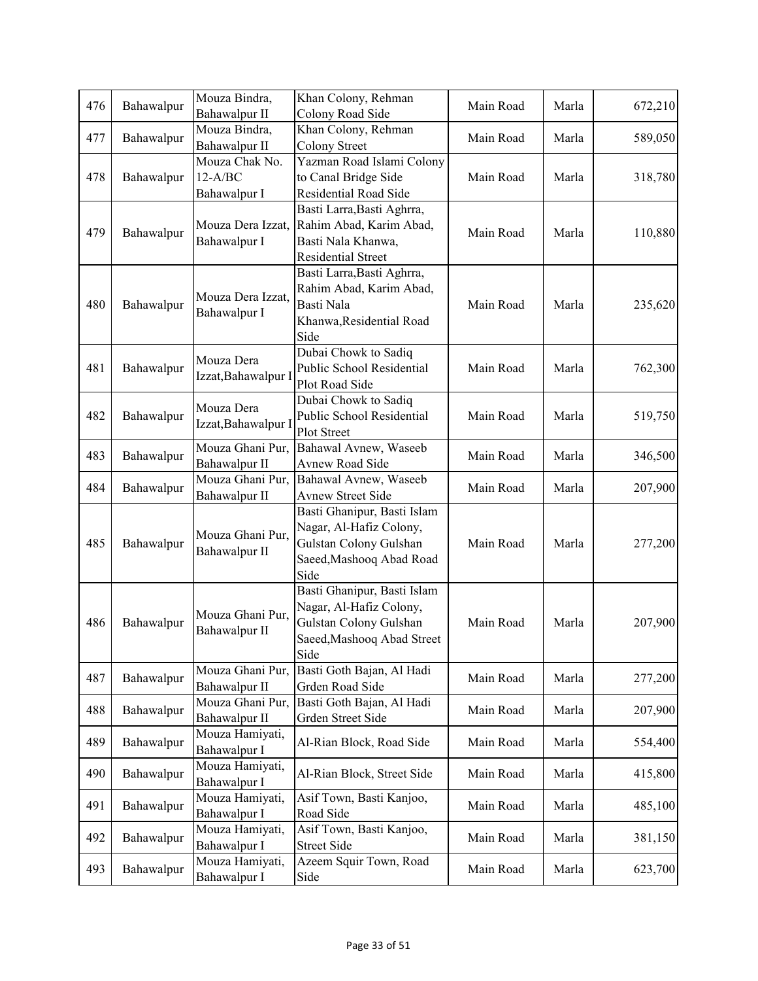| 476 | Bahawalpur    | Mouza Bindra,<br>Bahawalpur II    | Khan Colony, Rehman<br>Colony Road Side           | Main Road | Marla | 672,210 |
|-----|---------------|-----------------------------------|---------------------------------------------------|-----------|-------|---------|
|     |               | Mouza Bindra,                     | Khan Colony, Rehman                               |           |       |         |
| 477 | Bahawalpur    | Bahawalpur II                     | Colony Street                                     | Main Road | Marla | 589,050 |
|     |               | Mouza Chak No.                    | Yazman Road Islami Colony                         |           |       |         |
| 478 | Bahawalpur    | $12-A/BC$                         | to Canal Bridge Side                              | Main Road | Marla | 318,780 |
|     |               | Bahawalpur I                      | Residential Road Side                             |           |       |         |
|     |               |                                   | Basti Larra, Basti Aghrra,                        |           |       |         |
| 479 | Bahawalpur    | Mouza Dera Izzat,                 | Rahim Abad, Karim Abad,                           | Main Road | Marla | 110,880 |
|     |               | Bahawalpur I                      | Basti Nala Khanwa,                                |           |       |         |
|     |               |                                   | <b>Residential Street</b>                         |           |       |         |
|     |               |                                   | Basti Larra, Basti Aghrra,                        |           |       |         |
|     |               | Mouza Dera Izzat,                 | Rahim Abad, Karim Abad,                           |           |       |         |
| 480 | Bahawalpur    | Bahawalpur I                      | Basti Nala                                        | Main Road | Marla | 235,620 |
|     |               |                                   | Khanwa, Residential Road                          |           |       |         |
|     |               |                                   | Side                                              |           |       |         |
|     |               | Mouza Dera                        | Dubai Chowk to Sadiq                              |           |       |         |
| 481 | Bahawalpur    | Izzat, Bahawalpur                 | Public School Residential                         | Main Road | Marla | 762,300 |
|     |               |                                   | Plot Road Side                                    |           |       |         |
|     |               | Mouza Dera                        | Dubai Chowk to Sadiq                              |           |       |         |
| 482 | Bahawalpur    | Izzat, Bahawalpur I               | Public School Residential                         | Main Road | Marla | 519,750 |
|     |               |                                   | Plot Street                                       |           |       |         |
| 483 | Bahawalpur    | Mouza Ghani Pur,                  | Bahawal Avnew, Waseeb                             | Main Road | Marla | 346,500 |
|     |               | Bahawalpur II                     | Avnew Road Side                                   |           |       |         |
| 484 | Bahawalpur    | Mouza Ghani Pur,<br>Bahawalpur II | Bahawal Avnew, Waseeb<br><b>Avnew Street Side</b> | Main Road | Marla | 207,900 |
|     |               |                                   | Basti Ghanipur, Basti Islam                       |           |       |         |
|     |               | Mouza Ghani Pur,                  | Nagar, Al-Hafiz Colony,                           |           |       |         |
| 485 | Bahawalpur    |                                   | Gulstan Colony Gulshan                            | Main Road | Marla | 277,200 |
|     | Bahawalpur II | Saeed, Mashooq Abad Road          |                                                   |           |       |         |
|     |               |                                   | Side                                              |           |       |         |
|     |               |                                   | Basti Ghanipur, Basti Islam                       |           |       |         |
|     |               |                                   | Nagar, Al-Hafiz Colony,                           |           |       |         |
| 486 | Bahawalpur    | Mouza Ghani Pur,                  | Gulstan Colony Gulshan                            | Main Road | Marla | 207,900 |
|     |               | Bahawalpur II                     | Saeed, Mashooq Abad Street                        |           |       |         |
|     |               |                                   | Side                                              |           |       |         |
| 487 | Bahawalpur    | Mouza Ghani Pur,                  | Basti Goth Bajan, Al Hadi                         | Main Road | Marla | 277,200 |
|     |               | Bahawalpur II                     | Grden Road Side                                   |           |       |         |
| 488 | Bahawalpur    | Mouza Ghani Pur,                  | Basti Goth Bajan, Al Hadi                         | Main Road | Marla | 207,900 |
|     |               | Bahawalpur II                     | Grden Street Side                                 |           |       |         |
| 489 | Bahawalpur    | Mouza Hamiyati,                   | Al-Rian Block, Road Side                          | Main Road | Marla | 554,400 |
|     |               | Bahawalpur I                      |                                                   |           |       |         |
| 490 | Bahawalpur    | Mouza Hamiyati,                   | Al-Rian Block, Street Side                        | Main Road | Marla | 415,800 |
|     |               | Bahawalpur I                      |                                                   |           |       |         |
| 491 | Bahawalpur    | Mouza Hamiyati,                   | Asif Town, Basti Kanjoo,                          | Main Road | Marla | 485,100 |
|     |               | Bahawalpur I                      | Road Side                                         |           |       |         |
| 492 | Bahawalpur    | Mouza Hamiyati,<br>Bahawalpur I   | Asif Town, Basti Kanjoo,<br><b>Street Side</b>    | Main Road | Marla | 381,150 |
|     |               | Mouza Hamiyati,                   | Azeem Squir Town, Road                            |           |       |         |
| 493 | Bahawalpur    | Bahawalpur I                      | Side                                              | Main Road | Marla | 623,700 |
|     |               |                                   |                                                   |           |       |         |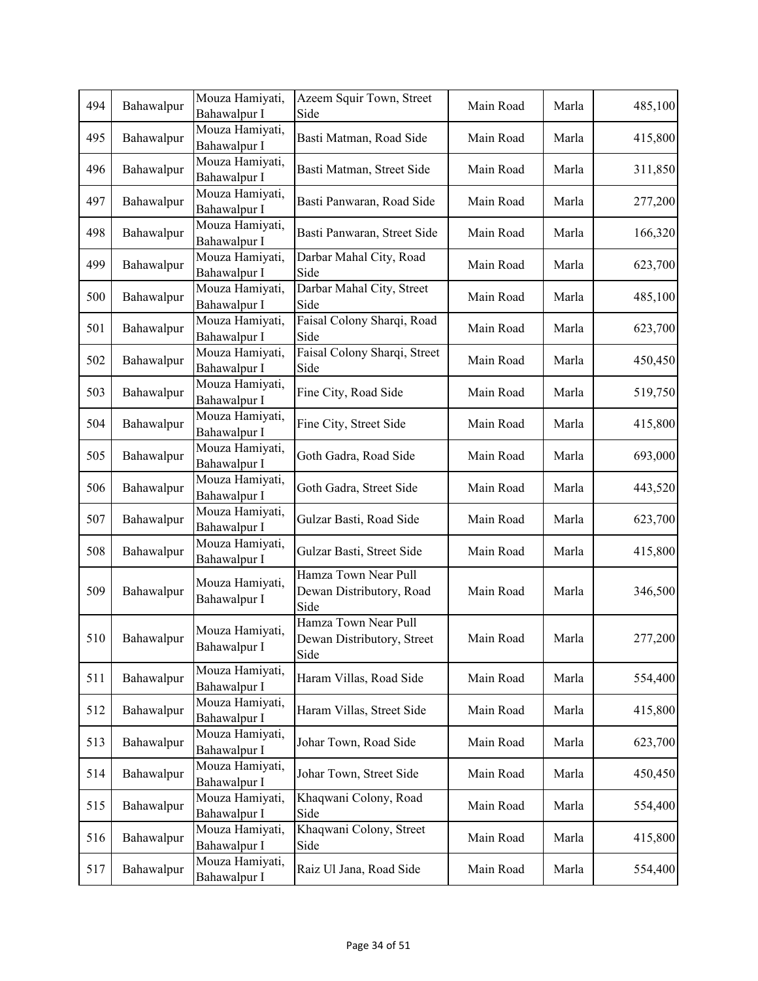| 494 | Bahawalpur | Mouza Hamiyati,<br>Bahawalpur I | Azeem Squir Town, Street<br>Side                           | Main Road | Marla | 485,100 |
|-----|------------|---------------------------------|------------------------------------------------------------|-----------|-------|---------|
| 495 | Bahawalpur | Mouza Hamiyati,<br>Bahawalpur I | Basti Matman, Road Side                                    | Main Road | Marla | 415,800 |
| 496 | Bahawalpur | Mouza Hamiyati,<br>Bahawalpur I | Basti Matman, Street Side                                  | Main Road | Marla | 311,850 |
| 497 | Bahawalpur | Mouza Hamiyati,<br>Bahawalpur I | Basti Panwaran, Road Side                                  | Main Road | Marla | 277,200 |
| 498 | Bahawalpur | Mouza Hamiyati,<br>Bahawalpur I | Basti Panwaran, Street Side                                | Main Road | Marla | 166,320 |
| 499 | Bahawalpur | Mouza Hamiyati,<br>Bahawalpur I | Darbar Mahal City, Road<br>Side                            | Main Road | Marla | 623,700 |
| 500 | Bahawalpur | Mouza Hamiyati,<br>Bahawalpur I | Darbar Mahal City, Street<br>Side                          | Main Road | Marla | 485,100 |
| 501 | Bahawalpur | Mouza Hamiyati,<br>Bahawalpur I | Faisal Colony Sharqi, Road<br>Side                         | Main Road | Marla | 623,700 |
| 502 | Bahawalpur | Mouza Hamiyati,<br>Bahawalpur I | Faisal Colony Sharqi, Street<br>Side                       | Main Road | Marla | 450,450 |
| 503 | Bahawalpur | Mouza Hamiyati,<br>Bahawalpur I | Fine City, Road Side                                       | Main Road | Marla | 519,750 |
| 504 | Bahawalpur | Mouza Hamiyati,<br>Bahawalpur I | Fine City, Street Side                                     | Main Road | Marla | 415,800 |
| 505 | Bahawalpur | Mouza Hamiyati,<br>Bahawalpur I | Goth Gadra, Road Side                                      | Main Road | Marla | 693,000 |
| 506 | Bahawalpur | Mouza Hamiyati,<br>Bahawalpur I | Goth Gadra, Street Side                                    | Main Road | Marla | 443,520 |
| 507 | Bahawalpur | Mouza Hamiyati,<br>Bahawalpur I | Gulzar Basti, Road Side                                    | Main Road | Marla | 623,700 |
| 508 | Bahawalpur | Mouza Hamiyati,<br>Bahawalpur I | Gulzar Basti, Street Side                                  | Main Road | Marla | 415,800 |
| 509 | Bahawalpur | Mouza Hamiyati,<br>Bahawalpur I | Hamza Town Near Pull<br>Dewan Distributory, Road<br>Side   | Main Road | Marla | 346,500 |
| 510 | Bahawalpur | Mouza Hamiyati,<br>Bahawalpur I | Hamza Town Near Pull<br>Dewan Distributory, Street<br>Side | Main Road | Marla | 277,200 |
| 511 | Bahawalpur | Mouza Hamiyati,<br>Bahawalpur I | Haram Villas, Road Side                                    | Main Road | Marla | 554,400 |
| 512 | Bahawalpur | Mouza Hamiyati,<br>Bahawalpur I | Haram Villas, Street Side                                  | Main Road | Marla | 415,800 |
| 513 | Bahawalpur | Mouza Hamiyati,<br>Bahawalpur I | Johar Town, Road Side                                      | Main Road | Marla | 623,700 |
| 514 | Bahawalpur | Mouza Hamiyati,<br>Bahawalpur I | Johar Town, Street Side                                    | Main Road | Marla | 450,450 |
| 515 | Bahawalpur | Mouza Hamiyati,<br>Bahawalpur I | Khaqwani Colony, Road<br>Side                              | Main Road | Marla | 554,400 |
| 516 | Bahawalpur | Mouza Hamiyati,<br>Bahawalpur I | Khaqwani Colony, Street<br>Side                            | Main Road | Marla | 415,800 |
| 517 | Bahawalpur | Mouza Hamiyati,<br>Bahawalpur I | Raiz Ul Jana, Road Side                                    | Main Road | Marla | 554,400 |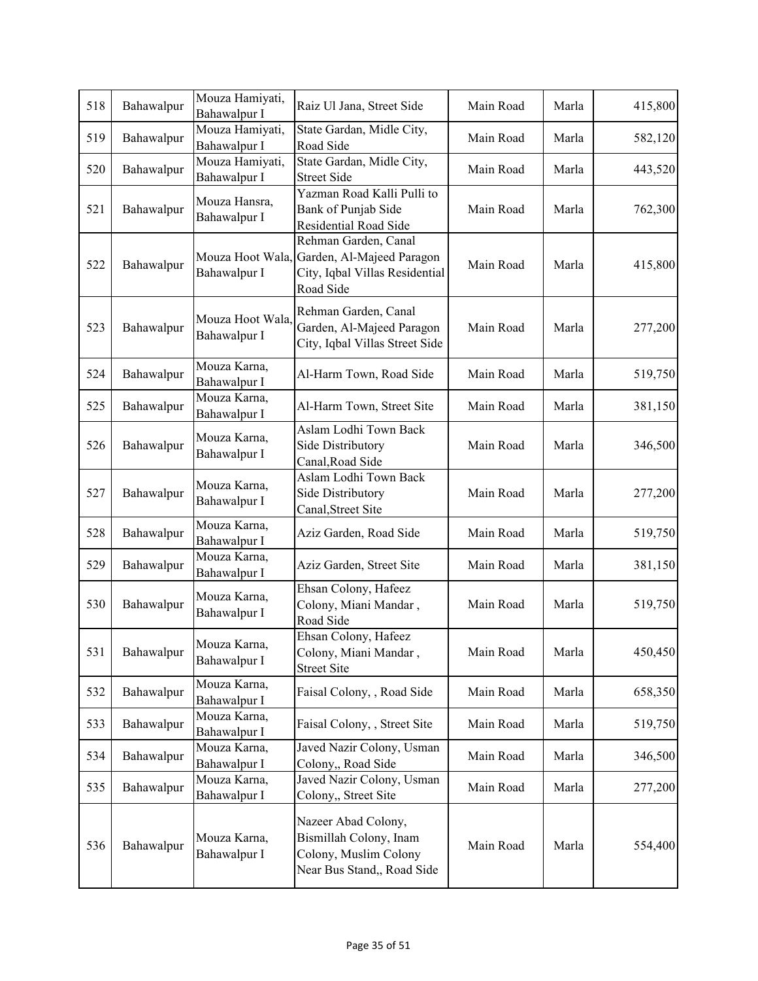| 518 | Bahawalpur | Mouza Hamiyati,<br>Bahawalpur I  | Raiz Ul Jana, Street Side                                                                                         | Main Road | Marla | 415,800 |
|-----|------------|----------------------------------|-------------------------------------------------------------------------------------------------------------------|-----------|-------|---------|
| 519 | Bahawalpur | Mouza Hamiyati,<br>Bahawalpur I  | State Gardan, Midle City,<br>Road Side                                                                            | Main Road | Marla | 582,120 |
| 520 | Bahawalpur | Mouza Hamiyati,<br>Bahawalpur I  | State Gardan, Midle City,<br><b>Street Side</b>                                                                   | Main Road | Marla | 443,520 |
| 521 | Bahawalpur | Mouza Hansra,<br>Bahawalpur I    | Yazman Road Kalli Pulli to<br>Bank of Punjab Side<br>Residential Road Side                                        | Main Road | Marla | 762,300 |
| 522 | Bahawalpur | Bahawalpur I                     | Rehman Garden, Canal<br>Mouza Hoot Wala, Garden, Al-Majeed Paragon<br>City, Iqbal Villas Residential<br>Road Side | Main Road | Marla | 415,800 |
| 523 | Bahawalpur | Mouza Hoot Wala,<br>Bahawalpur I | Rehman Garden, Canal<br>Garden, Al-Majeed Paragon<br>City, Iqbal Villas Street Side                               | Main Road | Marla | 277,200 |
| 524 | Bahawalpur | Mouza Karna,<br>Bahawalpur I     | Al-Harm Town, Road Side                                                                                           | Main Road | Marla | 519,750 |
| 525 | Bahawalpur | Mouza Karna,<br>Bahawalpur I     | Al-Harm Town, Street Site                                                                                         | Main Road | Marla | 381,150 |
| 526 | Bahawalpur | Mouza Karna,<br>Bahawalpur I     | Aslam Lodhi Town Back<br>Side Distributory<br>Canal, Road Side                                                    | Main Road | Marla | 346,500 |
| 527 | Bahawalpur | Mouza Karna,<br>Bahawalpur I     | Aslam Lodhi Town Back<br>Side Distributory<br>Canal, Street Site                                                  | Main Road | Marla | 277,200 |
| 528 | Bahawalpur | Mouza Karna,<br>Bahawalpur I     | Aziz Garden, Road Side                                                                                            | Main Road | Marla | 519,750 |
| 529 | Bahawalpur | Mouza Karna,<br>Bahawalpur I     | Aziz Garden, Street Site                                                                                          | Main Road | Marla | 381,150 |
| 530 | Bahawalpur | Mouza Karna,<br>Bahawalpur I     | Ehsan Colony, Hafeez<br>Colony, Miani Mandar,<br>Road Side                                                        | Main Road | Marla | 519,750 |
| 531 | Bahawalpur | Mouza Karna,<br>Bahawalpur I     | Ehsan Colony, Hafeez<br>Colony, Miani Mandar,<br><b>Street Site</b>                                               | Main Road | Marla | 450,450 |
| 532 | Bahawalpur | Mouza Karna,<br>Bahawalpur I     | Faisal Colony, , Road Side                                                                                        | Main Road | Marla | 658,350 |
| 533 | Bahawalpur | Mouza Karna,<br>Bahawalpur I     | Faisal Colony, , Street Site                                                                                      | Main Road | Marla | 519,750 |
| 534 | Bahawalpur | Mouza Karna,<br>Bahawalpur I     | Javed Nazir Colony, Usman<br>Colony,, Road Side                                                                   | Main Road | Marla | 346,500 |
| 535 | Bahawalpur | Mouza Karna,<br>Bahawalpur I     | Javed Nazir Colony, Usman<br>Colony,, Street Site                                                                 | Main Road | Marla | 277,200 |
| 536 | Bahawalpur | Mouza Karna,<br>Bahawalpur I     | Nazeer Abad Colony,<br>Bismillah Colony, Inam<br>Colony, Muslim Colony<br>Near Bus Stand,, Road Side              | Main Road | Marla | 554,400 |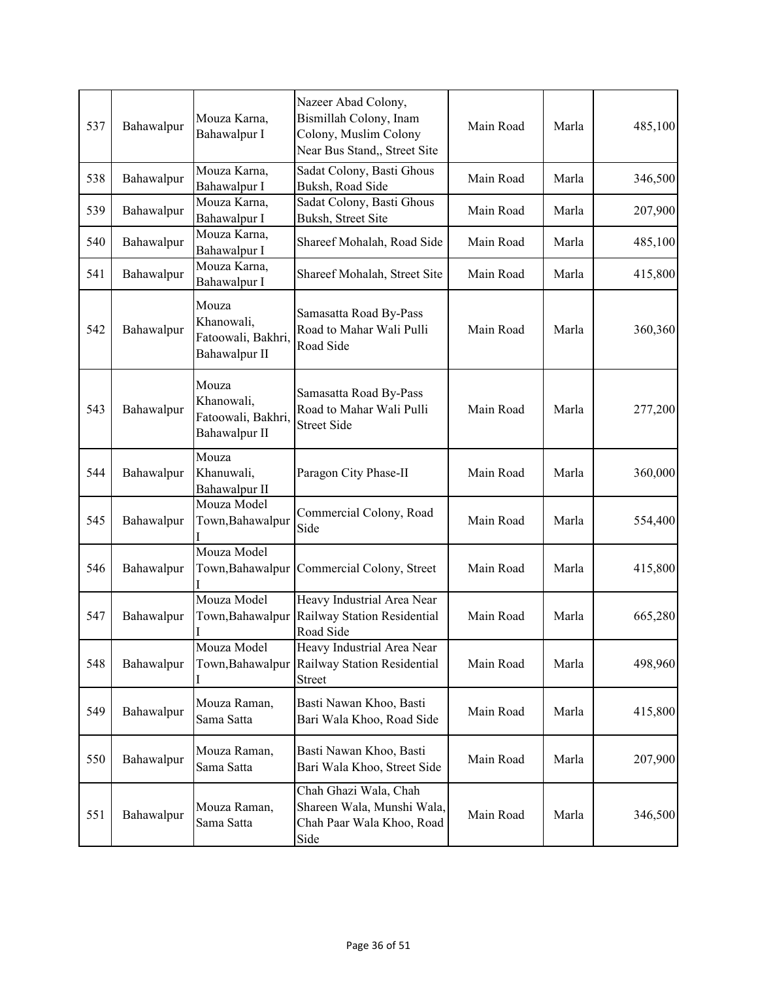| 537 | Bahawalpur | Mouza Karna,<br>Bahawalpur I                               | Nazeer Abad Colony,<br>Bismillah Colony, Inam<br>Colony, Muslim Colony<br>Near Bus Stand,, Street Site | Main Road | Marla | 485,100 |
|-----|------------|------------------------------------------------------------|--------------------------------------------------------------------------------------------------------|-----------|-------|---------|
| 538 | Bahawalpur | Mouza Karna,<br>Bahawalpur I                               | Sadat Colony, Basti Ghous<br>Buksh, Road Side                                                          | Main Road | Marla | 346,500 |
| 539 | Bahawalpur | Mouza Karna,<br>Bahawalpur I                               | Sadat Colony, Basti Ghous<br>Buksh, Street Site                                                        | Main Road | Marla | 207,900 |
| 540 | Bahawalpur | Mouza Karna,<br>Bahawalpur I                               | Shareef Mohalah, Road Side                                                                             | Main Road | Marla | 485,100 |
| 541 | Bahawalpur | Mouza Karna,<br>Bahawalpur I                               | Shareef Mohalah, Street Site                                                                           | Main Road | Marla | 415,800 |
| 542 | Bahawalpur | Mouza<br>Khanowali,<br>Fatoowali, Bakhri,<br>Bahawalpur II | Samasatta Road By-Pass<br>Road to Mahar Wali Pulli<br>Road Side                                        | Main Road | Marla | 360,360 |
| 543 | Bahawalpur | Mouza<br>Khanowali,<br>Fatoowali, Bakhri,<br>Bahawalpur II | Samasatta Road By-Pass<br>Road to Mahar Wali Pulli<br><b>Street Side</b>                               | Main Road | Marla | 277,200 |
| 544 | Bahawalpur | Mouza<br>Khanuwali,<br>Bahawalpur II                       | Paragon City Phase-II                                                                                  | Main Road | Marla | 360,000 |
| 545 | Bahawalpur | Mouza Model<br>Town, Bahawalpur                            | Commercial Colony, Road<br>Side                                                                        | Main Road | Marla | 554,400 |
| 546 | Bahawalpur | Mouza Model<br>Town, Bahawalpur                            | Commercial Colony, Street                                                                              | Main Road | Marla | 415,800 |
| 547 | Bahawalpur | Mouza Model<br>Town, Bahawalpur                            | Heavy Industrial Area Near<br>Railway Station Residential<br>Road Side                                 | Main Road | Marla | 665,280 |
| 548 | Bahawalpur | Mouza Model<br>Town, Bahawalpur                            | Heavy Industrial Area Near<br>Railway Station Residential<br><b>Street</b>                             | Main Road | Marla | 498,960 |
| 549 | Bahawalpur | Mouza Raman,<br>Sama Satta                                 | Basti Nawan Khoo, Basti<br>Bari Wala Khoo, Road Side                                                   | Main Road | Marla | 415,800 |
| 550 | Bahawalpur | Mouza Raman,<br>Sama Satta                                 | Basti Nawan Khoo, Basti<br>Bari Wala Khoo, Street Side                                                 | Main Road | Marla | 207,900 |
| 551 | Bahawalpur | Mouza Raman,<br>Sama Satta                                 | Chah Ghazi Wala, Chah<br>Shareen Wala, Munshi Wala,<br>Chah Paar Wala Khoo, Road<br>Side               | Main Road | Marla | 346,500 |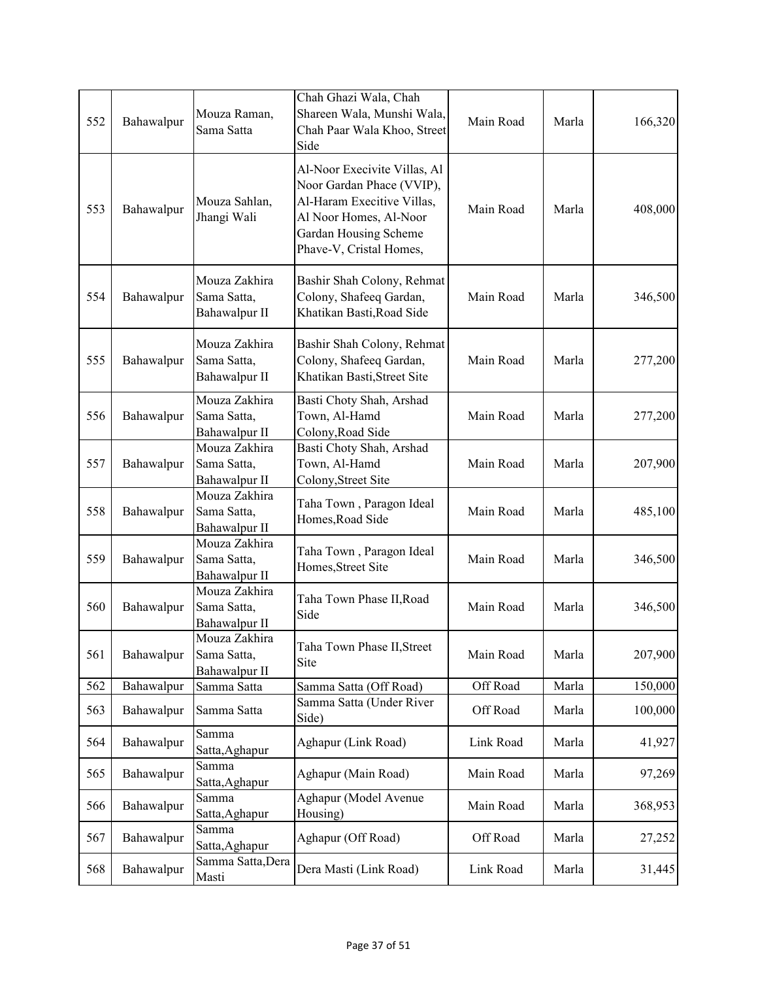|     |            |                                               | Chah Ghazi Wala, Chah                                                                                                                                                 |           |       |         |
|-----|------------|-----------------------------------------------|-----------------------------------------------------------------------------------------------------------------------------------------------------------------------|-----------|-------|---------|
| 552 | Bahawalpur | Mouza Raman,<br>Sama Satta                    | Shareen Wala, Munshi Wala,<br>Chah Paar Wala Khoo, Street<br>Side                                                                                                     | Main Road | Marla | 166,320 |
| 553 | Bahawalpur | Mouza Sahlan,<br>Jhangi Wali                  | Al-Noor Execivite Villas, Al<br>Noor Gardan Phace (VVIP),<br>Al-Haram Execitive Villas,<br>Al Noor Homes, Al-Noor<br>Gardan Housing Scheme<br>Phave-V, Cristal Homes, | Main Road | Marla | 408,000 |
| 554 | Bahawalpur | Mouza Zakhira<br>Sama Satta,<br>Bahawalpur II | Bashir Shah Colony, Rehmat<br>Colony, Shafeeq Gardan,<br>Khatikan Basti, Road Side                                                                                    | Main Road | Marla | 346,500 |
| 555 | Bahawalpur | Mouza Zakhira<br>Sama Satta,<br>Bahawalpur II | Bashir Shah Colony, Rehmat<br>Colony, Shafeeq Gardan,<br>Khatikan Basti, Street Site                                                                                  | Main Road | Marla | 277,200 |
| 556 | Bahawalpur | Mouza Zakhira<br>Sama Satta,<br>Bahawalpur II | Basti Choty Shah, Arshad<br>Town, Al-Hamd<br>Colony, Road Side                                                                                                        | Main Road | Marla | 277,200 |
| 557 | Bahawalpur | Mouza Zakhira<br>Sama Satta,<br>Bahawalpur II | Basti Choty Shah, Arshad<br>Town, Al-Hamd<br>Colony, Street Site                                                                                                      | Main Road | Marla | 207,900 |
| 558 | Bahawalpur | Mouza Zakhira<br>Sama Satta,<br>Bahawalpur II | Taha Town, Paragon Ideal<br>Homes, Road Side                                                                                                                          | Main Road | Marla | 485,100 |
| 559 | Bahawalpur | Mouza Zakhira<br>Sama Satta,<br>Bahawalpur II | Taha Town, Paragon Ideal<br>Homes, Street Site                                                                                                                        | Main Road | Marla | 346,500 |
| 560 | Bahawalpur | Mouza Zakhira<br>Sama Satta,<br>Bahawalpur II | Taha Town Phase II, Road<br>Side                                                                                                                                      | Main Road | Marla | 346,500 |
| 561 | Bahawalpur | Mouza Zakhira<br>Sama Satta,<br>Bahawalpur II | Taha Town Phase II, Street<br>Site                                                                                                                                    | Main Road | Marla | 207,900 |
| 562 | Bahawalpur | Samma Satta                                   | Samma Satta (Off Road)                                                                                                                                                | Off Road  | Marla | 150,000 |
| 563 | Bahawalpur | Samma Satta                                   | Samma Satta (Under River<br>Side)                                                                                                                                     | Off Road  | Marla | 100,000 |
| 564 | Bahawalpur | Samma<br>Satta, Aghapur                       | Aghapur (Link Road)                                                                                                                                                   | Link Road | Marla | 41,927  |
| 565 | Bahawalpur | Samma<br>Satta, Aghapur                       | Aghapur (Main Road)                                                                                                                                                   | Main Road | Marla | 97,269  |
| 566 | Bahawalpur | Samma<br>Satta, Aghapur                       | Aghapur (Model Avenue<br>Housing)                                                                                                                                     | Main Road | Marla | 368,953 |
| 567 | Bahawalpur | Samma<br>Satta, Aghapur                       | Aghapur (Off Road)                                                                                                                                                    | Off Road  | Marla | 27,252  |
| 568 | Bahawalpur | Samma Satta, Dera<br>Masti                    | Dera Masti (Link Road)                                                                                                                                                | Link Road | Marla | 31,445  |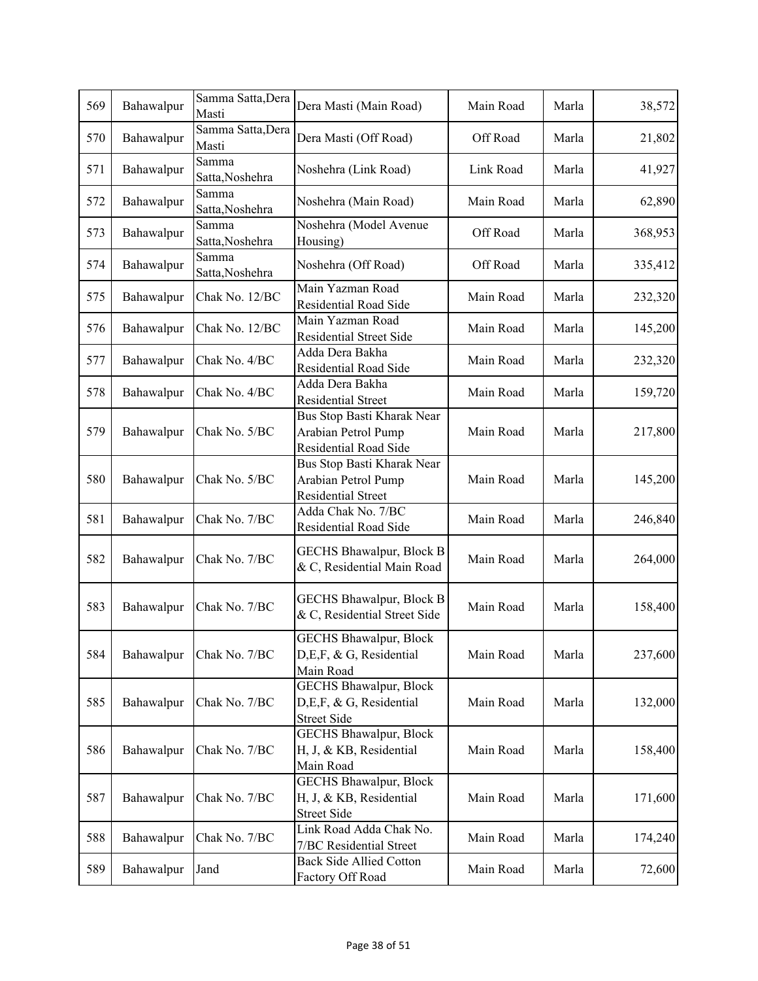| 569 | Bahawalpur | Samma Satta, Dera          | Dera Masti (Main Road)                                                         | Main Road | Marla | 38,572  |
|-----|------------|----------------------------|--------------------------------------------------------------------------------|-----------|-------|---------|
|     |            | Masti                      |                                                                                |           |       |         |
| 570 | Bahawalpur | Samma Satta, Dera<br>Masti | Dera Masti (Off Road)                                                          | Off Road  | Marla | 21,802  |
| 571 | Bahawalpur | Samma<br>Satta, Noshehra   | Noshehra (Link Road)                                                           | Link Road | Marla | 41,927  |
| 572 | Bahawalpur | Samma<br>Satta, Noshehra   | Noshehra (Main Road)                                                           | Main Road | Marla | 62,890  |
| 573 | Bahawalpur | Samma<br>Satta, Noshehra   | Noshehra (Model Avenue<br>Housing)                                             | Off Road  | Marla | 368,953 |
| 574 | Bahawalpur | Samma<br>Satta, Noshehra   | Noshehra (Off Road)                                                            | Off Road  | Marla | 335,412 |
| 575 | Bahawalpur | Chak No. 12/BC             | Main Yazman Road<br>Residential Road Side                                      | Main Road | Marla | 232,320 |
| 576 | Bahawalpur | Chak No. 12/BC             | Main Yazman Road<br><b>Residential Street Side</b>                             | Main Road | Marla | 145,200 |
| 577 | Bahawalpur | Chak No. 4/BC              | Adda Dera Bakha<br>Residential Road Side                                       | Main Road | Marla | 232,320 |
| 578 | Bahawalpur | Chak No. 4/BC              | Adda Dera Bakha<br>Residential Street                                          | Main Road | Marla | 159,720 |
| 579 | Bahawalpur | Chak No. 5/BC              | Bus Stop Basti Kharak Near<br>Arabian Petrol Pump<br>Residential Road Side     | Main Road | Marla | 217,800 |
| 580 | Bahawalpur | Chak No. 5/BC              | Bus Stop Basti Kharak Near<br>Arabian Petrol Pump<br>Residential Street        | Main Road | Marla | 145,200 |
| 581 | Bahawalpur | Chak No. 7/BC              | Adda Chak No. 7/BC<br>Residential Road Side                                    | Main Road | Marla | 246,840 |
| 582 | Bahawalpur | Chak No. 7/BC              | <b>GECHS Bhawalpur, Block B</b><br>& C, Residential Main Road                  | Main Road | Marla | 264,000 |
| 583 | Bahawalpur | Chak No. 7/BC              | GECHS Bhawalpur, Block B<br>& C, Residential Street Side                       | Main Road | Marla | 158,400 |
| 584 | Bahawalpur | Chak No. 7/BC              | <b>GECHS Bhawalpur, Block</b><br>D, E, F, & G, Residential<br>Main Road        | Main Road | Marla | 237,600 |
| 585 | Bahawalpur | Chak No. 7/BC              | <b>GECHS Bhawalpur, Block</b><br>D,E,F, & G, Residential<br><b>Street Side</b> | Main Road | Marla | 132,000 |
| 586 | Bahawalpur | Chak No. 7/BC              | <b>GECHS Bhawalpur, Block</b><br>H, J, & KB, Residential<br>Main Road          | Main Road | Marla | 158,400 |
| 587 | Bahawalpur | Chak No. 7/BC              | <b>GECHS Bhawalpur, Block</b><br>H, J, & KB, Residential<br><b>Street Side</b> | Main Road | Marla | 171,600 |
| 588 | Bahawalpur | Chak No. 7/BC              | Link Road Adda Chak No.<br>7/BC Residential Street                             | Main Road | Marla | 174,240 |
| 589 | Bahawalpur | Jand                       | Back Side Allied Cotton<br>Factory Off Road                                    | Main Road | Marla | 72,600  |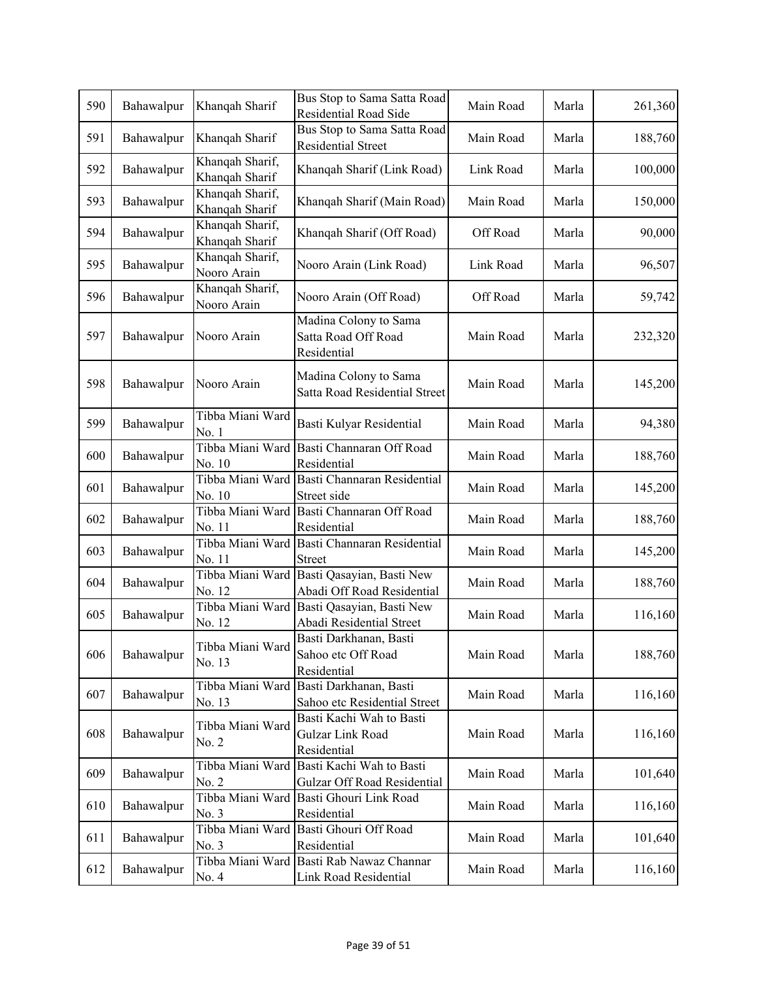| 590 | Bahawalpur | Khanqah Sharif                    | Bus Stop to Sama Satta Road<br>Residential Road Side        | Main Road | Marla | 261,360 |
|-----|------------|-----------------------------------|-------------------------------------------------------------|-----------|-------|---------|
| 591 | Bahawalpur | Khanqah Sharif                    | Bus Stop to Sama Satta Road<br><b>Residential Street</b>    | Main Road | Marla | 188,760 |
| 592 | Bahawalpur | Khanqah Sharif,<br>Khanqah Sharif | Khanqah Sharif (Link Road)                                  | Link Road | Marla | 100,000 |
| 593 | Bahawalpur | Khanqah Sharif,<br>Khanqah Sharif | Khanqah Sharif (Main Road)                                  | Main Road | Marla | 150,000 |
| 594 | Bahawalpur | Khanqah Sharif,<br>Khanqah Sharif | Khanqah Sharif (Off Road)                                   | Off Road  | Marla | 90,000  |
| 595 | Bahawalpur | Khanqah Sharif,<br>Nooro Arain    | Nooro Arain (Link Road)                                     | Link Road | Marla | 96,507  |
| 596 | Bahawalpur | Khanqah Sharif,<br>Nooro Arain    | Nooro Arain (Off Road)                                      | Off Road  | Marla | 59,742  |
| 597 | Bahawalpur | Nooro Arain                       | Madina Colony to Sama<br>Satta Road Off Road<br>Residential | Main Road | Marla | 232,320 |
| 598 | Bahawalpur | Nooro Arain                       | Madina Colony to Sama<br>Satta Road Residential Street      | Main Road | Marla | 145,200 |
| 599 | Bahawalpur | Tibba Miani Ward<br>No. 1         | Basti Kulyar Residential                                    | Main Road | Marla | 94,380  |
| 600 | Bahawalpur | Tibba Miani Ward<br>No. 10        | Basti Channaran Off Road<br>Residential                     | Main Road | Marla | 188,760 |
| 601 | Bahawalpur | Tibba Miani Ward<br>No. 10        | Basti Channaran Residential<br>Street side                  | Main Road | Marla | 145,200 |
| 602 | Bahawalpur | Tibba Miani Ward<br>No. 11        | Basti Channaran Off Road<br>Residential                     | Main Road | Marla | 188,760 |
| 603 | Bahawalpur | Tibba Miani Ward<br>No. 11        | Basti Channaran Residential<br><b>Street</b>                | Main Road | Marla | 145,200 |
| 604 | Bahawalpur | Tibba Miani Ward<br>No. 12        | Basti Qasayian, Basti New<br>Abadi Off Road Residential     | Main Road | Marla | 188,760 |
| 605 | Bahawalpur | Tibba Miani Ward<br>No. 12        | Basti Qasayian, Basti New<br>Abadi Residential Street       | Main Road | Marla | 116,160 |
| 606 | Bahawalpur | Tibba Miani Ward<br>No. 13        | Basti Darkhanan, Basti<br>Sahoo etc Off Road<br>Residential | Main Road | Marla | 188,760 |
| 607 | Bahawalpur | Tibba Miani Ward<br>No. 13        | Basti Darkhanan, Basti<br>Sahoo etc Residential Street      | Main Road | Marla | 116,160 |
| 608 | Bahawalpur | Tibba Miani Ward<br>No. 2         | Basti Kachi Wah to Basti<br>Gulzar Link Road<br>Residential | Main Road | Marla | 116,160 |
| 609 | Bahawalpur | Tibba Miani Ward<br>No. 2         | Basti Kachi Wah to Basti<br>Gulzar Off Road Residential     | Main Road | Marla | 101,640 |
| 610 | Bahawalpur | Tibba Miani Ward<br>No. 3         | Basti Ghouri Link Road<br>Residential                       | Main Road | Marla | 116,160 |
| 611 | Bahawalpur | Tibba Miani Ward<br>No. 3         | Basti Ghouri Off Road<br>Residential                        | Main Road | Marla | 101,640 |
| 612 | Bahawalpur | Tibba Miani Ward<br>No. 4         | Basti Rab Nawaz Channar<br>Link Road Residential            | Main Road | Marla | 116,160 |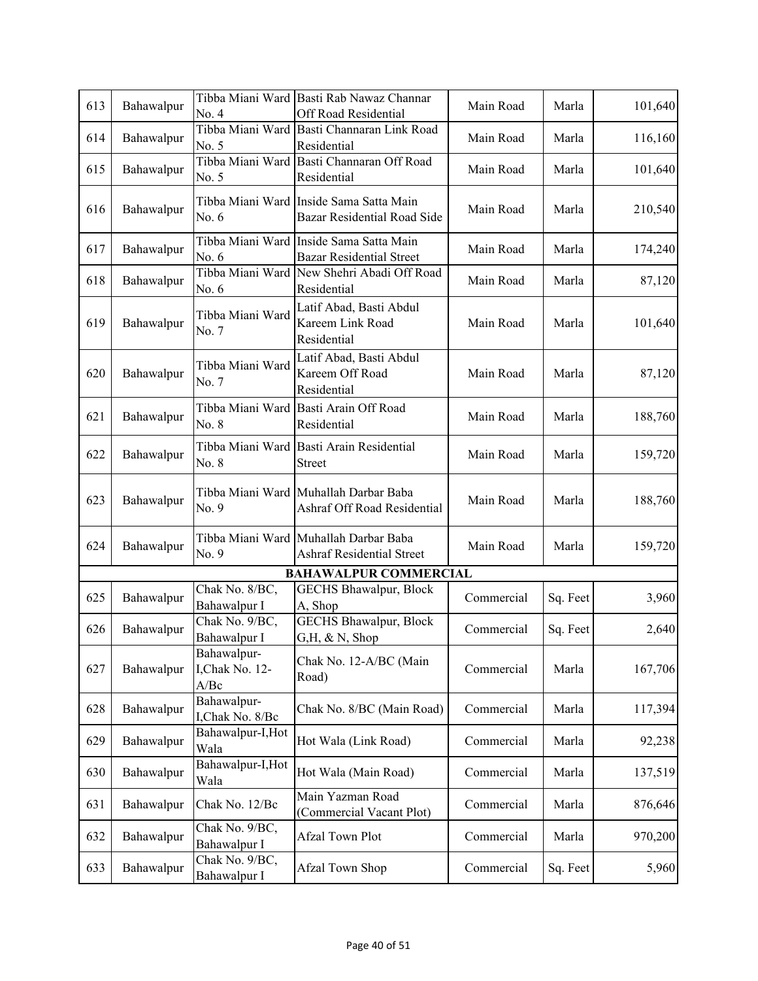| 613 | Bahawalpur | No. 4                                  | Tibba Miani Ward Basti Rab Nawaz Channar<br>Off Road Residential           | Main Road  | Marla    | 101,640 |
|-----|------------|----------------------------------------|----------------------------------------------------------------------------|------------|----------|---------|
| 614 | Bahawalpur | No. 5                                  | Tibba Miani Ward Basti Channaran Link Road<br>Residential                  | Main Road  | Marla    | 116,160 |
| 615 | Bahawalpur | No. 5                                  | Tibba Miani Ward Basti Channaran Off Road<br>Residential                   | Main Road  | Marla    | 101,640 |
| 616 | Bahawalpur | Tibba Miani Ward<br>No. 6              | Inside Sama Satta Main<br><b>Bazar Residential Road Side</b>               | Main Road  | Marla    | 210,540 |
| 617 | Bahawalpur | No. 6                                  | Tibba Miani Ward Inside Sama Satta Main<br><b>Bazar Residential Street</b> | Main Road  | Marla    | 174,240 |
| 618 | Bahawalpur | No. 6                                  | Tibba Miani Ward New Shehri Abadi Off Road<br>Residential                  | Main Road  | Marla    | 87,120  |
| 619 | Bahawalpur | Tibba Miani Ward<br>No. 7              | Latif Abad, Basti Abdul<br>Kareem Link Road<br>Residential                 | Main Road  | Marla    | 101,640 |
| 620 | Bahawalpur | Tibba Miani Ward<br>No. 7              | Latif Abad, Basti Abdul<br>Kareem Off Road<br>Residential                  | Main Road  | Marla    | 87,120  |
| 621 | Bahawalpur | Tibba Miani Ward<br>No. 8              | Basti Arain Off Road<br>Residential                                        | Main Road  | Marla    | 188,760 |
| 622 | Bahawalpur | Tibba Miani Ward<br>No. 8              | Basti Arain Residential<br><b>Street</b>                                   | Main Road  | Marla    | 159,720 |
| 623 | Bahawalpur | No. 9                                  | Tibba Miani Ward Muhallah Darbar Baba<br>Ashraf Off Road Residential       | Main Road  | Marla    | 188,760 |
| 624 | Bahawalpur | No. 9                                  | Tibba Miani Ward Muhallah Darbar Baba<br><b>Ashraf Residential Street</b>  | Main Road  | Marla    | 159,720 |
|     |            |                                        | <b>BAHAWALPUR COMMERCIAL</b>                                               |            |          |         |
| 625 | Bahawalpur | Chak No. 8/BC,<br>Bahawalpur I         | <b>GECHS Bhawalpur, Block</b><br>A, Shop                                   | Commercial | Sq. Feet | 3,960   |
| 626 | Bahawalpur | Chak No. 9/BC,<br>Bahawalpur I         | <b>GECHS Bhawalpur, Block</b><br>$G,H, \& N,$ Shop                         | Commercial | Sq. Feet | 2,640   |
| 627 | Bahawalpur | Bahawalpur-<br>I, Chak No. 12-<br>A/Be | Chak No. 12-A/BC (Main<br>Road)                                            | Commercial | Marla    | 167,706 |
| 628 | Bahawalpur | Bahawalpur-<br>I, Chak No. 8/Bc        | Chak No. 8/BC (Main Road)                                                  | Commercial | Marla    | 117,394 |
| 629 | Bahawalpur | Bahawalpur-I, Hot<br>Wala              | Hot Wala (Link Road)                                                       | Commercial | Marla    | 92,238  |
| 630 | Bahawalpur | Bahawalpur-I, Hot<br>Wala              | Hot Wala (Main Road)                                                       | Commercial | Marla    | 137,519 |
| 631 | Bahawalpur | Chak No. 12/Bc                         | Main Yazman Road<br>(Commercial Vacant Plot)                               | Commercial | Marla    | 876,646 |
| 632 | Bahawalpur | Chak No. 9/BC,<br>Bahawalpur I         | Afzal Town Plot                                                            | Commercial | Marla    | 970,200 |
| 633 | Bahawalpur | Chak No. 9/BC,<br>Bahawalpur I         | Afzal Town Shop                                                            | Commercial | Sq. Feet | 5,960   |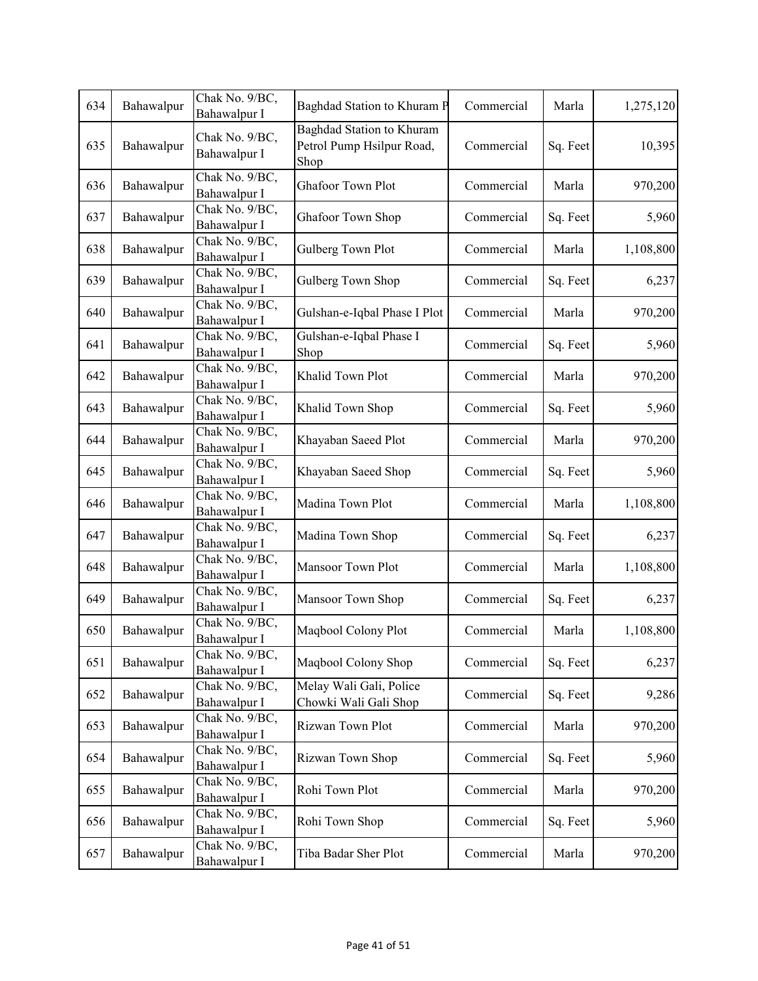| 634 | Bahawalpur | Chak No. 9/BC,<br>Bahawalpur I | Baghdad Station to Khuram P                                    | Commercial | Marla    | 1,275,120 |
|-----|------------|--------------------------------|----------------------------------------------------------------|------------|----------|-----------|
| 635 | Bahawalpur | Chak No. 9/BC,<br>Bahawalpur I | Baghdad Station to Khuram<br>Petrol Pump Hsilpur Road,<br>Shop | Commercial | Sq. Feet | 10,395    |
| 636 | Bahawalpur | Chak No. 9/BC,<br>Bahawalpur I | Ghafoor Town Plot                                              | Commercial | Marla    | 970,200   |
| 637 | Bahawalpur | Chak No. 9/BC,<br>Bahawalpur I | Ghafoor Town Shop                                              | Commercial | Sq. Feet | 5,960     |
| 638 | Bahawalpur | Chak No. 9/BC,<br>Bahawalpur I | Gulberg Town Plot                                              | Commercial | Marla    | 1,108,800 |
| 639 | Bahawalpur | Chak No. 9/BC,<br>Bahawalpur I | Gulberg Town Shop                                              | Commercial | Sq. Feet | 6,237     |
| 640 | Bahawalpur | Chak No. 9/BC,<br>Bahawalpur I | Gulshan-e-Iqbal Phase I Plot                                   | Commercial | Marla    | 970,200   |
| 641 | Bahawalpur | Chak No. 9/BC,<br>Bahawalpur I | Gulshan-e-Iqbal Phase I<br>Shop                                | Commercial | Sq. Feet | 5,960     |
| 642 | Bahawalpur | Chak No. 9/BC,<br>Bahawalpur I | Khalid Town Plot                                               | Commercial | Marla    | 970,200   |
| 643 | Bahawalpur | Chak No. 9/BC,<br>Bahawalpur I | Khalid Town Shop                                               | Commercial | Sq. Feet | 5,960     |
| 644 | Bahawalpur | Chak No. 9/BC,<br>Bahawalpur I | Khayaban Saeed Plot                                            | Commercial | Marla    | 970,200   |
| 645 | Bahawalpur | Chak No. 9/BC,<br>Bahawalpur I | Khayaban Saeed Shop                                            | Commercial | Sq. Feet | 5,960     |
| 646 | Bahawalpur | Chak No. 9/BC,<br>Bahawalpur I | Madina Town Plot                                               | Commercial | Marla    | 1,108,800 |
| 647 | Bahawalpur | Chak No. 9/BC,<br>Bahawalpur I | Madina Town Shop                                               | Commercial | Sq. Feet | 6,237     |
| 648 | Bahawalpur | Chak No. 9/BC,<br>Bahawalpur I | Mansoor Town Plot                                              | Commercial | Marla    | 1,108,800 |
| 649 | Bahawalpur | Chak No. 9/BC,<br>Bahawalpur I | Mansoor Town Shop                                              | Commercial | Sq. Feet | 6,237     |
| 650 | Bahawalpur | Chak No. 9/BC,<br>Bahawalpur I | Maqbool Colony Plot                                            | Commercial | Marla    | 1,108,800 |
| 651 | Bahawalpur | Chak No. 9/BC,<br>Bahawalpur I | Maqbool Colony Shop                                            | Commercial | Sq. Feet | 6,237     |
| 652 | Bahawalpur | Chak No. 9/BC,<br>Bahawalpur I | Melay Wali Gali, Police<br>Chowki Wali Gali Shop               | Commercial | Sq. Feet | 9,286     |
| 653 | Bahawalpur | Chak No. 9/BC,<br>Bahawalpur I | Rizwan Town Plot                                               | Commercial | Marla    | 970,200   |
| 654 | Bahawalpur | Chak No. 9/BC,<br>Bahawalpur I | Rizwan Town Shop                                               | Commercial | Sq. Feet | 5,960     |
| 655 | Bahawalpur | Chak No. 9/BC,<br>Bahawalpur I | Rohi Town Plot                                                 | Commercial | Marla    | 970,200   |
| 656 | Bahawalpur | Chak No. 9/BC,<br>Bahawalpur I | Rohi Town Shop                                                 | Commercial | Sq. Feet | 5,960     |
| 657 | Bahawalpur | Chak No. 9/BC,<br>Bahawalpur I | Tiba Badar Sher Plot                                           | Commercial | Marla    | 970,200   |
|     |            |                                |                                                                |            |          |           |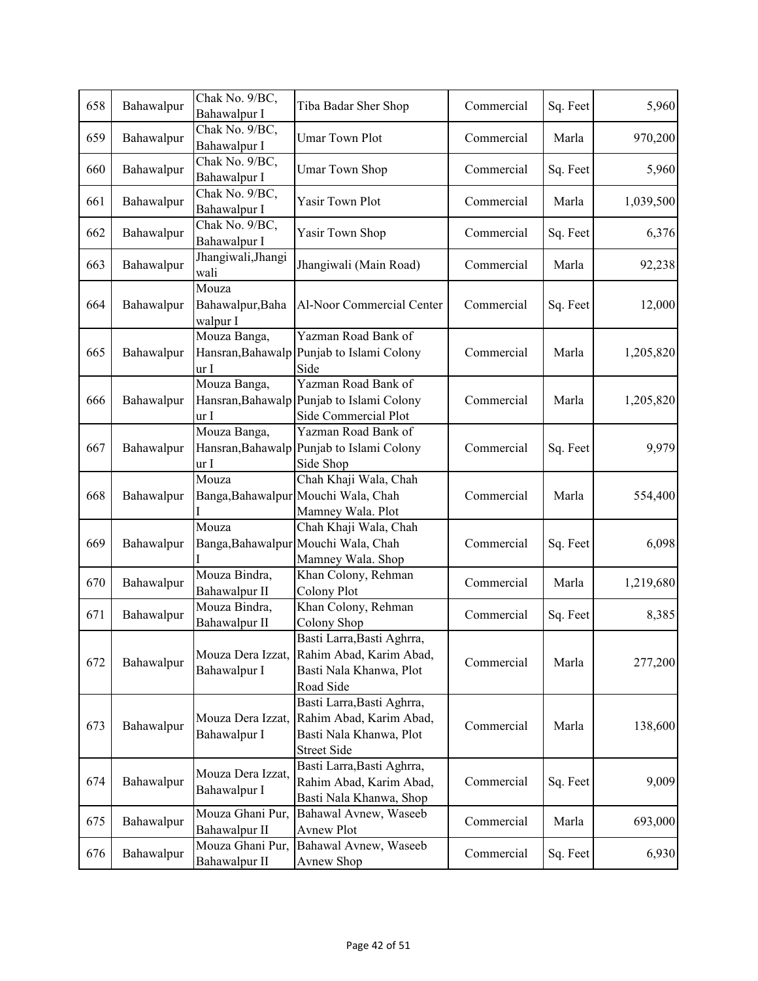| 658 | Bahawalpur | Chak No. 9/BC,<br>Bahawalpur I            | Tiba Badar Sher Shop                                                                                   | Commercial | Sq. Feet | 5,960     |
|-----|------------|-------------------------------------------|--------------------------------------------------------------------------------------------------------|------------|----------|-----------|
| 659 | Bahawalpur | Chak No. 9/BC,<br>Bahawalpur I            | <b>Umar Town Plot</b>                                                                                  | Commercial | Marla    | 970,200   |
| 660 | Bahawalpur | Chak No. 9/BC,<br>Bahawalpur I            | <b>Umar Town Shop</b>                                                                                  | Commercial | Sq. Feet | 5,960     |
| 661 | Bahawalpur | Chak No. 9/BC,<br>Bahawalpur I            | Yasir Town Plot                                                                                        | Commercial | Marla    | 1,039,500 |
| 662 | Bahawalpur | Chak No. 9/BC,<br>Bahawalpur I            | Yasir Town Shop                                                                                        | Commercial | Sq. Feet | 6,376     |
| 663 | Bahawalpur | Jhangiwali, Jhangi<br>wali                | Jhangiwali (Main Road)                                                                                 | Commercial | Marla    | 92,238    |
| 664 | Bahawalpur | Mouza<br>Bahawalpur, Baha<br>walpur I     | Al-Noor Commercial Center                                                                              | Commercial | Sq. Feet | 12,000    |
| 665 | Bahawalpur | Mouza Banga,<br>Hansran, Bahawalp<br>ur I | Yazman Road Bank of<br>Punjab to Islami Colony<br>Side                                                 | Commercial | Marla    | 1,205,820 |
| 666 | Bahawalpur | Mouza Banga,<br>Hansran, Bahawalp<br>ur I | Yazman Road Bank of<br>Punjab to Islami Colony<br>Side Commercial Plot                                 | Commercial | Marla    | 1,205,820 |
| 667 | Bahawalpur | Mouza Banga,<br>Hansran, Bahawalp<br>ur I | Yazman Road Bank of<br>Punjab to Islami Colony<br>Side Shop                                            | Commercial | Sq. Feet | 9,979     |
| 668 | Bahawalpur | Mouza                                     | Chah Khaji Wala, Chah<br>Banga, Bahawalpur Mouchi Wala, Chah<br>Mamney Wala. Plot                      | Commercial | Marla    | 554,400   |
| 669 | Bahawalpur | Mouza                                     | Chah Khaji Wala, Chah<br>Banga, Bahawalpur Mouchi Wala, Chah<br>Mamney Wala. Shop                      | Commercial | Sq. Feet | 6,098     |
| 670 | Bahawalpur | Mouza Bindra,<br>Bahawalpur II            | Khan Colony, Rehman<br>Colony Plot                                                                     | Commercial | Marla    | 1,219,680 |
| 671 | Bahawalpur | Mouza Bindra,<br>Bahawalpur II            | Khan Colony, Rehman<br>Colony Shop                                                                     | Commercial | Sq. Feet | 8,385     |
| 672 | Bahawalpur | Mouza Dera Izzat,<br>Bahawalpur I         | Basti Larra, Basti Aghrra,<br>Rahim Abad, Karim Abad,<br>Basti Nala Khanwa, Plot<br>Road Side          | Commercial | Marla    | 277,200   |
| 673 | Bahawalpur | Mouza Dera Izzat,<br>Bahawalpur I         | Basti Larra, Basti Aghrra,<br>Rahim Abad, Karim Abad,<br>Basti Nala Khanwa, Plot<br><b>Street Side</b> | Commercial | Marla    | 138,600   |
| 674 | Bahawalpur | Mouza Dera Izzat,<br>Bahawalpur I         | Basti Larra, Basti Aghrra,<br>Rahim Abad, Karim Abad,<br>Basti Nala Khanwa, Shop                       | Commercial | Sq. Feet | 9,009     |
| 675 | Bahawalpur | Mouza Ghani Pur,<br>Bahawalpur II         | Bahawal Avnew, Waseeb<br>Avnew Plot                                                                    | Commercial | Marla    | 693,000   |
| 676 | Bahawalpur | Mouza Ghani Pur,<br>Bahawalpur II         | Bahawal Avnew, Waseeb<br>Avnew Shop                                                                    | Commercial | Sq. Feet | 6,930     |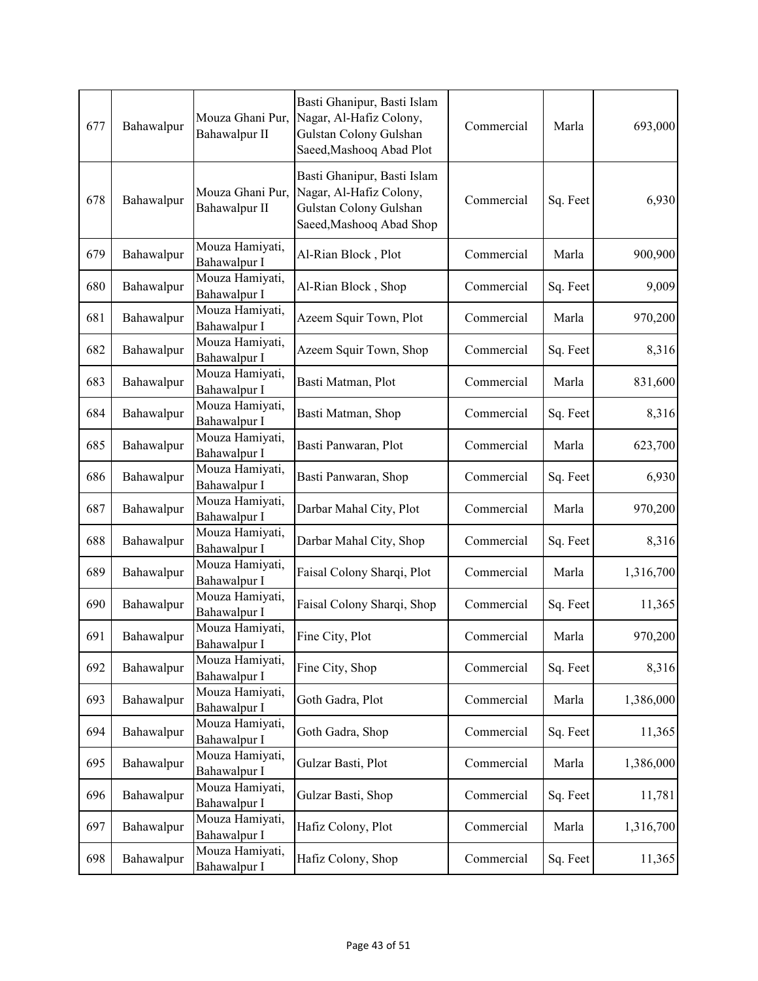| 677 | Bahawalpur | Mouza Ghani Pur,<br>Bahawalpur II | Basti Ghanipur, Basti Islam<br>Nagar, Al-Hafiz Colony,<br>Gulstan Colony Gulshan<br>Saeed, Mashooq Abad Plot | Commercial | Marla    | 693,000   |
|-----|------------|-----------------------------------|--------------------------------------------------------------------------------------------------------------|------------|----------|-----------|
| 678 | Bahawalpur | Mouza Ghani Pur,<br>Bahawalpur II | Basti Ghanipur, Basti Islam<br>Nagar, Al-Hafiz Colony,<br>Gulstan Colony Gulshan<br>Saeed, Mashooq Abad Shop | Commercial | Sq. Feet | 6,930     |
| 679 | Bahawalpur | Mouza Hamiyati,<br>Bahawalpur I   | Al-Rian Block, Plot                                                                                          | Commercial | Marla    | 900,900   |
| 680 | Bahawalpur | Mouza Hamiyati,<br>Bahawalpur I   | Al-Rian Block, Shop                                                                                          | Commercial | Sq. Feet | 9,009     |
| 681 | Bahawalpur | Mouza Hamiyati,<br>Bahawalpur I   | Azeem Squir Town, Plot                                                                                       | Commercial | Marla    | 970,200   |
| 682 | Bahawalpur | Mouza Hamiyati,<br>Bahawalpur I   | Azeem Squir Town, Shop                                                                                       | Commercial | Sq. Feet | 8,316     |
| 683 | Bahawalpur | Mouza Hamiyati,<br>Bahawalpur I   | Basti Matman, Plot                                                                                           | Commercial | Marla    | 831,600   |
| 684 | Bahawalpur | Mouza Hamiyati,<br>Bahawalpur I   | Basti Matman, Shop                                                                                           | Commercial | Sq. Feet | 8,316     |
| 685 | Bahawalpur | Mouza Hamiyati,<br>Bahawalpur I   | Basti Panwaran, Plot                                                                                         | Commercial | Marla    | 623,700   |
| 686 | Bahawalpur | Mouza Hamiyati,<br>Bahawalpur I   | Basti Panwaran, Shop                                                                                         | Commercial | Sq. Feet | 6,930     |
| 687 | Bahawalpur | Mouza Hamiyati,<br>Bahawalpur I   | Darbar Mahal City, Plot                                                                                      | Commercial | Marla    | 970,200   |
| 688 | Bahawalpur | Mouza Hamiyati,<br>Bahawalpur I   | Darbar Mahal City, Shop                                                                                      | Commercial | Sq. Feet | 8,316     |
| 689 | Bahawalpur | Mouza Hamiyati,<br>Bahawalpur I   | Faisal Colony Sharqi, Plot                                                                                   | Commercial | Marla    | 1,316,700 |
| 690 | Bahawalpur | Mouza Hamiyati,<br>Bahawalpur I   | Faisal Colony Sharqi, Shop                                                                                   | Commercial | Sq. Feet | 11,365    |
| 691 | Bahawalpur | Mouza Hamiyati,<br>Bahawalpur I   | Fine City, Plot                                                                                              | Commercial | Marla    | 970,200   |
| 692 | Bahawalpur | Mouza Hamiyati,<br>Bahawalpur I   | Fine City, Shop                                                                                              | Commercial | Sq. Feet | 8,316     |
| 693 | Bahawalpur | Mouza Hamiyati,<br>Bahawalpur I   | Goth Gadra, Plot                                                                                             | Commercial | Marla    | 1,386,000 |
| 694 | Bahawalpur | Mouza Hamiyati,<br>Bahawalpur I   | Goth Gadra, Shop                                                                                             | Commercial | Sq. Feet | 11,365    |
| 695 | Bahawalpur | Mouza Hamiyati,<br>Bahawalpur I   | Gulzar Basti, Plot                                                                                           | Commercial | Marla    | 1,386,000 |
| 696 | Bahawalpur | Mouza Hamiyati,<br>Bahawalpur I   | Gulzar Basti, Shop                                                                                           | Commercial | Sq. Feet | 11,781    |
| 697 | Bahawalpur | Mouza Hamiyati,<br>Bahawalpur I   | Hafiz Colony, Plot                                                                                           | Commercial | Marla    | 1,316,700 |
| 698 | Bahawalpur | Mouza Hamiyati,<br>Bahawalpur I   | Hafiz Colony, Shop                                                                                           | Commercial | Sq. Feet | 11,365    |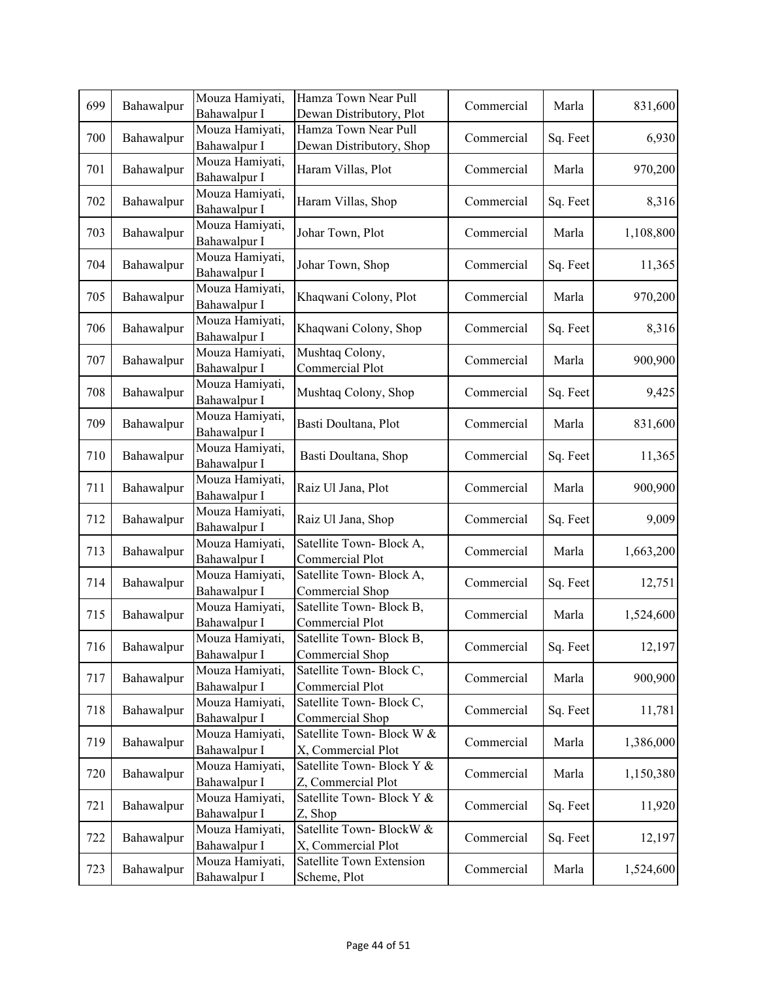| 699 | Bahawalpur | Mouza Hamiyati,<br>Bahawalpur I | Hamza Town Near Pull<br>Dewan Distributory, Plot | Commercial | Marla    | 831,600   |
|-----|------------|---------------------------------|--------------------------------------------------|------------|----------|-----------|
|     |            | Mouza Hamiyati,                 | Hamza Town Near Pull                             |            |          |           |
| 700 | Bahawalpur | Bahawalpur I                    | Dewan Distributory, Shop                         | Commercial | Sq. Feet | 6,930     |
| 701 | Bahawalpur | Mouza Hamiyati,<br>Bahawalpur I | Haram Villas, Plot                               | Commercial | Marla    | 970,200   |
| 702 | Bahawalpur | Mouza Hamiyati,<br>Bahawalpur I | Haram Villas, Shop                               | Commercial | Sq. Feet | 8,316     |
| 703 | Bahawalpur | Mouza Hamiyati,<br>Bahawalpur I | Johar Town, Plot                                 | Commercial | Marla    | 1,108,800 |
| 704 | Bahawalpur | Mouza Hamiyati,<br>Bahawalpur I | Johar Town, Shop                                 | Commercial | Sq. Feet | 11,365    |
| 705 | Bahawalpur | Mouza Hamiyati,<br>Bahawalpur I | Khaqwani Colony, Plot                            | Commercial | Marla    | 970,200   |
| 706 | Bahawalpur | Mouza Hamiyati,<br>Bahawalpur I | Khaqwani Colony, Shop                            | Commercial | Sq. Feet | 8,316     |
| 707 | Bahawalpur | Mouza Hamiyati,<br>Bahawalpur I | Mushtaq Colony,<br>Commercial Plot               | Commercial | Marla    | 900,900   |
| 708 | Bahawalpur | Mouza Hamiyati,<br>Bahawalpur I | Mushtaq Colony, Shop                             | Commercial | Sq. Feet | 9,425     |
| 709 | Bahawalpur | Mouza Hamiyati,<br>Bahawalpur I | Basti Doultana, Plot                             | Commercial | Marla    | 831,600   |
| 710 | Bahawalpur | Mouza Hamiyati,<br>Bahawalpur I | Basti Doultana, Shop                             | Commercial | Sq. Feet | 11,365    |
| 711 | Bahawalpur | Mouza Hamiyati,<br>Bahawalpur I | Raiz Ul Jana, Plot                               | Commercial | Marla    | 900,900   |
| 712 | Bahawalpur | Mouza Hamiyati,<br>Bahawalpur I | Raiz Ul Jana, Shop                               | Commercial | Sq. Feet | 9,009     |
| 713 | Bahawalpur | Mouza Hamiyati,<br>Bahawalpur I | Satellite Town-Block A,<br>Commercial Plot       | Commercial | Marla    | 1,663,200 |
| 714 | Bahawalpur | Mouza Hamiyati,<br>Bahawalpur I | Satellite Town-Block A,<br>Commercial Shop       | Commercial | Sq. Feet | 12,751    |
| 715 | Bahawalpur | Mouza Hamiyati,<br>Bahawalpur I | Satellite Town-Block B,<br>Commercial Plot       | Commercial | Marla    | 1,524,600 |
| 716 | Bahawalpur | Mouza Hamiyati,<br>Bahawalpur I | Satellite Town-Block B,<br>Commercial Shop       | Commercial | Sq. Feet | 12,197    |
| 717 | Bahawalpur | Mouza Hamiyati,<br>Bahawalpur I | Satellite Town-Block C,<br>Commercial Plot       | Commercial | Marla    | 900,900   |
| 718 | Bahawalpur | Mouza Hamiyati,<br>Bahawalpur I | Satellite Town-Block C,<br>Commercial Shop       | Commercial | Sq. Feet | 11,781    |
| 719 | Bahawalpur | Mouza Hamiyati,<br>Bahawalpur I | Satellite Town-Block W &<br>X, Commercial Plot   | Commercial | Marla    | 1,386,000 |
| 720 | Bahawalpur | Mouza Hamiyati,<br>Bahawalpur I | Satellite Town-Block Y &<br>Z, Commercial Plot   | Commercial | Marla    | 1,150,380 |
| 721 | Bahawalpur | Mouza Hamiyati,<br>Bahawalpur I | Satellite Town-Block Y &<br>Z, Shop              | Commercial | Sq. Feet | 11,920    |
| 722 | Bahawalpur | Mouza Hamiyati,<br>Bahawalpur I | Satellite Town-BlockW &<br>X, Commercial Plot    | Commercial | Sq. Feet | 12,197    |
| 723 | Bahawalpur | Mouza Hamiyati,<br>Bahawalpur I | Satellite Town Extension<br>Scheme, Plot         | Commercial | Marla    | 1,524,600 |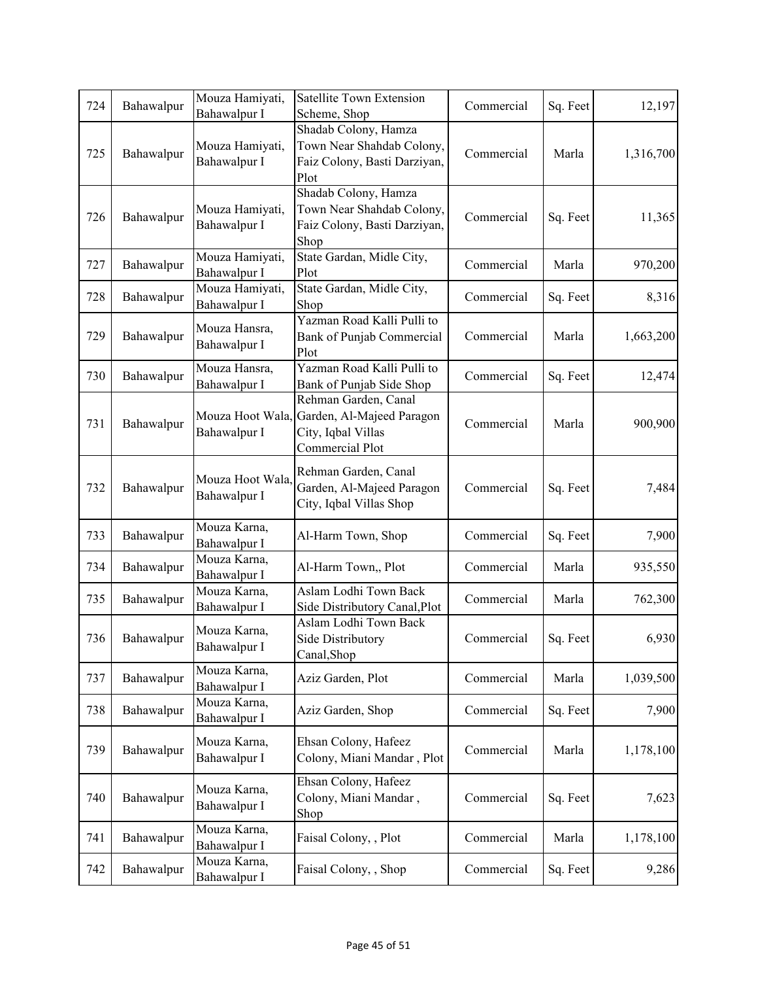| 724 | Bahawalpur | Mouza Hamiyati,<br>Bahawalpur I  | Satellite Town Extension<br>Scheme, Shop                                                   | Commercial | Sq. Feet | 12,197    |
|-----|------------|----------------------------------|--------------------------------------------------------------------------------------------|------------|----------|-----------|
| 725 | Bahawalpur | Mouza Hamiyati,<br>Bahawalpur I  | Shadab Colony, Hamza<br>Town Near Shahdab Colony,<br>Faiz Colony, Basti Darziyan,<br>Plot  | Commercial | Marla    | 1,316,700 |
| 726 | Bahawalpur | Mouza Hamiyati,<br>Bahawalpur I  | Shadab Colony, Hamza<br>Town Near Shahdab Colony,<br>Faiz Colony, Basti Darziyan,<br>Shop  | Commercial | Sq. Feet | 11,365    |
| 727 | Bahawalpur | Mouza Hamiyati,<br>Bahawalpur I  | State Gardan, Midle City,<br>Plot                                                          | Commercial | Marla    | 970,200   |
| 728 | Bahawalpur | Mouza Hamiyati,<br>Bahawalpur I  | State Gardan, Midle City,<br>Shop                                                          | Commercial | Sq. Feet | 8,316     |
| 729 | Bahawalpur | Mouza Hansra,<br>Bahawalpur I    | Yazman Road Kalli Pulli to<br>Bank of Punjab Commercial<br>Plot                            | Commercial | Marla    | 1,663,200 |
| 730 | Bahawalpur | Mouza Hansra,<br>Bahawalpur I    | Yazman Road Kalli Pulli to<br>Bank of Punjab Side Shop                                     | Commercial | Sq. Feet | 12,474    |
| 731 | Bahawalpur | Mouza Hoot Wala,<br>Bahawalpur I | Rehman Garden, Canal<br>Garden, Al-Majeed Paragon<br>City, Iqbal Villas<br>Commercial Plot | Commercial | Marla    | 900,900   |
| 732 | Bahawalpur | Mouza Hoot Wala,<br>Bahawalpur I | Rehman Garden, Canal<br>Garden, Al-Majeed Paragon<br>City, Iqbal Villas Shop               | Commercial | Sq. Feet | 7,484     |
| 733 | Bahawalpur | Mouza Karna,<br>Bahawalpur I     | Al-Harm Town, Shop                                                                         | Commercial | Sq. Feet | 7,900     |
| 734 | Bahawalpur | Mouza Karna,<br>Bahawalpur I     | Al-Harm Town,, Plot                                                                        | Commercial | Marla    | 935,550   |
| 735 | Bahawalpur | Mouza Karna,<br>Bahawalpur I     | Aslam Lodhi Town Back<br>Side Distributory Canal, Plot                                     | Commercial | Marla    | 762,300   |
| 736 | Bahawalpur | Mouza Karna,<br>Bahawalpur I     | Aslam Lodhi Town Back<br>Side Distributory<br>Canal, Shop                                  | Commercial | Sq. Feet | 6,930     |
| 737 | Bahawalpur | Mouza Karna,<br>Bahawalpur I     | Aziz Garden, Plot                                                                          | Commercial | Marla    | 1,039,500 |
| 738 | Bahawalpur | Mouza Karna,<br>Bahawalpur I     | Aziz Garden, Shop                                                                          | Commercial | Sq. Feet | 7,900     |
| 739 | Bahawalpur | Mouza Karna,<br>Bahawalpur I     | Ehsan Colony, Hafeez<br>Colony, Miani Mandar, Plot                                         | Commercial | Marla    | 1,178,100 |
| 740 | Bahawalpur | Mouza Karna,<br>Bahawalpur I     | Ehsan Colony, Hafeez<br>Colony, Miani Mandar,<br>Shop                                      | Commercial | Sq. Feet | 7,623     |
| 741 | Bahawalpur | Mouza Karna,<br>Bahawalpur I     | Faisal Colony, , Plot                                                                      | Commercial | Marla    | 1,178,100 |
| 742 | Bahawalpur | Mouza Karna,<br>Bahawalpur I     | Faisal Colony, , Shop                                                                      | Commercial | Sq. Feet | 9,286     |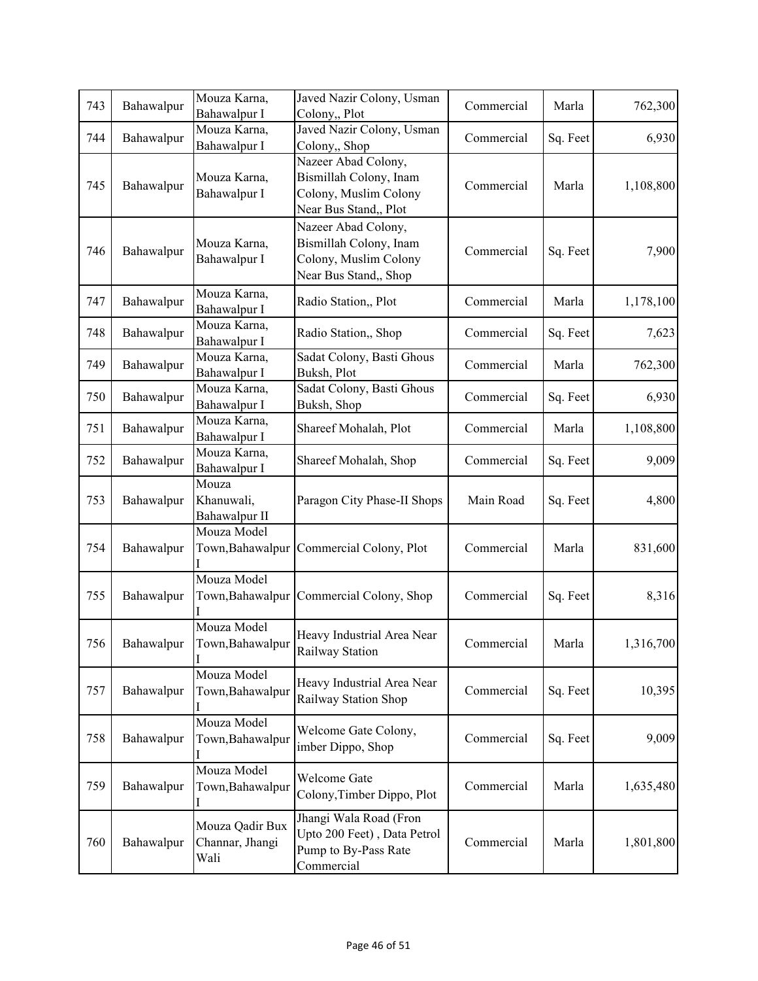| 743 | Bahawalpur | Mouza Karna,<br>Bahawalpur I               | Javed Nazir Colony, Usman<br>Colony,, Plot                                                      | Commercial | Marla    | 762,300   |
|-----|------------|--------------------------------------------|-------------------------------------------------------------------------------------------------|------------|----------|-----------|
| 744 | Bahawalpur | Mouza Karna,<br>Bahawalpur I               | Javed Nazir Colony, Usman<br>Colony,, Shop                                                      | Commercial | Sq. Feet | 6,930     |
| 745 | Bahawalpur | Mouza Karna,<br>Bahawalpur I               | Nazeer Abad Colony,<br>Bismillah Colony, Inam<br>Colony, Muslim Colony<br>Near Bus Stand,, Plot | Commercial | Marla    | 1,108,800 |
| 746 | Bahawalpur | Mouza Karna,<br>Bahawalpur I               | Nazeer Abad Colony,<br>Bismillah Colony, Inam<br>Colony, Muslim Colony<br>Near Bus Stand,, Shop | Commercial | Sq. Feet | 7,900     |
| 747 | Bahawalpur | Mouza Karna,<br>Bahawalpur I               | Radio Station,, Plot                                                                            | Commercial | Marla    | 1,178,100 |
| 748 | Bahawalpur | Mouza Karna,<br>Bahawalpur I               | Radio Station,, Shop                                                                            | Commercial | Sq. Feet | 7,623     |
| 749 | Bahawalpur | Mouza Karna,<br>Bahawalpur I               | Sadat Colony, Basti Ghous<br>Buksh, Plot                                                        | Commercial | Marla    | 762,300   |
| 750 | Bahawalpur | Mouza Karna,<br>Bahawalpur I               | Sadat Colony, Basti Ghous<br>Buksh, Shop                                                        | Commercial | Sq. Feet | 6,930     |
| 751 | Bahawalpur | Mouza Karna,<br>Bahawalpur I               | Shareef Mohalah, Plot                                                                           | Commercial | Marla    | 1,108,800 |
| 752 | Bahawalpur | Mouza Karna,<br>Bahawalpur I               | Shareef Mohalah, Shop                                                                           | Commercial | Sq. Feet | 9,009     |
| 753 | Bahawalpur | Mouza<br>Khanuwali,<br>Bahawalpur II       | Paragon City Phase-II Shops                                                                     | Main Road  | Sq. Feet | 4,800     |
| 754 | Bahawalpur | Mouza Model<br>Town, Bahawalpur            | Commercial Colony, Plot                                                                         | Commercial | Marla    | 831,600   |
| 755 | Bahawalpur | Mouza Model<br>Town, Bahawalpur            | Commercial Colony, Shop                                                                         | Commercial | Sq. Feet | 8,316     |
| 756 | Bahawalpur | Mouza Model<br>Town, Bahawalpur            | Heavy Industrial Area Near<br>Railway Station                                                   | Commercial | Marla    | 1,316,700 |
| 757 | Bahawalpur | Mouza Model<br>Town, Bahawalpur            | Heavy Industrial Area Near<br>Railway Station Shop                                              | Commercial | Sq. Feet | 10,395    |
| 758 | Bahawalpur | Mouza Model<br>Town, Bahawalpur            | Welcome Gate Colony,<br>imber Dippo, Shop                                                       | Commercial | Sq. Feet | 9,009     |
| 759 | Bahawalpur | Mouza Model<br>Town, Bahawalpur            | Welcome Gate<br>Colony, Timber Dippo, Plot                                                      | Commercial | Marla    | 1,635,480 |
| 760 | Bahawalpur | Mouza Qadir Bux<br>Channar, Jhangi<br>Wali | Jhangi Wala Road (Fron<br>Upto 200 Feet), Data Petrol<br>Pump to By-Pass Rate<br>Commercial     | Commercial | Marla    | 1,801,800 |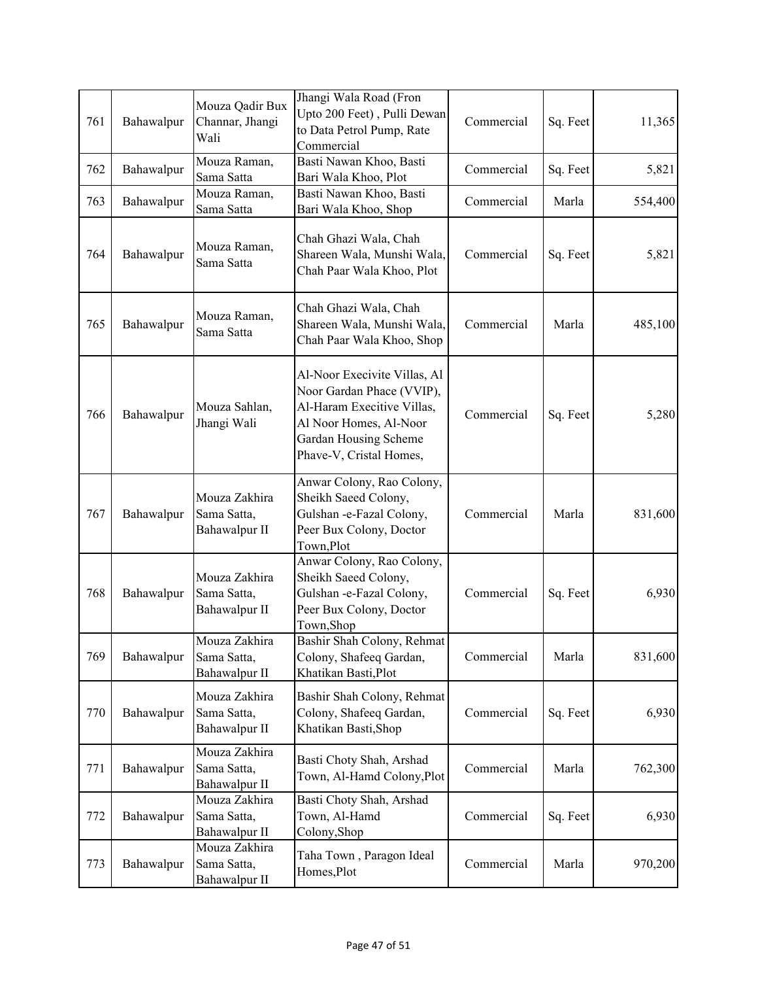| 761 | Bahawalpur | Mouza Qadir Bux<br>Channar, Jhangi<br>Wali    | Jhangi Wala Road (Fron<br>Upto 200 Feet), Pulli Dewan<br>to Data Petrol Pump, Rate<br>Commercial                                                                      | Commercial | Sq. Feet | 11,365  |
|-----|------------|-----------------------------------------------|-----------------------------------------------------------------------------------------------------------------------------------------------------------------------|------------|----------|---------|
| 762 | Bahawalpur | Mouza Raman,<br>Sama Satta                    | Basti Nawan Khoo, Basti<br>Bari Wala Khoo, Plot                                                                                                                       | Commercial | Sq. Feet | 5,821   |
| 763 | Bahawalpur | Mouza Raman,<br>Sama Satta                    | Basti Nawan Khoo, Basti<br>Bari Wala Khoo, Shop                                                                                                                       | Commercial | Marla    | 554,400 |
| 764 | Bahawalpur | Mouza Raman,<br>Sama Satta                    | Chah Ghazi Wala, Chah<br>Shareen Wala, Munshi Wala,<br>Chah Paar Wala Khoo, Plot                                                                                      | Commercial | Sq. Feet | 5,821   |
| 765 | Bahawalpur | Mouza Raman,<br>Sama Satta                    | Chah Ghazi Wala, Chah<br>Shareen Wala, Munshi Wala,<br>Chah Paar Wala Khoo, Shop                                                                                      | Commercial | Marla    | 485,100 |
| 766 | Bahawalpur | Mouza Sahlan,<br>Jhangi Wali                  | Al-Noor Execivite Villas, Al<br>Noor Gardan Phace (VVIP),<br>Al-Haram Execitive Villas,<br>Al Noor Homes, Al-Noor<br>Gardan Housing Scheme<br>Phave-V, Cristal Homes, | Commercial | Sq. Feet | 5,280   |
| 767 | Bahawalpur | Mouza Zakhira<br>Sama Satta,<br>Bahawalpur II | Anwar Colony, Rao Colony,<br>Sheikh Saeed Colony,<br>Gulshan -e-Fazal Colony,<br>Peer Bux Colony, Doctor<br>Town, Plot                                                | Commercial | Marla    | 831,600 |
| 768 | Bahawalpur | Mouza Zakhira<br>Sama Satta,<br>Bahawalpur II | Anwar Colony, Rao Colony,<br>Sheikh Saeed Colony,<br>Gulshan -e-Fazal Colony,<br>Peer Bux Colony, Doctor<br>Town, Shop                                                | Commercial | Sq. Feet | 6,930   |
| 769 | Bahawalpur | Mouza Zakhira<br>Sama Satta,<br>Bahawalpur II | Bashir Shah Colony, Rehmat<br>Colony, Shafeeq Gardan,<br>Khatikan Basti, Plot                                                                                         | Commercial | Marla    | 831,600 |
| 770 | Bahawalpur | Mouza Zakhira<br>Sama Satta,<br>Bahawalpur II | Bashir Shah Colony, Rehmat<br>Colony, Shafeeq Gardan,<br>Khatikan Basti, Shop                                                                                         | Commercial | Sq. Feet | 6,930   |
| 771 | Bahawalpur | Mouza Zakhira<br>Sama Satta,<br>Bahawalpur II | Basti Choty Shah, Arshad<br>Town, Al-Hamd Colony, Plot                                                                                                                | Commercial | Marla    | 762,300 |
| 772 | Bahawalpur | Mouza Zakhira<br>Sama Satta,<br>Bahawalpur II | Basti Choty Shah, Arshad<br>Town, Al-Hamd<br>Colony, Shop                                                                                                             | Commercial | Sq. Feet | 6,930   |
| 773 | Bahawalpur | Mouza Zakhira<br>Sama Satta,<br>Bahawalpur II | Taha Town, Paragon Ideal<br>Homes, Plot                                                                                                                               | Commercial | Marla    | 970,200 |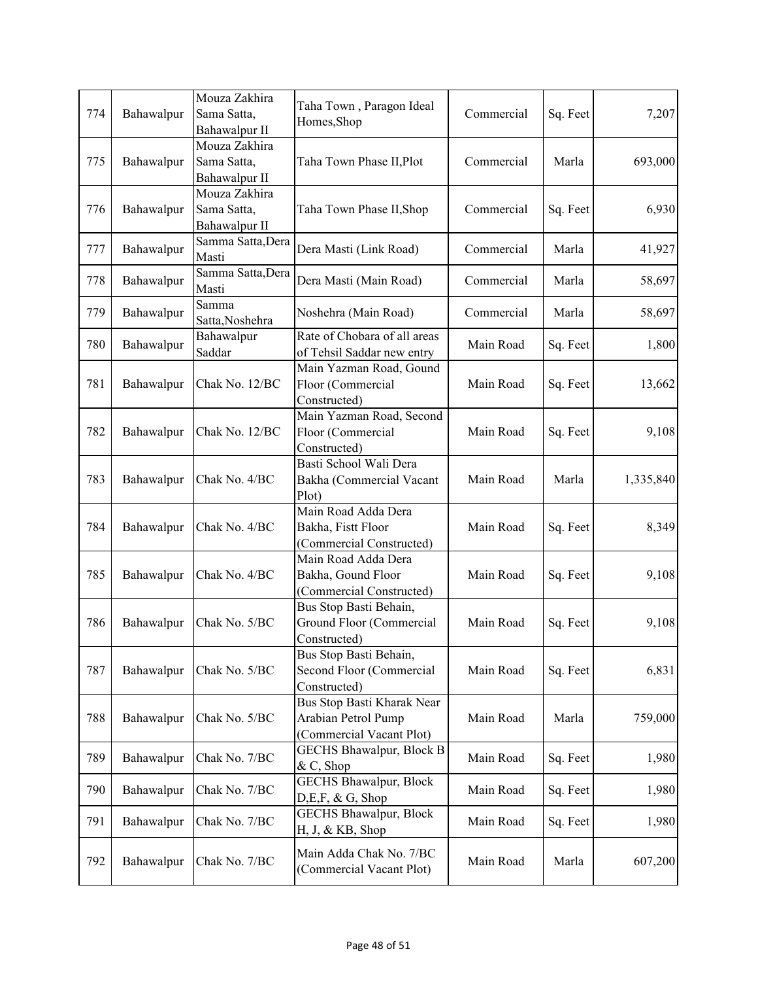| 774 | Bahawalpur | Mouza Zakhira<br>Sama Satta,<br>Bahawalpur II | Taha Town, Paragon Ideal<br>Homes, Shop                                       | Commercial | Sq. Feet | 7,207     |
|-----|------------|-----------------------------------------------|-------------------------------------------------------------------------------|------------|----------|-----------|
| 775 | Bahawalpur | Mouza Zakhira<br>Sama Satta,<br>Bahawalpur II | Taha Town Phase II, Plot                                                      | Commercial | Marla    | 693,000   |
| 776 | Bahawalpur | Mouza Zakhira<br>Sama Satta,<br>Bahawalpur II | Taha Town Phase II, Shop                                                      | Commercial | Sq. Feet | 6,930     |
| 777 | Bahawalpur | Samma Satta, Dera<br>Masti                    | Dera Masti (Link Road)                                                        | Commercial | Marla    | 41,927    |
| 778 | Bahawalpur | Samma Satta, Dera<br>Masti                    | Dera Masti (Main Road)                                                        | Commercial | Marla    | 58,697    |
| 779 | Bahawalpur | Samma<br>Satta, Noshehra                      | Noshehra (Main Road)                                                          | Commercial | Marla    | 58,697    |
| 780 | Bahawalpur | Bahawalpur<br>Saddar                          | Rate of Chobara of all areas<br>of Tehsil Saddar new entry                    | Main Road  | Sq. Feet | 1,800     |
| 781 | Bahawalpur | Chak No. 12/BC                                | Main Yazman Road, Gound<br>Floor (Commercial<br>Constructed)                  | Main Road  | Sq. Feet | 13,662    |
| 782 | Bahawalpur | Chak No. 12/BC                                | Main Yazman Road, Second<br>Floor (Commercial<br>Constructed)                 | Main Road  | Sq. Feet | 9,108     |
| 783 | Bahawalpur | Chak No. 4/BC                                 | Basti School Wali Dera<br>Bakha (Commercial Vacant<br>Plot)                   | Main Road  | Marla    | 1,335,840 |
| 784 | Bahawalpur | Chak No. 4/BC                                 | Main Road Adda Dera<br>Bakha, Fistt Floor<br>(Commercial Constructed)         | Main Road  | Sq. Feet | 8,349     |
| 785 | Bahawalpur | Chak No. 4/BC                                 | Main Road Adda Dera<br>Bakha, Gound Floor<br>(Commercial Constructed)         | Main Road  | Sq. Feet | 9,108     |
| 786 | Bahawalpur | Chak No. 5/BC                                 | Bus Stop Basti Behain,<br>Ground Floor (Commercial<br>Constructed)            | Main Road  | Sq. Feet | 9,108     |
| 787 | Bahawalpur | Chak No. 5/BC                                 | Bus Stop Basti Behain,<br>Second Floor (Commercial<br>Constructed)            | Main Road  | Sq. Feet | 6,831     |
| 788 | Bahawalpur | Chak No. 5/BC                                 | Bus Stop Basti Kharak Near<br>Arabian Petrol Pump<br>(Commercial Vacant Plot) | Main Road  | Marla    | 759,000   |
| 789 | Bahawalpur | Chak No. 7/BC                                 | GECHS Bhawalpur, Block B<br>& C, Shop                                         | Main Road  | Sq. Feet | 1,980     |
| 790 | Bahawalpur | Chak No. 7/BC                                 | <b>GECHS Bhawalpur, Block</b><br>D,E,F, & G, Shop                             | Main Road  | Sq. Feet | 1,980     |
| 791 | Bahawalpur | Chak No. 7/BC                                 | <b>GECHS Bhawalpur, Block</b><br>H, J, & KB, Shop                             | Main Road  | Sq. Feet | 1,980     |
| 792 | Bahawalpur | Chak No. 7/BC                                 | Main Adda Chak No. 7/BC<br>(Commercial Vacant Plot)                           | Main Road  | Marla    | 607,200   |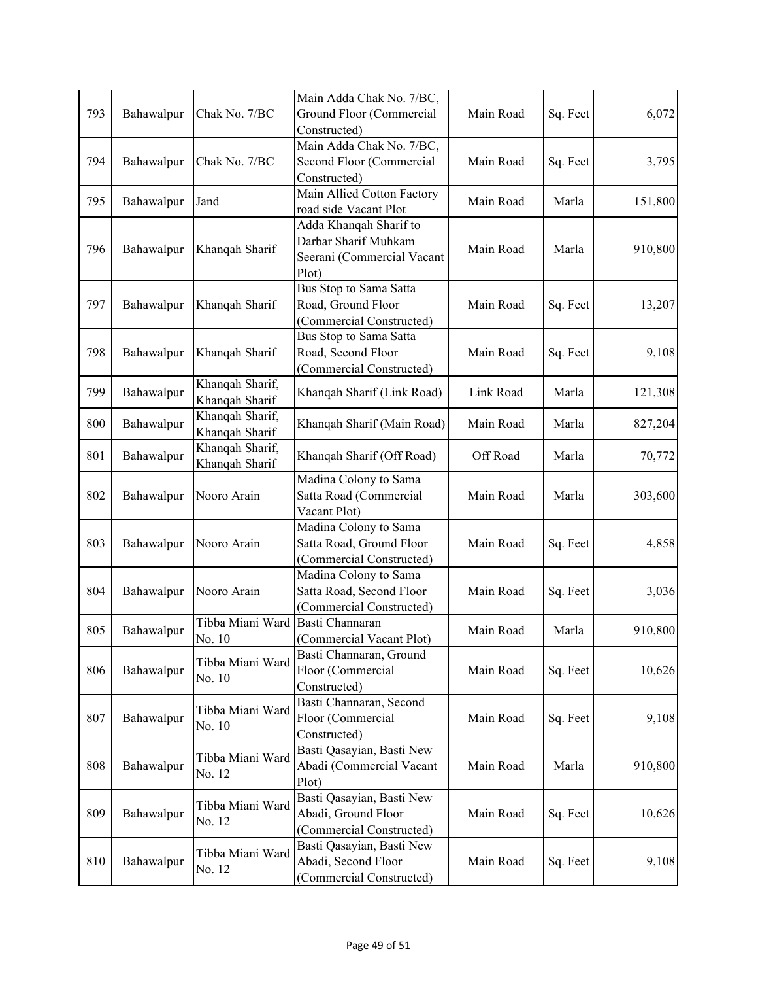|     | Bahawalpur | Chak No. 7/BC                            | Main Adda Chak No. 7/BC,   |           | Sq. Feet | 6,072   |
|-----|------------|------------------------------------------|----------------------------|-----------|----------|---------|
| 793 |            |                                          | Ground Floor (Commercial   | Main Road |          |         |
|     |            |                                          | Constructed)               |           |          |         |
| 794 | Bahawalpur |                                          | Main Adda Chak No. 7/BC,   |           |          |         |
|     |            | Chak No. 7/BC                            | Second Floor (Commercial   | Main Road | Sq. Feet | 3,795   |
|     |            |                                          | Constructed)               |           |          |         |
|     |            |                                          | Main Allied Cotton Factory |           |          |         |
| 795 | Bahawalpur | Jand                                     | road side Vacant Plot      | Main Road | Marla    | 151,800 |
|     | Bahawalpur | Khanqah Sharif                           | Adda Khanqah Sharif to     | Main Road | Marla    |         |
|     |            |                                          | Darbar Sharif Muhkam       |           |          |         |
| 796 |            |                                          | Seerani (Commercial Vacant |           |          | 910,800 |
|     |            |                                          | Plot)                      |           |          |         |
|     |            |                                          | Bus Stop to Sama Satta     |           |          |         |
| 797 | Bahawalpur | Khanqah Sharif                           | Road, Ground Floor         | Main Road | Sq. Feet | 13,207  |
|     |            |                                          | (Commercial Constructed)   |           |          |         |
|     |            |                                          | Bus Stop to Sama Satta     |           |          |         |
| 798 | Bahawalpur | Khanqah Sharif                           | Road, Second Floor         | Main Road | Sq. Feet | 9,108   |
|     |            |                                          |                            |           |          |         |
|     |            | Khanqah Sharif,                          | (Commercial Constructed)   |           |          |         |
| 799 | Bahawalpur |                                          | Khanqah Sharif (Link Road) | Link Road | Marla    | 121,308 |
|     |            | Khanqah Sharif                           |                            |           |          |         |
| 800 | Bahawalpur | Khanqah Sharif,                          | Khanqah Sharif (Main Road) | Main Road | Marla    | 827,204 |
|     |            | Khanqah Sharif                           |                            |           |          |         |
| 801 | Bahawalpur | Khanqah Sharif,                          | Khanqah Sharif (Off Road)  | Off Road  | Marla    | 70,772  |
|     |            | Khanqah Sharif                           |                            |           |          |         |
|     | Bahawalpur | Nooro Arain                              | Madina Colony to Sama      | Main Road | Marla    | 303,600 |
| 802 |            |                                          | Satta Road (Commercial     |           |          |         |
|     |            |                                          | Vacant Plot)               |           |          |         |
|     | Bahawalpur | Nooro Arain                              | Madina Colony to Sama      | Main Road | Sq. Feet | 4,858   |
| 803 |            |                                          | Satta Road, Ground Floor   |           |          |         |
|     |            |                                          | (Commercial Constructed)   |           |          |         |
|     | Bahawalpur | Nooro Arain                              | Madina Colony to Sama      | Main Road | Sq. Feet | 3,036   |
| 804 |            |                                          | Satta Road, Second Floor   |           |          |         |
|     |            |                                          | (Commercial Constructed)   |           |          |         |
|     |            | Tibba Miani Ward Basti Channaran         |                            |           |          |         |
| 805 | Bahawalpur | No. 10                                   | (Commercial Vacant Plot)   | Main Road | Marla    | 910,800 |
|     | Bahawalpur | Tibba Miani Ward<br>No. 10               | Basti Channaran, Ground    | Main Road | Sq. Feet |         |
| 806 |            |                                          | Floor (Commercial          |           |          | 10,626  |
|     |            |                                          | Constructed)               |           |          |         |
|     | Bahawalpur | Tibba Miani Ward<br>No. 10               | Basti Channaran, Second    | Main Road | Sq. Feet |         |
| 807 |            |                                          | Floor (Commercial          |           |          | 9,108   |
|     |            |                                          | Constructed)               |           |          |         |
|     | Bahawalpur | Tibba Miani Ward<br>No. 12               | Basti Qasayian, Basti New  | Main Road | Marla    |         |
| 808 |            |                                          | Abadi (Commercial Vacant   |           |          | 910,800 |
|     |            |                                          | Plot)                      |           |          |         |
|     |            |                                          | Basti Qasayian, Basti New  |           |          |         |
| 809 | Bahawalpur | Tibba Miani Ward<br>No. 12               | Abadi, Ground Floor        |           |          |         |
|     |            |                                          |                            | Main Road | Sq. Feet | 10,626  |
|     |            |                                          | (Commercial Constructed)   |           |          |         |
|     |            | Tibba Miani Ward<br>Bahawalpur<br>No. 12 | Basti Qasayian, Basti New  | Main Road | Sq. Feet |         |
| 810 |            |                                          | Abadi, Second Floor        |           |          | 9,108   |
|     |            |                                          | (Commercial Constructed)   |           |          |         |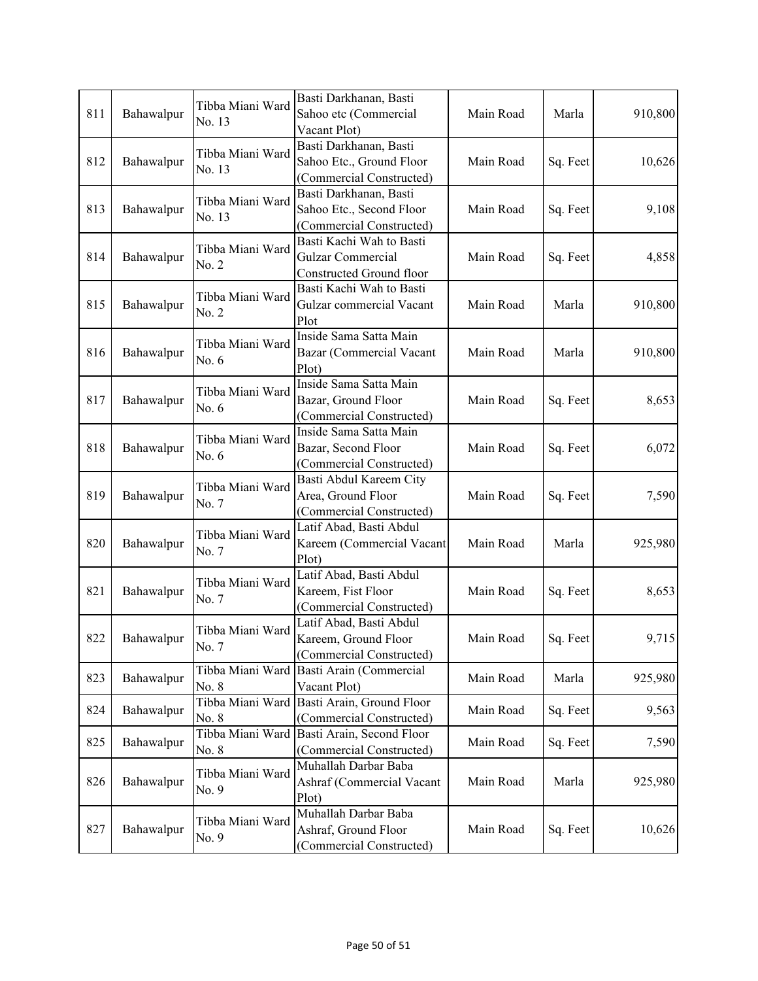| 811 | Bahawalpur | Tibba Miani Ward<br>No. 13 | Basti Darkhanan, Basti<br>Sahoo etc (Commercial<br>Vacant Plot)                  | Main Road | Marla    | 910,800 |
|-----|------------|----------------------------|----------------------------------------------------------------------------------|-----------|----------|---------|
| 812 | Bahawalpur | Tibba Miani Ward<br>No. 13 | Basti Darkhanan, Basti<br>Sahoo Etc., Ground Floor<br>(Commercial Constructed)   | Main Road | Sq. Feet | 10,626  |
| 813 | Bahawalpur | Tibba Miani Ward<br>No. 13 | Basti Darkhanan, Basti<br>Sahoo Etc., Second Floor<br>(Commercial Constructed)   | Main Road | Sq. Feet | 9,108   |
| 814 | Bahawalpur | Tibba Miani Ward<br>No. 2  | Basti Kachi Wah to Basti<br><b>Gulzar Commercial</b><br>Constructed Ground floor | Main Road | Sq. Feet | 4,858   |
| 815 | Bahawalpur | Tibba Miani Ward<br>No. 2  | Basti Kachi Wah to Basti<br>Gulzar commercial Vacant<br>Plot                     | Main Road | Marla    | 910,800 |
| 816 | Bahawalpur | Tibba Miani Ward<br>No. 6  | Inside Sama Satta Main<br>Bazar (Commercial Vacant<br>Plot)                      | Main Road | Marla    | 910,800 |
| 817 | Bahawalpur | Tibba Miani Ward<br>No. 6  | Inside Sama Satta Main<br>Bazar, Ground Floor<br>(Commercial Constructed)        | Main Road | Sq. Feet | 8,653   |
| 818 | Bahawalpur | Tibba Miani Ward<br>No. 6  | Inside Sama Satta Main<br>Bazar, Second Floor<br>(Commercial Constructed)        | Main Road | Sq. Feet | 6,072   |
| 819 | Bahawalpur | Tibba Miani Ward<br>No. 7  | Basti Abdul Kareem City<br>Area, Ground Floor<br>(Commercial Constructed)        | Main Road | Sq. Feet | 7,590   |
| 820 | Bahawalpur | Tibba Miani Ward<br>No. 7  | Latif Abad, Basti Abdul<br>Kareem (Commercial Vacant<br>Plot)                    | Main Road | Marla    | 925,980 |
| 821 | Bahawalpur | Tibba Miani Ward<br>No. 7  | Latif Abad, Basti Abdul<br>Kareem, Fist Floor<br>(Commercial Constructed)        | Main Road | Sq. Feet | 8,653   |
| 822 | Bahawalpur | Tibba Miani Ward<br>No. 7  | Latif Abad, Basti Abdul<br>Kareem, Ground Floor<br>(Commercial Constructed)      | Main Road | Sq. Feet | 9,715   |
| 823 | Bahawalpur | Tibba Miani Ward<br>No. 8  | Basti Arain (Commercial<br>Vacant Plot)                                          | Main Road | Marla    | 925,980 |
| 824 | Bahawalpur | No. 8                      | Tibba Miani Ward Basti Arain, Ground Floor<br>(Commercial Constructed)           | Main Road | Sq. Feet | 9,563   |
| 825 | Bahawalpur | No. 8                      | Tibba Miani Ward Basti Arain, Second Floor<br>(Commercial Constructed)           | Main Road | Sq. Feet | 7,590   |
| 826 | Bahawalpur | Tibba Miani Ward<br>No. 9  | Muhallah Darbar Baba<br>Ashraf (Commercial Vacant<br>Plot)                       | Main Road | Marla    | 925,980 |
| 827 | Bahawalpur | Tibba Miani Ward<br>No. 9  | Muhallah Darbar Baba<br>Ashraf, Ground Floor<br>(Commercial Constructed)         | Main Road | Sq. Feet | 10,626  |